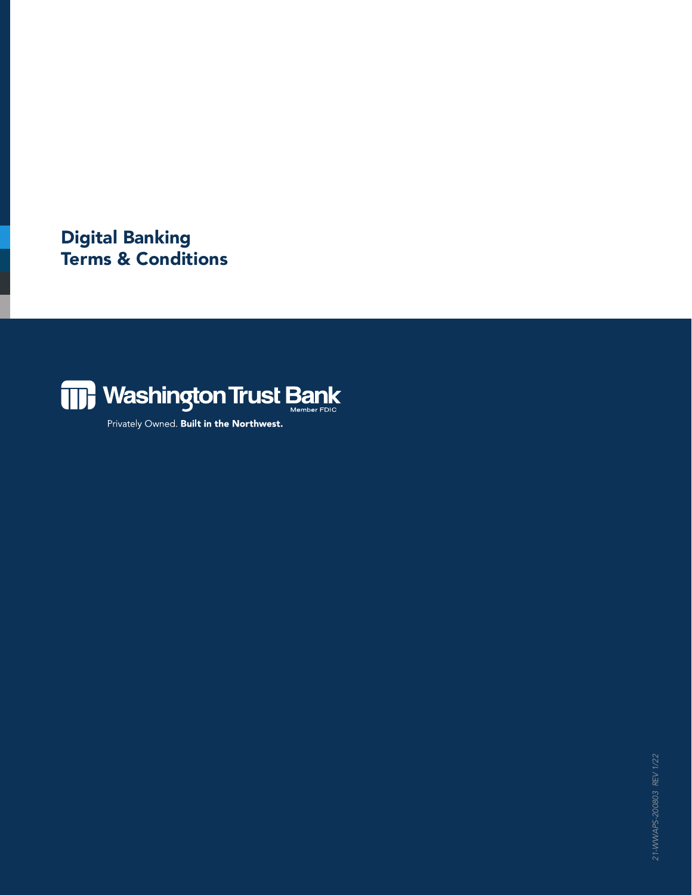Digital Banking Terms & Conditions



Privately Owned. Built in the Northwest.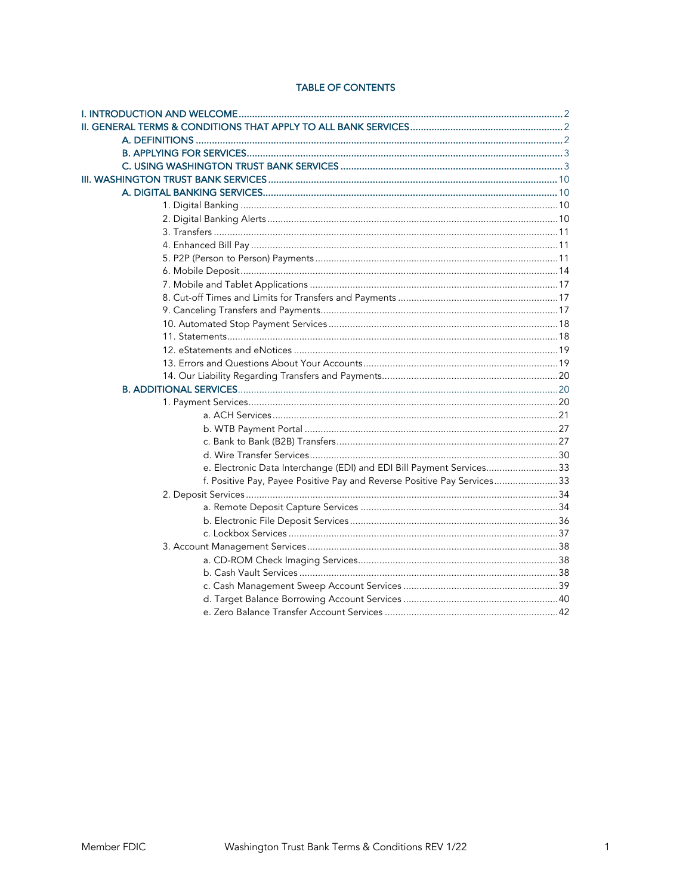# **TABLE OF CONTENTS**

| e. Electronic Data Interchange (EDI) and EDI Bill Payment Services33    |  |
|-------------------------------------------------------------------------|--|
| f. Positive Pay, Payee Positive Pay and Reverse Positive Pay Services33 |  |
|                                                                         |  |
|                                                                         |  |
|                                                                         |  |
|                                                                         |  |
|                                                                         |  |
|                                                                         |  |
|                                                                         |  |
|                                                                         |  |
|                                                                         |  |
|                                                                         |  |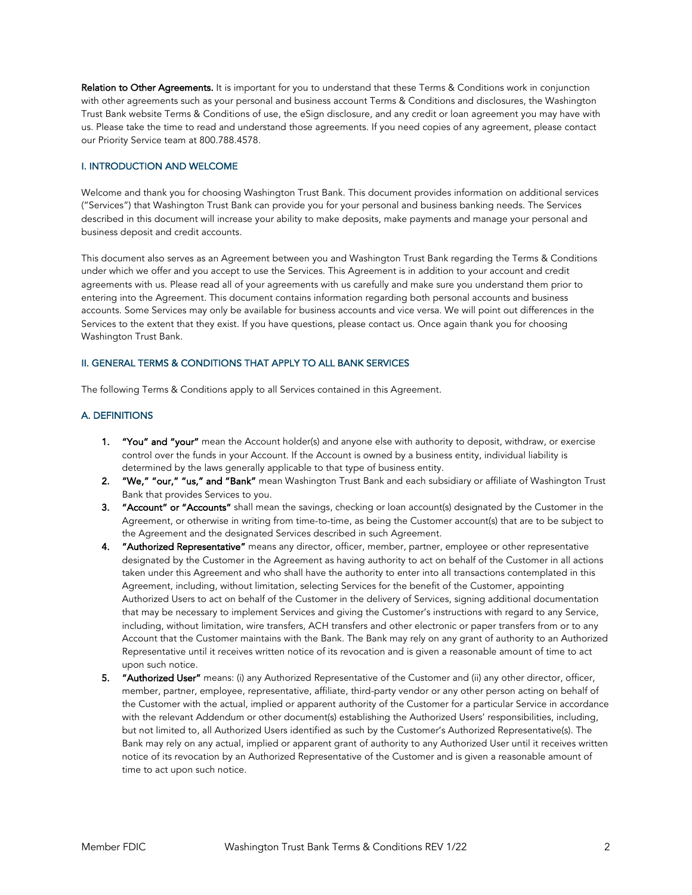Relation to Other Agreements. It is important for you to understand that these Terms & Conditions work in conjunction with other agreements such as your personal and business account Terms & Conditions and disclosures, the Washington Trust Bank website Terms & Conditions of use, the eSign disclosure, and any credit or loan agreement you may have with us. Please take the time to read and understand those agreements. If you need copies of any agreement, please contact our Priority Service team at 800.788.4578.

## I. INTRODUCTION AND WELCOME

Welcome and thank you for choosing Washington Trust Bank. This document provides information on additional services ("Services") that Washington Trust Bank can provide you for your personal and business banking needs. The Services described in this document will increase your ability to make deposits, make payments and manage your personal and business deposit and credit accounts.

This document also serves as an Agreement between you and Washington Trust Bank regarding the Terms & Conditions under which we offer and you accept to use the Services. This Agreement is in addition to your account and credit agreements with us. Please read all of your agreements with us carefully and make sure you understand them prior to entering into the Agreement. This document contains information regarding both personal accounts and business accounts. Some Services may only be available for business accounts and vice versa. We will point out differences in the Services to the extent that they exist. If you have questions, please contact us. Once again thank you for choosing Washington Trust Bank.

# II. GENERAL TERMS & CONDITIONS THAT APPLY TO ALL BANK SERVICES

The following Terms & Conditions apply to all Services contained in this Agreement.

#### A. DEFINITIONS

- 1. "You" and "your" mean the Account holder(s) and anyone else with authority to deposit, withdraw, or exercise control over the funds in your Account. If the Account is owned by a business entity, individual liability is determined by the laws generally applicable to that type of business entity.
- 2. "We," "our," "us," and "Bank" mean Washington Trust Bank and each subsidiary or affiliate of Washington Trust Bank that provides Services to you.
- 3. "Account" or "Accounts" shall mean the savings, checking or loan account(s) designated by the Customer in the Agreement, or otherwise in writing from time-to-time, as being the Customer account(s) that are to be subject to the Agreement and the designated Services described in such Agreement.
- 4. "Authorized Representative" means any director, officer, member, partner, employee or other representative designated by the Customer in the Agreement as having authority to act on behalf of the Customer in all actions taken under this Agreement and who shall have the authority to enter into all transactions contemplated in this Agreement, including, without limitation, selecting Services for the benefit of the Customer, appointing Authorized Users to act on behalf of the Customer in the delivery of Services, signing additional documentation that may be necessary to implement Services and giving the Customer's instructions with regard to any Service, including, without limitation, wire transfers, ACH transfers and other electronic or paper transfers from or to any Account that the Customer maintains with the Bank. The Bank may rely on any grant of authority to an Authorized Representative until it receives written notice of its revocation and is given a reasonable amount of time to act upon such notice.
- 5. "Authorized User" means: (i) any Authorized Representative of the Customer and (ii) any other director, officer, member, partner, employee, representative, affiliate, third-party vendor or any other person acting on behalf of the Customer with the actual, implied or apparent authority of the Customer for a particular Service in accordance with the relevant Addendum or other document(s) establishing the Authorized Users' responsibilities, including, but not limited to, all Authorized Users identified as such by the Customer's Authorized Representative(s). The Bank may rely on any actual, implied or apparent grant of authority to any Authorized User until it receives written notice of its revocation by an Authorized Representative of the Customer and is given a reasonable amount of time to act upon such notice.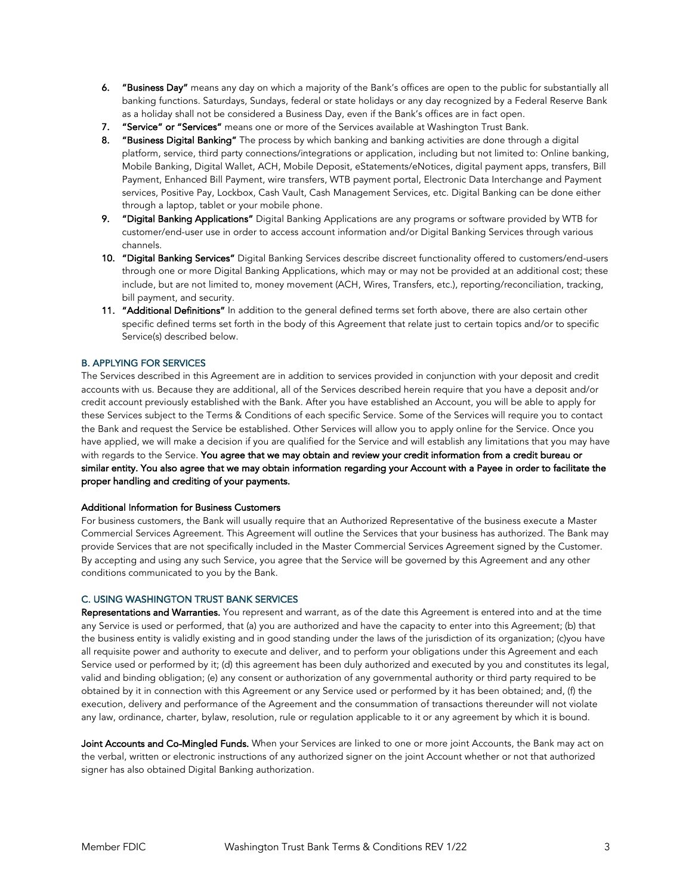- 6. "Business Day" means any day on which a majority of the Bank's offices are open to the public for substantially all banking functions. Saturdays, Sundays, federal or state holidays or any day recognized by a Federal Reserve Bank as a holiday shall not be considered a Business Day, even if the Bank's offices are in fact open.
- 7. "Service" or "Services" means one or more of the Services available at Washington Trust Bank.
- 8. "Business Digital Banking" The process by which banking and banking activities are done through a digital platform, service, third party connections/integrations or application, including but not limited to: Online banking, Mobile Banking, Digital Wallet, ACH, Mobile Deposit, eStatements/eNotices, digital payment apps, transfers, Bill Payment, Enhanced Bill Payment, wire transfers, WTB payment portal, Electronic Data Interchange and Payment services, Positive Pay, Lockbox, Cash Vault, Cash Management Services, etc. Digital Banking can be done either through a laptop, tablet or your mobile phone.
- 9. "Digital Banking Applications" Digital Banking Applications are any programs or software provided by WTB for customer/end-user use in order to access account information and/or Digital Banking Services through various channels.
- 10. "Digital Banking Services" Digital Banking Services describe discreet functionality offered to customers/end-users through one or more Digital Banking Applications, which may or may not be provided at an additional cost; these include, but are not limited to, money movement (ACH, Wires, Transfers, etc.), reporting/reconciliation, tracking, bill payment, and security.
- 11. "Additional Definitions" In addition to the general defined terms set forth above, there are also certain other specific defined terms set forth in the body of this Agreement that relate just to certain topics and/or to specific Service(s) described below.

## B. APPLYING FOR SERVICES

The Services described in this Agreement are in addition to services provided in conjunction with your deposit and credit accounts with us. Because they are additional, all of the Services described herein require that you have a deposit and/or credit account previously established with the Bank. After you have established an Account, you will be able to apply for these Services subject to the Terms & Conditions of each specific Service. Some of the Services will require you to contact the Bank and request the Service be established. Other Services will allow you to apply online for the Service. Once you have applied, we will make a decision if you are qualified for the Service and will establish any limitations that you may have with regards to the Service. You agree that we may obtain and review your credit information from a credit bureau or similar entity. You also agree that we may obtain information regarding your Account with a Payee in order to facilitate the proper handling and crediting of your payments.

#### Additional Information for Business Customers

For business customers, the Bank will usually require that an Authorized Representative of the business execute a Master Commercial Services Agreement. This Agreement will outline the Services that your business has authorized. The Bank may provide Services that are not specifically included in the Master Commercial Services Agreement signed by the Customer. By accepting and using any such Service, you agree that the Service will be governed by this Agreement and any other conditions communicated to you by the Bank.

## C. USING WASHINGTON TRUST BANK SERVICES

Representations and Warranties. You represent and warrant, as of the date this Agreement is entered into and at the time any Service is used or performed, that (a) you are authorized and have the capacity to enter into this Agreement; (b) that the business entity is validly existing and in good standing under the laws of the jurisdiction of its organization; (c)you have all requisite power and authority to execute and deliver, and to perform your obligations under this Agreement and each Service used or performed by it; (d) this agreement has been duly authorized and executed by you and constitutes its legal, valid and binding obligation; (e) any consent or authorization of any governmental authority or third party required to be obtained by it in connection with this Agreement or any Service used or performed by it has been obtained; and, (f) the execution, delivery and performance of the Agreement and the consummation of transactions thereunder will not violate any law, ordinance, charter, bylaw, resolution, rule or regulation applicable to it or any agreement by which it is bound.

Joint Accounts and Co-Mingled Funds. When your Services are linked to one or more joint Accounts, the Bank may act on the verbal, written or electronic instructions of any authorized signer on the joint Account whether or not that authorized signer has also obtained Digital Banking authorization.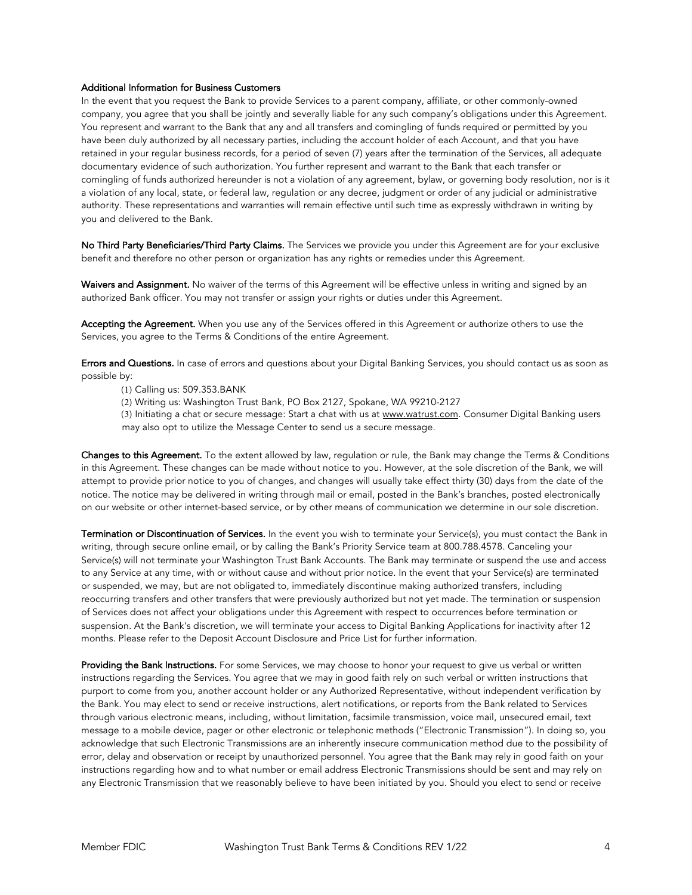#### Additional Information for Business Customers

In the event that you request the Bank to provide Services to a parent company, affiliate, or other commonly-owned company, you agree that you shall be jointly and severally liable for any such company's obligations under this Agreement. You represent and warrant to the Bank that any and all transfers and comingling of funds required or permitted by you have been duly authorized by all necessary parties, including the account holder of each Account, and that you have retained in your regular business records, for a period of seven (7) years after the termination of the Services, all adequate documentary evidence of such authorization. You further represent and warrant to the Bank that each transfer or comingling of funds authorized hereunder is not a violation of any agreement, bylaw, or governing body resolution, nor is it a violation of any local, state, or federal law, regulation or any decree, judgment or order of any judicial or administrative authority. These representations and warranties will remain effective until such time as expressly withdrawn in writing by you and delivered to the Bank.

No Third Party Beneficiaries/Third Party Claims. The Services we provide you under this Agreement are for your exclusive benefit and therefore no other person or organization has any rights or remedies under this Agreement.

Waivers and Assignment. No waiver of the terms of this Agreement will be effective unless in writing and signed by an authorized Bank officer. You may not transfer or assign your rights or duties under this Agreement.

Accepting the Agreement. When you use any of the Services offered in this Agreement or authorize others to use the Services, you agree to the Terms & Conditions of the entire Agreement.

Errors and Questions. In case of errors and questions about your Digital Banking Services, you should contact us as soon as possible by:

- (1) Calling us: 509.353.BANK
- (2) Writing us: Washington Trust Bank, PO Box 2127, Spokane, WA 99210-2127
- (3) Initiating a chat or secure message: Start a chat with us at [www.watrust.com.](www.watrust.com) Consumer Digital Banking users may also opt to utilize the Message Center to send us a secure message.

Changes to this Agreement. To the extent allowed by law, requlation or rule, the Bank may change the Terms & Conditions in this Agreement. These changes can be made without notice to you. However, at the sole discretion of the Bank, we will attempt to provide prior notice to you of changes, and changes will usually take effect thirty (30) days from the date of the notice. The notice may be delivered in writing through mail or email, posted in the Bank's branches, posted electronically on our website or other internet-based service, or by other means of communication we determine in our sole discretion.

Termination or Discontinuation of Services. In the event you wish to terminate your Service(s), you must contact the Bank in writing, through secure online email, or by calling the Bank's Priority Service team at 800.788.4578. Canceling your Service(s) will not terminate your Washington Trust Bank Accounts. The Bank may terminate or suspend the use and access to any Service at any time, with or without cause and without prior notice. In the event that your Service(s) are terminated or suspended, we may, but are not obligated to, immediately discontinue making authorized transfers, including reoccurring transfers and other transfers that were previously authorized but not yet made. The termination or suspension of Services does not affect your obligations under this Agreement with respect to occurrences before termination or suspension. At the Bank's discretion, we will terminate your access to Digital Banking Applications for inactivity after 12 months. Please refer to the Deposit Account Disclosure and Price List for further information.

Providing the Bank Instructions. For some Services, we may choose to honor your request to give us verbal or written instructions regarding the Services. You agree that we may in good faith rely on such verbal or written instructions that purport to come from you, another account holder or any Authorized Representative, without independent verification by the Bank. You may elect to send or receive instructions, alert notifications, or reports from the Bank related to Services through various electronic means, including, without limitation, facsimile transmission, voice mail, unsecured email, text message to a mobile device, pager or other electronic or telephonic methods ("Electronic Transmission"). In doing so, you acknowledge that such Electronic Transmissions are an inherently insecure communication method due to the possibility of error, delay and observation or receipt by unauthorized personnel. You agree that the Bank may rely in good faith on your instructions regarding how and to what number or email address Electronic Transmissions should be sent and may rely on any Electronic Transmission that we reasonably believe to have been initiated by you. Should you elect to send or receive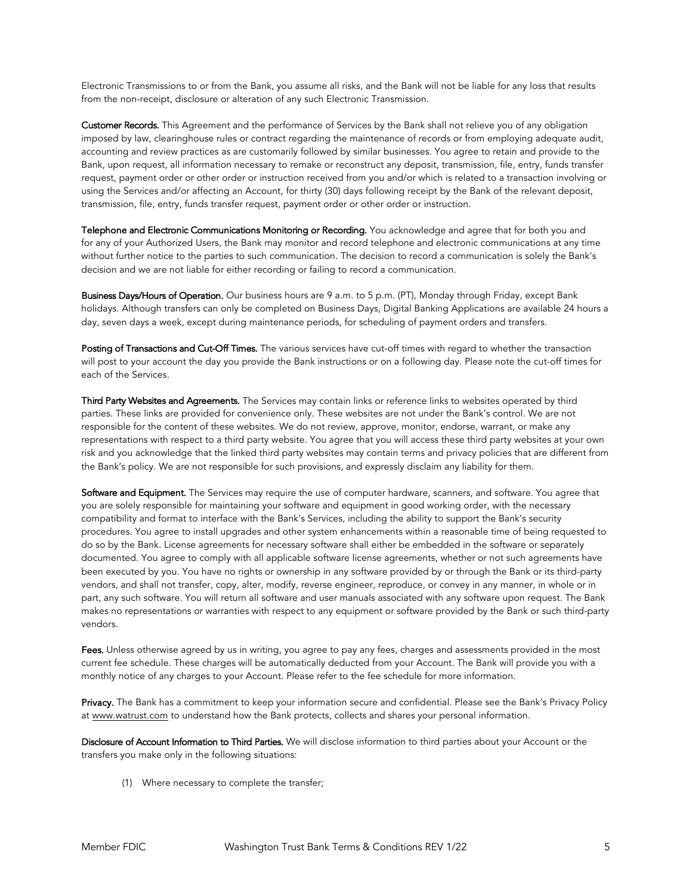Electronic Transmissions to or from the Bank, you assume all risks, and the Bank will not be liable for any loss that results from the non-receipt, disclosure or alteration of any such Electronic Transmission.

Customer Records. This Agreement and the performance of Services by the Bank shall not relieve you of any obligation imposed by law, clearinghouse rules or contract regarding the maintenance of records or from employing adequate audit, accounting and review practices as are customarily followed by similar businesses. You agree to retain and provide to the Bank, upon request, all information necessary to remake or reconstruct any deposit, transmission, file, entry, funds transfer request, payment order or other order or instruction received from you and/or which is related to a transaction involving or using the Services and/or affecting an Account, for thirty (30) days following receipt by the Bank of the relevant deposit, transmission, file, entry, funds transfer request, payment order or other order or instruction.

Telephone and Electronic Communications Monitoring or Recording. You acknowledge and agree that for both you and for any of your Authorized Users, the Bank may monitor and record telephone and electronic communications at any time without further notice to the parties to such communication. The decision to record a communication is solely the Bank's decision and we are not liable for either recording or failing to record a communication.

Business Days/Hours of Operation. Our business hours are 9 a.m. to 5 p.m. (PT), Monday through Friday, except Bank holidays. Although transfers can only be completed on Business Days, Digital Banking Applications are available 24 hours a day, seven days a week, except during maintenance periods, for scheduling of payment orders and transfers.

Posting of Transactions and Cut-Off Times. The various services have cut-off times with regard to whether the transaction will post to your account the day you provide the Bank instructions or on a following day. Please note the cut-off times for each of the Services.

Third Party Websites and Agreements. The Services may contain links or reference links to websites operated by third parties. These links are provided for convenience only. These websites are not under the Bank's control. We are not responsible for the content of these websites. We do not review, approve, monitor, endorse, warrant, or make any representations with respect to a third party website. You agree that you will access these third party websites at your own risk and you acknowledge that the linked third party websites may contain terms and privacy policies that are different from the Bank's policy. We are not responsible for such provisions, and expressly disclaim any liability for them.

Software and Equipment. The Services may require the use of computer hardware, scanners, and software. You agree that you are solely responsible for maintaining your software and equipment in good working order, with the necessary compatibility and format to interface with the Bank's Services, including the ability to support the Bank's security procedures. You agree to install upgrades and other system enhancements within a reasonable time of being requested to do so by the Bank. License agreements for necessary software shall either be embedded in the software or separately documented. You agree to comply with all applicable software license agreements, whether or not such agreements have been executed by you. You have no rights or ownership in any software provided by or through the Bank or its third-party vendors, and shall not transfer, copy, alter, modify, reverse engineer, reproduce, or convey in any manner, in whole or in part, any such software. You will return all software and user manuals associated with any software upon request. The Bank makes no representations or warranties with respect to any equipment or software provided by the Bank or such third-party vendors.

Fees. Unless otherwise agreed by us in writing, you agree to pay any fees, charges and assessments provided in the most current fee schedule. These charges will be automatically deducted from your Account. The Bank will provide you with a monthly notice of any charges to your Account. Please refer to the fee schedule for more information.

Privacy. The Bank has a commitment to keep your information secure and confidential. Please see the Bank's Privacy Policy at <www.watrust.com> to understand how the Bank protects, collects and shares your personal information.

Disclosure of Account Information to Third Parties. We will disclose information to third parties about your Account or the transfers you make only in the following situations:

(1) Where necessary to complete the transfer;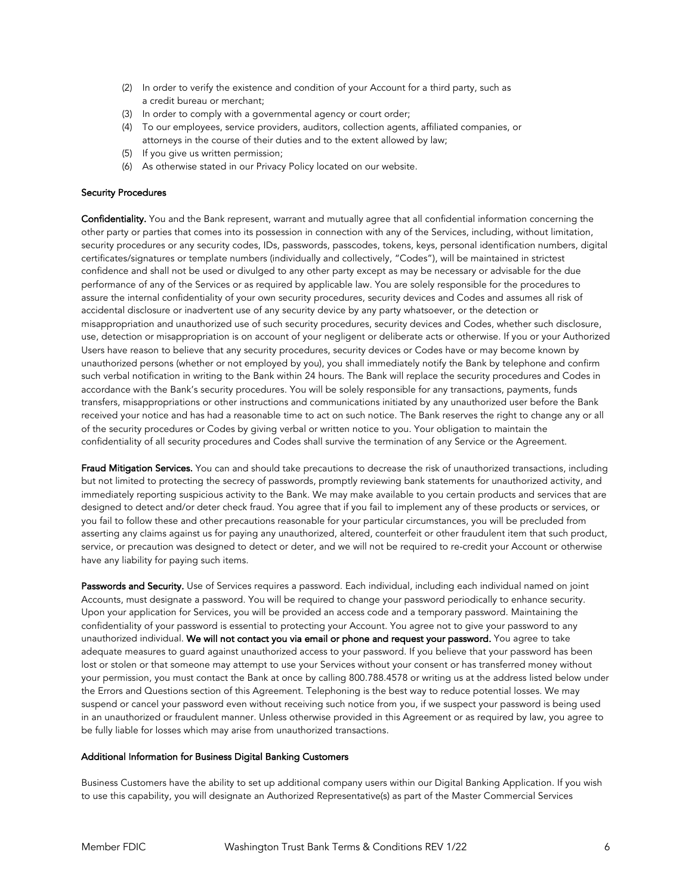- (2) In order to verify the existence and condition of your Account for a third party, such as a credit bureau or merchant;
- (3) In order to comply with a governmental agency or court order;
- (4) To our employees, service providers, auditors, collection agents, affiliated companies, or attorneys in the course of their duties and to the extent allowed by law;
- (5) If you give us written permission;
- (6) As otherwise stated in our Privacy Policy located on our website.

#### Security Procedures

Confidentiality. You and the Bank represent, warrant and mutually agree that all confidential information concerning the other party or parties that comes into its possession in connection with any of the Services, including, without limitation, security procedures or any security codes, IDs, passwords, passcodes, tokens, keys, personal identification numbers, digital certificates/signatures or template numbers (individually and collectively, "Codes"), will be maintained in strictest confidence and shall not be used or divulged to any other party except as may be necessary or advisable for the due performance of any of the Services or as required by applicable law. You are solely responsible for the procedures to assure the internal confidentiality of your own security procedures, security devices and Codes and assumes all risk of accidental disclosure or inadvertent use of any security device by any party whatsoever, or the detection or misappropriation and unauthorized use of such security procedures, security devices and Codes, whether such disclosure, use, detection or misappropriation is on account of your negligent or deliberate acts or otherwise. If you or your Authorized Users have reason to believe that any security procedures, security devices or Codes have or may become known by unauthorized persons (whether or not employed by you), you shall immediately notify the Bank by telephone and confirm such verbal notification in writing to the Bank within 24 hours. The Bank will replace the security procedures and Codes in accordance with the Bank's security procedures. You will be solely responsible for any transactions, payments, funds transfers, misappropriations or other instructions and communications initiated by any unauthorized user before the Bank received your notice and has had a reasonable time to act on such notice. The Bank reserves the right to change any or all of the security procedures or Codes by giving verbal or written notice to you. Your obligation to maintain the confidentiality of all security procedures and Codes shall survive the termination of any Service or the Agreement.

Fraud Mitigation Services. You can and should take precautions to decrease the risk of unauthorized transactions, including but not limited to protecting the secrecy of passwords, promptly reviewing bank statements for unauthorized activity, and immediately reporting suspicious activity to the Bank. We may make available to you certain products and services that are designed to detect and/or deter check fraud. You agree that if you fail to implement any of these products or services, or you fail to follow these and other precautions reasonable for your particular circumstances, you will be precluded from asserting any claims against us for paying any unauthorized, altered, counterfeit or other fraudulent item that such product, service, or precaution was designed to detect or deter, and we will not be required to re-credit your Account or otherwise have any liability for paying such items.

Passwords and Security. Use of Services requires a password. Each individual, including each individual named on joint Accounts, must designate a password. You will be required to change your password periodically to enhance security. Upon your application for Services, you will be provided an access code and a temporary password. Maintaining the confidentiality of your password is essential to protecting your Account. You agree not to give your password to any unauthorized individual. We will not contact you via email or phone and request your password. You agree to take adequate measures to guard against unauthorized access to your password. If you believe that your password has been lost or stolen or that someone may attempt to use your Services without your consent or has transferred money without your permission, you must contact the Bank at once by calling 800.788.4578 or writing us at the address listed below under the Errors and Questions section of this Agreement. Telephoning is the best way to reduce potential losses. We may suspend or cancel your password even without receiving such notice from you, if we suspect your password is being used in an unauthorized or fraudulent manner. Unless otherwise provided in this Agreement or as required by law, you agree to be fully liable for losses which may arise from unauthorized transactions.

#### Additional Information for Business Digital Banking Customers

Business Customers have the ability to set up additional company users within our Digital Banking Application. If you wish to use this capability, you will designate an Authorized Representative(s) as part of the Master Commercial Services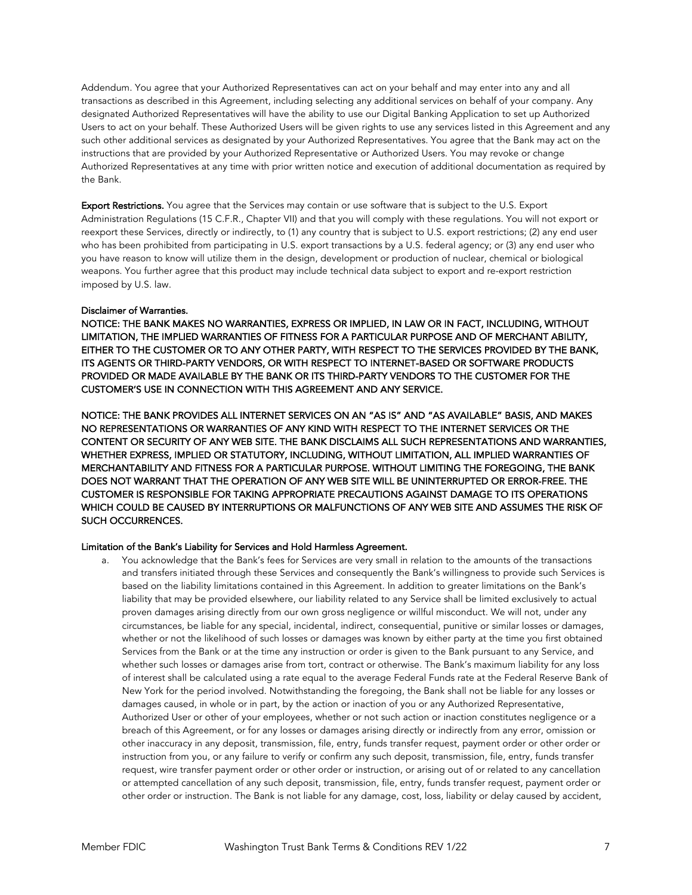Addendum. You agree that your Authorized Representatives can act on your behalf and may enter into any and all transactions as described in this Agreement, including selecting any additional services on behalf of your company. Any designated Authorized Representatives will have the ability to use our Digital Banking Application to set up Authorized Users to act on your behalf. These Authorized Users will be given rights to use any services listed in this Agreement and any such other additional services as designated by your Authorized Representatives. You agree that the Bank may act on the instructions that are provided by your Authorized Representative or Authorized Users. You may revoke or change Authorized Representatives at any time with prior written notice and execution of additional documentation as required by the Bank.

Export Restrictions. You agree that the Services may contain or use software that is subject to the U.S. Export Administration Regulations (15 C.F.R., Chapter VII) and that you will comply with these regulations. You will not export or reexport these Services, directly or indirectly, to (1) any country that is subject to U.S. export restrictions; (2) any end user who has been prohibited from participating in U.S. export transactions by a U.S. federal agency; or (3) any end user who you have reason to know will utilize them in the design, development or production of nuclear, chemical or biological weapons. You further agree that this product may include technical data subject to export and re-export restriction imposed by U.S. law.

## Disclaimer of Warranties.

NOTICE: THE BANK MAKES NO WARRANTIES, EXPRESS OR IMPLIED, IN LAW OR IN FACT, INCLUDING, WITHOUT LIMITATION, THE IMPLIED WARRANTIES OF FITNESS FOR A PARTICULAR PURPOSE AND OF MERCHANT ABILITY, EITHER TO THE CUSTOMER OR TO ANY OTHER PARTY, WITH RESPECT TO THE SERVICES PROVIDED BY THE BANK, ITS AGENTS OR THIRD-PARTY VENDORS, OR WITH RESPECT TO INTERNET-BASED OR SOFTWARE PRODUCTS PROVIDED OR MADE AVAILABLE BY THE BANK OR ITS THIRD-PARTY VENDORS TO THE CUSTOMER FOR THE CUSTOMER'S USE IN CONNECTION WITH THIS AGREEMENT AND ANY SERVICE.

NOTICE: THE BANK PROVIDES ALL INTERNET SERVICES ON AN "AS IS" AND "AS AVAILABLE" BASIS, AND MAKES NO REPRESENTATIONS OR WARRANTIES OF ANY KIND WITH RESPECT TO THE INTERNET SERVICES OR THE CONTENT OR SECURITY OF ANY WEB SITE. THE BANK DISCLAIMS ALL SUCH REPRESENTATIONS AND WARRANTIES, WHETHER EXPRESS, IMPLIED OR STATUTORY, INCLUDING, WITHOUT LIMITATION, ALL IMPLIED WARRANTIES OF MERCHANTABILITY AND FITNESS FOR A PARTICULAR PURPOSE. WITHOUT LIMITING THE FOREGOING, THE BANK DOES NOT WARRANT THAT THE OPERATION OF ANY WEB SITE WILL BE UNINTERRUPTED OR ERROR-FREE. THE CUSTOMER IS RESPONSIBLE FOR TAKING APPROPRIATE PRECAUTIONS AGAINST DAMAGE TO ITS OPERATIONS WHICH COULD BE CAUSED BY INTERRUPTIONS OR MALFUNCTIONS OF ANY WEB SITE AND ASSUMES THE RISK OF SUCH OCCURRENCES.

## Limitation of the Bank's Liability for Services and Hold Harmless Agreement.

a. You acknowledge that the Bank's fees for Services are very small in relation to the amounts of the transactions and transfers initiated through these Services and consequently the Bank's willingness to provide such Services is based on the liability limitations contained in this Agreement. In addition to greater limitations on the Bank's liability that may be provided elsewhere, our liability related to any Service shall be limited exclusively to actual proven damages arising directly from our own gross negligence or willful misconduct. We will not, under any circumstances, be liable for any special, incidental, indirect, consequential, punitive or similar losses or damages, whether or not the likelihood of such losses or damages was known by either party at the time you first obtained Services from the Bank or at the time any instruction or order is given to the Bank pursuant to any Service, and whether such losses or damages arise from tort, contract or otherwise. The Bank's maximum liability for any loss of interest shall be calculated using a rate equal to the average Federal Funds rate at the Federal Reserve Bank of New York for the period involved. Notwithstanding the foregoing, the Bank shall not be liable for any losses or damages caused, in whole or in part, by the action or inaction of you or any Authorized Representative, Authorized User or other of your employees, whether or not such action or inaction constitutes negligence or a breach of this Agreement, or for any losses or damages arising directly or indirectly from any error, omission or other inaccuracy in any deposit, transmission, file, entry, funds transfer request, payment order or other order or instruction from you, or any failure to verify or confirm any such deposit, transmission, file, entry, funds transfer request, wire transfer payment order or other order or instruction, or arising out of or related to any cancellation or attempted cancellation of any such deposit, transmission, file, entry, funds transfer request, payment order or other order or instruction. The Bank is not liable for any damage, cost, loss, liability or delay caused by accident,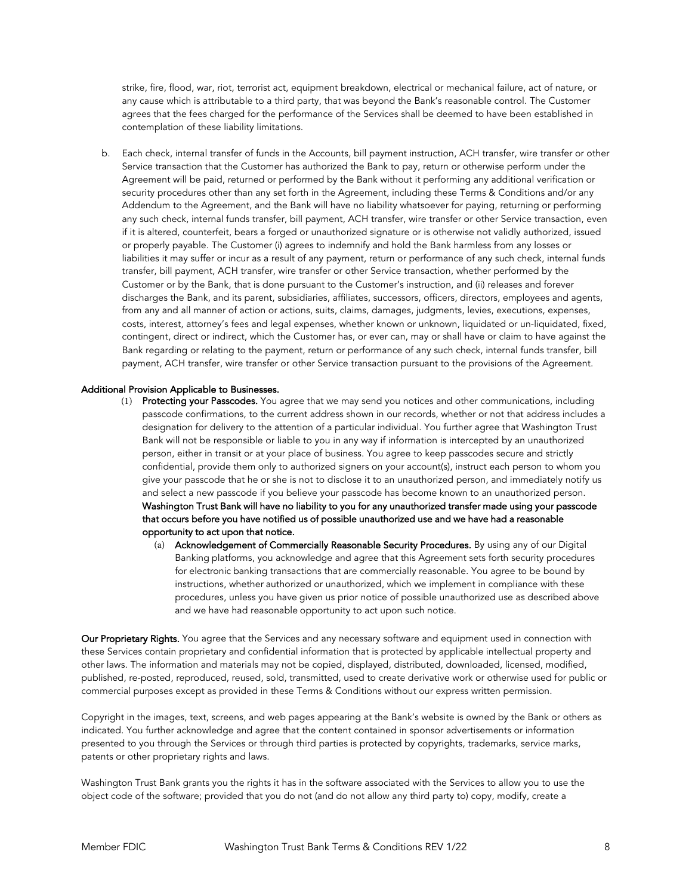strike, fire, flood, war, riot, terrorist act, equipment breakdown, electrical or mechanical failure, act of nature, or any cause which is attributable to a third party, that was beyond the Bank's reasonable control. The Customer agrees that the fees charged for the performance of the Services shall be deemed to have been established in contemplation of these liability limitations.

b. Each check, internal transfer of funds in the Accounts, bill payment instruction, ACH transfer, wire transfer or other Service transaction that the Customer has authorized the Bank to pay, return or otherwise perform under the Agreement will be paid, returned or performed by the Bank without it performing any additional verification or security procedures other than any set forth in the Agreement, including these Terms & Conditions and/or any Addendum to the Agreement, and the Bank will have no liability whatsoever for paying, returning or performing any such check, internal funds transfer, bill payment, ACH transfer, wire transfer or other Service transaction, even if it is altered, counterfeit, bears a forged or unauthorized signature or is otherwise not validly authorized, issued or properly payable. The Customer (i) agrees to indemnify and hold the Bank harmless from any losses or liabilities it may suffer or incur as a result of any payment, return or performance of any such check, internal funds transfer, bill payment, ACH transfer, wire transfer or other Service transaction, whether performed by the Customer or by the Bank, that is done pursuant to the Customer's instruction, and (ii) releases and forever discharges the Bank, and its parent, subsidiaries, affiliates, successors, officers, directors, employees and agents, from any and all manner of action or actions, suits, claims, damages, judgments, levies, executions, expenses, costs, interest, attorney's fees and legal expenses, whether known or unknown, liquidated or un-liquidated, fixed, contingent, direct or indirect, which the Customer has, or ever can, may or shall have or claim to have against the Bank regarding or relating to the payment, return or performance of any such check, internal funds transfer, bill payment, ACH transfer, wire transfer or other Service transaction pursuant to the provisions of the Agreement.

#### Additional Provision Applicable to Businesses.

- (1) Protecting your Passcodes. You agree that we may send you notices and other communications, including passcode confirmations, to the current address shown in our records, whether or not that address includes a designation for delivery to the attention of a particular individual. You further agree that Washington Trust Bank will not be responsible or liable to you in any way if information is intercepted by an unauthorized person, either in transit or at your place of business. You agree to keep passcodes secure and strictly confidential, provide them only to authorized signers on your account(s), instruct each person to whom you give your passcode that he or she is not to disclose it to an unauthorized person, and immediately notify us and select a new passcode if you believe your passcode has become known to an unauthorized person. Washington Trust Bank will have no liability to you for any unauthorized transfer made using your passcode that occurs before you have notified us of possible unauthorized use and we have had a reasonable opportunity to act upon that notice.
	- (a) Acknowledgement of Commercially Reasonable Security Procedures. By using any of our Digital Banking platforms, you acknowledge and agree that this Agreement sets forth security procedures for electronic banking transactions that are commercially reasonable. You agree to be bound by instructions, whether authorized or unauthorized, which we implement in compliance with these procedures, unless you have given us prior notice of possible unauthorized use as described above and we have had reasonable opportunity to act upon such notice.

Our Proprietary Rights. You agree that the Services and any necessary software and equipment used in connection with these Services contain proprietary and confidential information that is protected by applicable intellectual property and other laws. The information and materials may not be copied, displayed, distributed, downloaded, licensed, modified, published, re-posted, reproduced, reused, sold, transmitted, used to create derivative work or otherwise used for public or commercial purposes except as provided in these Terms & Conditions without our express written permission.

Copyright in the images, text, screens, and web pages appearing at the Bank's website is owned by the Bank or others as indicated. You further acknowledge and agree that the content contained in sponsor advertisements or information presented to you through the Services or through third parties is protected by copyrights, trademarks, service marks, patents or other proprietary rights and laws.

Washington Trust Bank grants you the rights it has in the software associated with the Services to allow you to use the object code of the software; provided that you do not (and do not allow any third party to) copy, modify, create a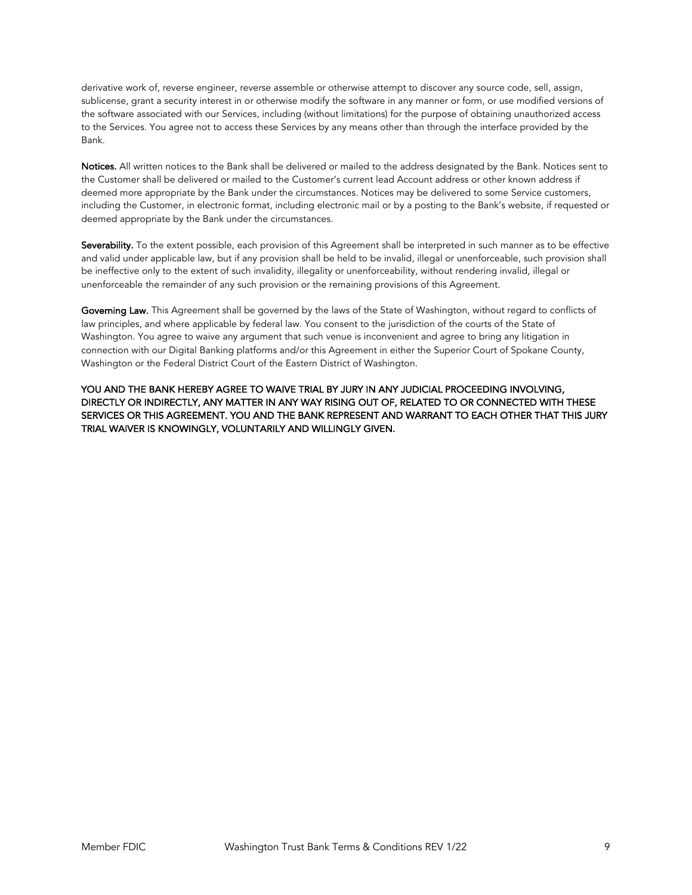derivative work of, reverse engineer, reverse assemble or otherwise attempt to discover any source code, sell, assign, sublicense, grant a security interest in or otherwise modify the software in any manner or form, or use modified versions of the software associated with our Services, including (without limitations) for the purpose of obtaining unauthorized access to the Services. You agree not to access these Services by any means other than through the interface provided by the Bank.

Notices. All written notices to the Bank shall be delivered or mailed to the address designated by the Bank. Notices sent to the Customer shall be delivered or mailed to the Customer's current lead Account address or other known address if deemed more appropriate by the Bank under the circumstances. Notices may be delivered to some Service customers, including the Customer, in electronic format, including electronic mail or by a posting to the Bank's website, if requested or deemed appropriate by the Bank under the circumstances.

Severability. To the extent possible, each provision of this Agreement shall be interpreted in such manner as to be effective and valid under applicable law, but if any provision shall be held to be invalid, illegal or unenforceable, such provision shall be ineffective only to the extent of such invalidity, illegality or unenforceability, without rendering invalid, illegal or unenforceable the remainder of any such provision or the remaining provisions of this Agreement.

Governing Law. This Agreement shall be governed by the laws of the State of Washington, without regard to conflicts of law principles, and where applicable by federal law. You consent to the jurisdiction of the courts of the State of Washington. You agree to waive any argument that such venue is inconvenient and agree to bring any litigation in connection with our Digital Banking platforms and/or this Agreement in either the Superior Court of Spokane County, Washington or the Federal District Court of the Eastern District of Washington.

YOU AND THE BANK HEREBY AGREE TO WAIVE TRIAL BY JURY IN ANY JUDICIAL PROCEEDING INVOLVING, DIRECTLY OR INDIRECTLY, ANY MATTER IN ANY WAY RISING OUT OF, RELATED TO OR CONNECTED WITH THESE SERVICES OR THIS AGREEMENT. YOU AND THE BANK REPRESENT AND WARRANT TO EACH OTHER THAT THIS JURY TRIAL WAIVER IS KNOWINGLY, VOLUNTARILY AND WILLINGLY GIVEN.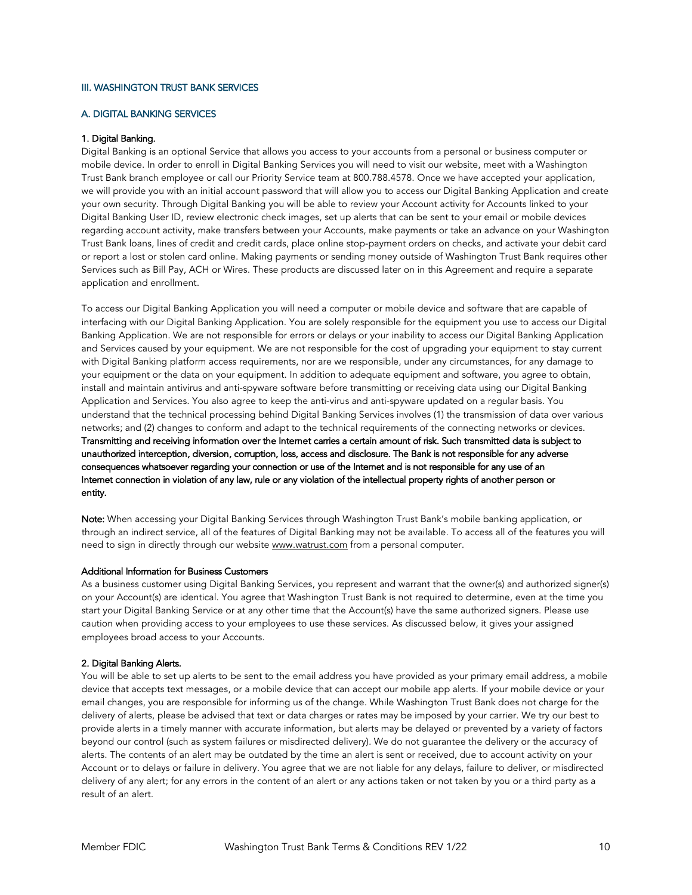#### III. WASHINGTON TRUST BANK SERVICES

#### A. DIGITAL BANKING SERVICES

#### 1. Digital Banking.

Digital Banking is an optional Service that allows you access to your accounts from a personal or business computer or mobile device. In order to enroll in Digital Banking Services you will need to visit our website, meet with a Washington Trust Bank branch employee or call our Priority Service team at 800.788.4578. Once we have accepted your application, we will provide you with an initial account password that will allow you to access our Digital Banking Application and create your own security. Through Digital Banking you will be able to review your Account activity for Accounts linked to your Digital Banking User ID, review electronic check images, set up alerts that can be sent to your email or mobile devices regarding account activity, make transfers between your Accounts, make payments or take an advance on your Washington Trust Bank loans, lines of credit and credit cards, place online stop-payment orders on checks, and activate your debit card or report a lost or stolen card online. Making payments or sending money outside of Washington Trust Bank requires other Services such as Bill Pay, ACH or Wires. These products are discussed later on in this Agreement and require a separate application and enrollment.

To access our Digital Banking Application you will need a computer or mobile device and software that are capable of interfacing with our Digital Banking Application. You are solely responsible for the equipment you use to access our Digital Banking Application. We are not responsible for errors or delays or your inability to access our Digital Banking Application and Services caused by your equipment. We are not responsible for the cost of upgrading your equipment to stay current with Digital Banking platform access requirements, nor are we responsible, under any circumstances, for any damage to your equipment or the data on your equipment. In addition to adequate equipment and software, you agree to obtain, install and maintain antivirus and anti-spyware software before transmitting or receiving data using our Digital Banking Application and Services. You also agree to keep the anti-virus and anti-spyware updated on a regular basis. You understand that the technical processing behind Digital Banking Services involves (1) the transmission of data over various networks; and (2) changes to conform and adapt to the technical requirements of the connecting networks or devices. Transmitting and receiving information over the Internet carries a certain amount of risk. Such transmitted data is subject to unauthorized interception, diversion, corruption, loss, access and disclosure. The Bank is not responsible for any adverse consequences whatsoever regarding your connection or use of the Internet and is not responsible for any use of an Internet connection in violation of any law, rule or any violation of the intellectual property rights of another person or entity.

Note: When accessing your Digital Banking Services through Washington Trust Bank's mobile banking application, or through an indirect service, all of the features of Digital Banking may not be available. To access all of the features you will need to sign in directly through our website <www.watrust.com>from a personal computer.

#### Additional Information for Business Customers

As a business customer using Digital Banking Services, you represent and warrant that the owner(s) and authorized signer(s) on your Account(s) are identical. You agree that Washington Trust Bank is not required to determine, even at the time you start your Digital Banking Service or at any other time that the Account(s) have the same authorized signers. Please use caution when providing access to your employees to use these services. As discussed below, it gives your assigned employees broad access to your Accounts.

#### 2. Digital Banking Alerts.

You will be able to set up alerts to be sent to the email address you have provided as your primary email address, a mobile device that accepts text messages, or a mobile device that can accept our mobile app alerts. If your mobile device or your email changes, you are responsible for informing us of the change. While Washington Trust Bank does not charge for the delivery of alerts, please be advised that text or data charges or rates may be imposed by your carrier. We try our best to provide alerts in a timely manner with accurate information, but alerts may be delayed or prevented by a variety of factors beyond our control (such as system failures or misdirected delivery). We do not guarantee the delivery or the accuracy of alerts. The contents of an alert may be outdated by the time an alert is sent or received, due to account activity on your Account or to delays or failure in delivery. You agree that we are not liable for any delays, failure to deliver, or misdirected delivery of any alert; for any errors in the content of an alert or any actions taken or not taken by you or a third party as a result of an alert.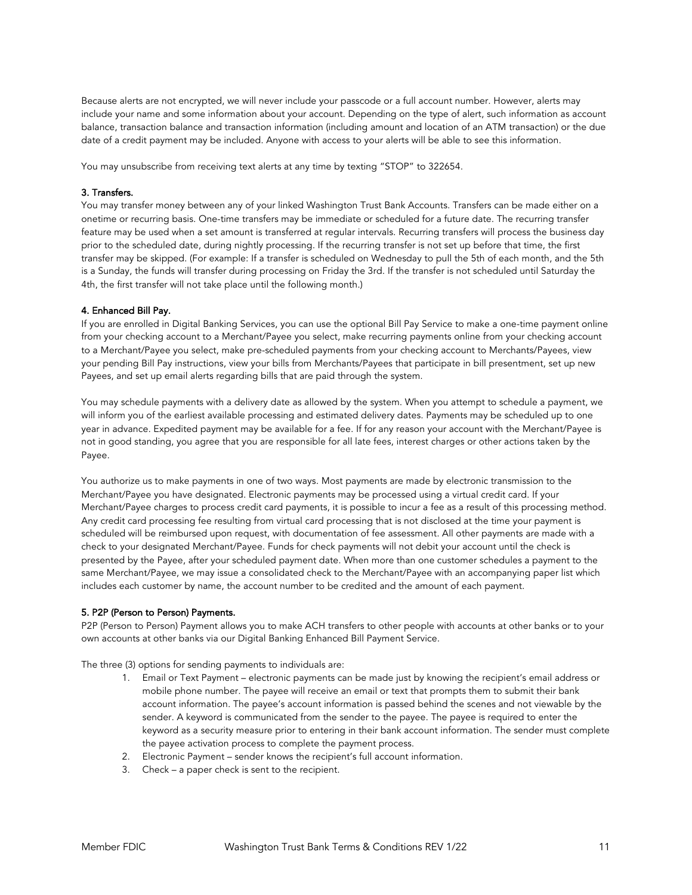Because alerts are not encrypted, we will never include your passcode or a full account number. However, alerts may include your name and some information about your account. Depending on the type of alert, such information as account balance, transaction balance and transaction information (including amount and location of an ATM transaction) or the due date of a credit payment may be included. Anyone with access to your alerts will be able to see this information.

You may unsubscribe from receiving text alerts at any time by texting "STOP" to 322654.

#### 3. Transfers.

You may transfer money between any of your linked Washington Trust Bank Accounts. Transfers can be made either on a onetime or recurring basis. One-time transfers may be immediate or scheduled for a future date. The recurring transfer feature may be used when a set amount is transferred at regular intervals. Recurring transfers will process the business day prior to the scheduled date, during nightly processing. If the recurring transfer is not set up before that time, the first transfer may be skipped. (For example: If a transfer is scheduled on Wednesday to pull the 5th of each month, and the 5th is a Sunday, the funds will transfer during processing on Friday the 3rd. If the transfer is not scheduled until Saturday the 4th, the first transfer will not take place until the following month.)

## 4. Enhanced Bill Pay.

If you are enrolled in Digital Banking Services, you can use the optional Bill Pay Service to make a one-time payment online from your checking account to a Merchant/Payee you select, make recurring payments online from your checking account to a Merchant/Payee you select, make pre-scheduled payments from your checking account to Merchants/Payees, view your pending Bill Pay instructions, view your bills from Merchants/Payees that participate in bill presentment, set up new Payees, and set up email alerts regarding bills that are paid through the system.

You may schedule payments with a delivery date as allowed by the system. When you attempt to schedule a payment, we will inform you of the earliest available processing and estimated delivery dates. Payments may be scheduled up to one year in advance. Expedited payment may be available for a fee. If for any reason your account with the Merchant/Payee is not in good standing, you agree that you are responsible for all late fees, interest charges or other actions taken by the Payee.

You authorize us to make payments in one of two ways. Most payments are made by electronic transmission to the Merchant/Payee you have designated. Electronic payments may be processed using a virtual credit card. If your Merchant/Payee charges to process credit card payments, it is possible to incur a fee as a result of this processing method. Any credit card processing fee resulting from virtual card processing that is not disclosed at the time your payment is scheduled will be reimbursed upon request, with documentation of fee assessment. All other payments are made with a check to your designated Merchant/Payee. Funds for check payments will not debit your account until the check is presented by the Payee, after your scheduled payment date. When more than one customer schedules a payment to the same Merchant/Payee, we may issue a consolidated check to the Merchant/Payee with an accompanying paper list which includes each customer by name, the account number to be credited and the amount of each payment.

#### 5. P2P (Person to Person) Payments.

P2P (Person to Person) Payment allows you to make ACH transfers to other people with accounts at other banks or to your own accounts at other banks via our Digital Banking Enhanced Bill Payment Service.

The three (3) options for sending payments to individuals are:

- 1. Email or Text Payment electronic payments can be made just by knowing the recipient's email address or mobile phone number. The payee will receive an email or text that prompts them to submit their bank account information. The payee's account information is passed behind the scenes and not viewable by the sender. A keyword is communicated from the sender to the payee. The payee is required to enter the keyword as a security measure prior to entering in their bank account information. The sender must complete the payee activation process to complete the payment process.
- 2. Electronic Payment sender knows the recipient's full account information.
- 3. Check a paper check is sent to the recipient.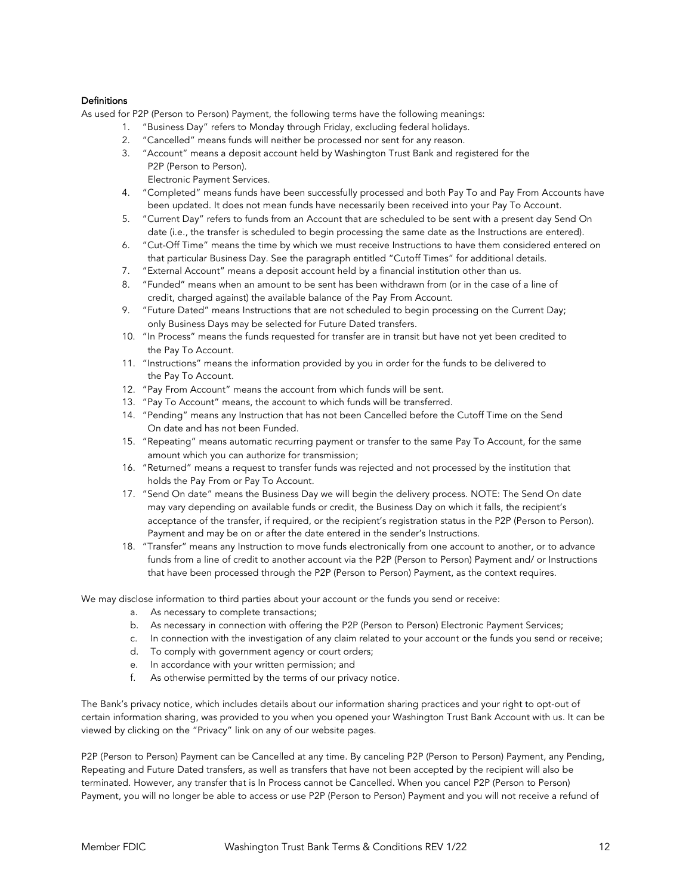# **Definitions**

As used for P2P (Person to Person) Payment, the following terms have the following meanings:

- 1. "Business Day" refers to Monday through Friday, excluding federal holidays.
- 2. "Cancelled" means funds will neither be processed nor sent for any reason.
- 3. "Account" means a deposit account held by Washington Trust Bank and registered for the P2P (Person to Person).
	- Electronic Payment Services.
- 4. "Completed" means funds have been successfully processed and both Pay To and Pay From Accounts have been updated. It does not mean funds have necessarily been received into your Pay To Account.
- 5. "Current Day" refers to funds from an Account that are scheduled to be sent with a present day Send On date (i.e., the transfer is scheduled to begin processing the same date as the Instructions are entered).
- 6. "Cut-Off Time" means the time by which we must receive Instructions to have them considered entered on that particular Business Day. See the paragraph entitled "Cutoff Times" for additional details.
- 7. "External Account" means a deposit account held by a financial institution other than us.
- 8. "Funded" means when an amount to be sent has been withdrawn from (or in the case of a line of credit, charged against) the available balance of the Pay From Account.
- 9. "Future Dated" means Instructions that are not scheduled to begin processing on the Current Day; only Business Days may be selected for Future Dated transfers.
- 10. "In Process" means the funds requested for transfer are in transit but have not yet been credited to the Pay To Account.
- 11. "Instructions" means the information provided by you in order for the funds to be delivered to the Pay To Account.
- 12. "Pay From Account" means the account from which funds will be sent.
- 13. "Pay To Account" means, the account to which funds will be transferred.
- 14. "Pending" means any Instruction that has not been Cancelled before the Cutoff Time on the Send On date and has not been Funded.
- 15. "Repeating" means automatic recurring payment or transfer to the same Pay To Account, for the same amount which you can authorize for transmission;
- 16. "Returned" means a request to transfer funds was rejected and not processed by the institution that holds the Pay From or Pay To Account.
- 17. "Send On date" means the Business Day we will begin the delivery process. NOTE: The Send On date may vary depending on available funds or credit, the Business Day on which it falls, the recipient's acceptance of the transfer, if required, or the recipient's registration status in the P2P (Person to Person). Payment and may be on or after the date entered in the sender's Instructions.
- 18. "Transfer" means any Instruction to move funds electronically from one account to another, or to advance funds from a line of credit to another account via the P2P (Person to Person) Payment and/ or Instructions that have been processed through the P2P (Person to Person) Payment, as the context requires.

We may disclose information to third parties about your account or the funds you send or receive:

- a. As necessary to complete transactions;
- b. As necessary in connection with offering the P2P (Person to Person) Electronic Payment Services;
- c. In connection with the investigation of any claim related to your account or the funds you send or receive;
- d. To comply with government agency or court orders;
- e. In accordance with your written permission; and
- f. As otherwise permitted by the terms of our privacy notice.

The Bank's privacy notice, which includes details about our information sharing practices and your right to opt-out of certain information sharing, was provided to you when you opened your Washington Trust Bank Account with us. It can be viewed by clicking on the "Privacy" link on any of our website pages.

P2P (Person to Person) Payment can be Cancelled at any time. By canceling P2P (Person to Person) Payment, any Pending, Repeating and Future Dated transfers, as well as transfers that have not been accepted by the recipient will also be terminated. However, any transfer that is In Process cannot be Cancelled. When you cancel P2P (Person to Person) Payment, you will no longer be able to access or use P2P (Person to Person) Payment and you will not receive a refund of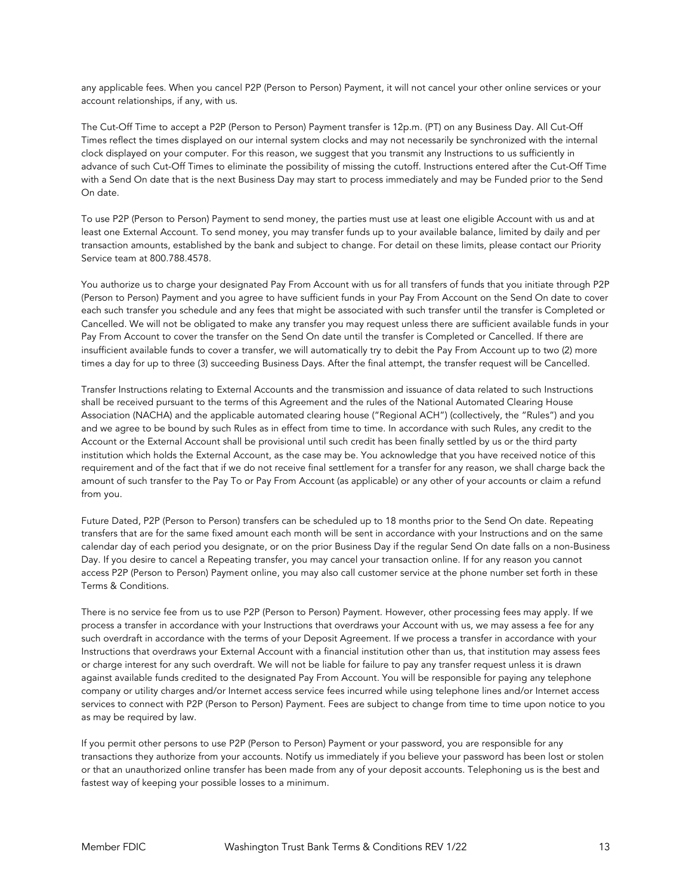any applicable fees. When you cancel P2P (Person to Person) Payment, it will not cancel your other online services or your account relationships, if any, with us.

The Cut-Off Time to accept a P2P (Person to Person) Payment transfer is 12p.m. (PT) on any Business Day. All Cut-Off Times reflect the times displayed on our internal system clocks and may not necessarily be synchronized with the internal clock displayed on your computer. For this reason, we suggest that you transmit any Instructions to us sufficiently in advance of such Cut-Off Times to eliminate the possibility of missing the cutoff. Instructions entered after the Cut-Off Time with a Send On date that is the next Business Day may start to process immediately and may be Funded prior to the Send On date.

To use P2P (Person to Person) Payment to send money, the parties must use at least one eligible Account with us and at least one External Account. To send money, you may transfer funds up to your available balance, limited by daily and per transaction amounts, established by the bank and subject to change. For detail on these limits, please contact our Priority Service team at 800.788.4578.

You authorize us to charge your designated Pay From Account with us for all transfers of funds that you initiate through P2P (Person to Person) Payment and you agree to have sufficient funds in your Pay From Account on the Send On date to cover each such transfer you schedule and any fees that might be associated with such transfer until the transfer is Completed or Cancelled. We will not be obligated to make any transfer you may request unless there are sufficient available funds in your Pay From Account to cover the transfer on the Send On date until the transfer is Completed or Cancelled. If there are insufficient available funds to cover a transfer, we will automatically try to debit the Pay From Account up to two (2) more times a day for up to three (3) succeeding Business Days. After the final attempt, the transfer request will be Cancelled.

Transfer Instructions relating to External Accounts and the transmission and issuance of data related to such Instructions shall be received pursuant to the terms of this Agreement and the rules of the National Automated Clearing House Association (NACHA) and the applicable automated clearing house ("Regional ACH") (collectively, the "Rules") and you and we agree to be bound by such Rules as in effect from time to time. In accordance with such Rules, any credit to the Account or the External Account shall be provisional until such credit has been finally settled by us or the third party institution which holds the External Account, as the case may be. You acknowledge that you have received notice of this requirement and of the fact that if we do not receive final settlement for a transfer for any reason, we shall charge back the amount of such transfer to the Pay To or Pay From Account (as applicable) or any other of your accounts or claim a refund from you.

Future Dated, P2P (Person to Person) transfers can be scheduled up to 18 months prior to the Send On date. Repeating transfers that are for the same fixed amount each month will be sent in accordance with your Instructions and on the same calendar day of each period you designate, or on the prior Business Day if the regular Send On date falls on a non-Business Day. If you desire to cancel a Repeating transfer, you may cancel your transaction online. If for any reason you cannot access P2P (Person to Person) Payment online, you may also call customer service at the phone number set forth in these Terms & Conditions.

There is no service fee from us to use P2P (Person to Person) Payment. However, other processing fees may apply. If we process a transfer in accordance with your Instructions that overdraws your Account with us, we may assess a fee for any such overdraft in accordance with the terms of your Deposit Agreement. If we process a transfer in accordance with your Instructions that overdraws your External Account with a financial institution other than us, that institution may assess fees or charge interest for any such overdraft. We will not be liable for failure to pay any transfer request unless it is drawn against available funds credited to the designated Pay From Account. You will be responsible for paying any telephone company or utility charges and/or Internet access service fees incurred while using telephone lines and/or Internet access services to connect with P2P (Person to Person) Payment. Fees are subject to change from time to time upon notice to you as may be required by law.

If you permit other persons to use P2P (Person to Person) Payment or your password, you are responsible for any transactions they authorize from your accounts. Notify us immediately if you believe your password has been lost or stolen or that an unauthorized online transfer has been made from any of your deposit accounts. Telephoning us is the best and fastest way of keeping your possible losses to a minimum.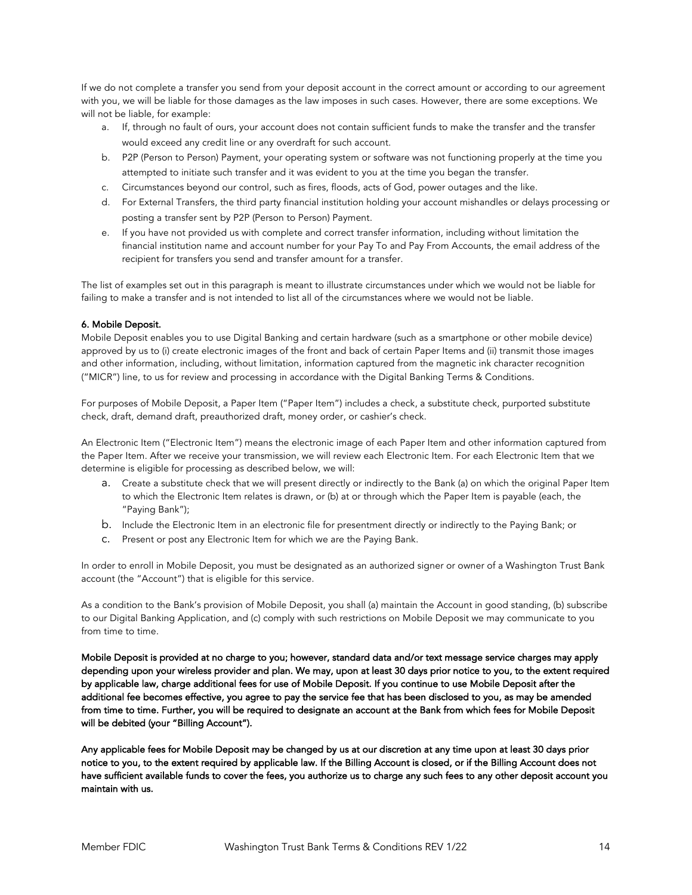If we do not complete a transfer you send from your deposit account in the correct amount or according to our agreement with you, we will be liable for those damages as the law imposes in such cases. However, there are some exceptions. We will not be liable, for example:

- a. If, through no fault of ours, your account does not contain sufficient funds to make the transfer and the transfer would exceed any credit line or any overdraft for such account.
- b. P2P (Person to Person) Payment, your operating system or software was not functioning properly at the time you attempted to initiate such transfer and it was evident to you at the time you began the transfer.
- c. Circumstances beyond our control, such as fires, floods, acts of God, power outages and the like.
- d. For External Transfers, the third party financial institution holding your account mishandles or delays processing or posting a transfer sent by P2P (Person to Person) Payment.
- e. If you have not provided us with complete and correct transfer information, including without limitation the financial institution name and account number for your Pay To and Pay From Accounts, the email address of the recipient for transfers you send and transfer amount for a transfer.

The list of examples set out in this paragraph is meant to illustrate circumstances under which we would not be liable for failing to make a transfer and is not intended to list all of the circumstances where we would not be liable.

# 6. Mobile Deposit.

Mobile Deposit enables you to use Digital Banking and certain hardware (such as a smartphone or other mobile device) approved by us to (i) create electronic images of the front and back of certain Paper Items and (ii) transmit those images and other information, including, without limitation, information captured from the magnetic ink character recognition ("MICR") line, to us for review and processing in accordance with the Digital Banking Terms & Conditions.

For purposes of Mobile Deposit, a Paper Item ("Paper Item") includes a check, a substitute check, purported substitute check, draft, demand draft, preauthorized draft, money order, or cashier's check.

An Electronic Item ("Electronic Item") means the electronic image of each Paper Item and other information captured from the Paper Item. After we receive your transmission, we will review each Electronic Item. For each Electronic Item that we determine is eligible for processing as described below, we will:

- a. Create a substitute check that we will present directly or indirectly to the Bank (a) on which the original Paper Item to which the Electronic Item relates is drawn, or (b) at or through which the Paper Item is payable (each, the "Paying Bank");
- b. Include the Electronic Item in an electronic file for presentment directly or indirectly to the Paying Bank; or
- c. Present or post any Electronic Item for which we are the Paying Bank.

In order to enroll in Mobile Deposit, you must be designated as an authorized signer or owner of a Washington Trust Bank account (the "Account") that is eligible for this service.

As a condition to the Bank's provision of Mobile Deposit, you shall (a) maintain the Account in good standing, (b) subscribe to our Digital Banking Application, and (c) comply with such restrictions on Mobile Deposit we may communicate to you from time to time.

Mobile Deposit is provided at no charge to you; however, standard data and/or text message service charges may apply depending upon your wireless provider and plan. We may, upon at least 30 days prior notice to you, to the extent required by applicable law, charge additional fees for use of Mobile Deposit. If you continue to use Mobile Deposit after the additional fee becomes effective, you agree to pay the service fee that has been disclosed to you, as may be amended from time to time. Further, you will be required to designate an account at the Bank from which fees for Mobile Deposit will be debited (your "Billing Account").

Any applicable fees for Mobile Deposit may be changed by us at our discretion at any time upon at least 30 days prior notice to you, to the extent required by applicable law. If the Billing Account is closed, or if the Billing Account does not have sufficient available funds to cover the fees, you authorize us to charge any such fees to any other deposit account you maintain with us.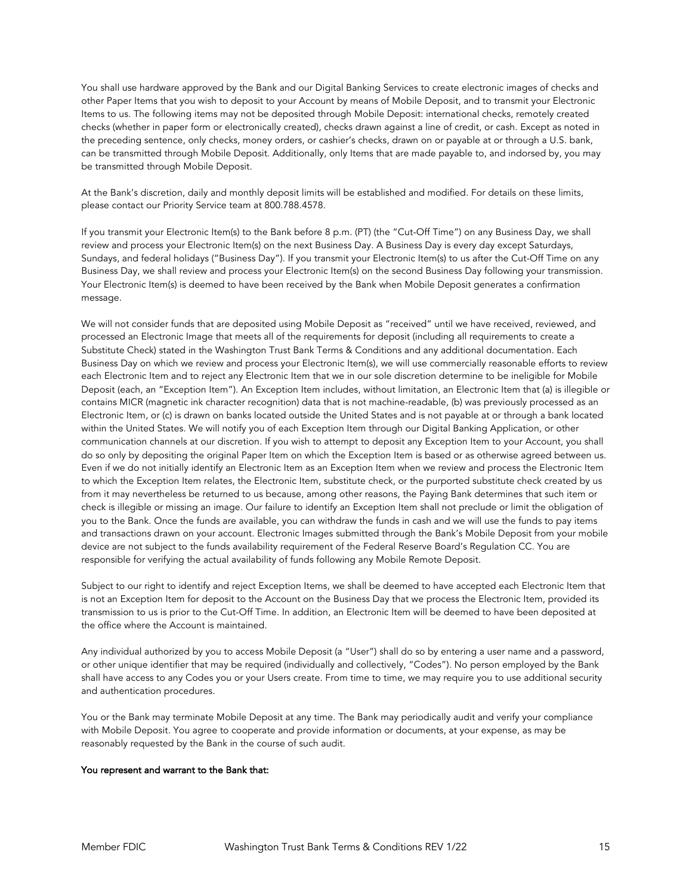You shall use hardware approved by the Bank and our Digital Banking Services to create electronic images of checks and other Paper Items that you wish to deposit to your Account by means of Mobile Deposit, and to transmit your Electronic Items to us. The following items may not be deposited through Mobile Deposit: international checks, remotely created checks (whether in paper form or electronically created), checks drawn against a line of credit, or cash. Except as noted in the preceding sentence, only checks, money orders, or cashier's checks, drawn on or payable at or through a U.S. bank, can be transmitted through Mobile Deposit. Additionally, only Items that are made payable to, and indorsed by, you may be transmitted through Mobile Deposit.

At the Bank's discretion, daily and monthly deposit limits will be established and modified. For details on these limits, please contact our Priority Service team at 800.788.4578.

If you transmit your Electronic Item(s) to the Bank before 8 p.m. (PT) (the "Cut-Off Time") on any Business Day, we shall review and process your Electronic Item(s) on the next Business Day. A Business Day is every day except Saturdays, Sundays, and federal holidays ("Business Day"). If you transmit your Electronic Item(s) to us after the Cut-Off Time on any Business Day, we shall review and process your Electronic Item(s) on the second Business Day following your transmission. Your Electronic Item(s) is deemed to have been received by the Bank when Mobile Deposit generates a confirmation message.

We will not consider funds that are deposited using Mobile Deposit as "received" until we have received, reviewed, and processed an Electronic Image that meets all of the requirements for deposit (including all requirements to create a Substitute Check) stated in the Washington Trust Bank Terms & Conditions and any additional documentation. Each Business Day on which we review and process your Electronic Item(s), we will use commercially reasonable efforts to review each Electronic Item and to reject any Electronic Item that we in our sole discretion determine to be ineligible for Mobile Deposit (each, an "Exception Item"). An Exception Item includes, without limitation, an Electronic Item that (a) is illegible or contains MICR (magnetic ink character recognition) data that is not machine-readable, (b) was previously processed as an Electronic Item, or (c) is drawn on banks located outside the United States and is not payable at or through a bank located within the United States. We will notify you of each Exception Item through our Digital Banking Application, or other communication channels at our discretion. If you wish to attempt to deposit any Exception Item to your Account, you shall do so only by depositing the original Paper Item on which the Exception Item is based or as otherwise agreed between us. Even if we do not initially identify an Electronic Item as an Exception Item when we review and process the Electronic Item to which the Exception Item relates, the Electronic Item, substitute check, or the purported substitute check created by us from it may nevertheless be returned to us because, among other reasons, the Paying Bank determines that such item or check is illegible or missing an image. Our failure to identify an Exception Item shall not preclude or limit the obligation of you to the Bank. Once the funds are available, you can withdraw the funds in cash and we will use the funds to pay items and transactions drawn on your account. Electronic Images submitted through the Bank's Mobile Deposit from your mobile device are not subject to the funds availability requirement of the Federal Reserve Board's Regulation CC. You are responsible for verifying the actual availability of funds following any Mobile Remote Deposit.

Subject to our right to identify and reject Exception Items, we shall be deemed to have accepted each Electronic Item that is not an Exception Item for deposit to the Account on the Business Day that we process the Electronic Item, provided its transmission to us is prior to the Cut-Off Time. In addition, an Electronic Item will be deemed to have been deposited at the office where the Account is maintained.

Any individual authorized by you to access Mobile Deposit (a "User") shall do so by entering a user name and a password, or other unique identifier that may be required (individually and collectively, "Codes"). No person employed by the Bank shall have access to any Codes you or your Users create. From time to time, we may require you to use additional security and authentication procedures.

You or the Bank may terminate Mobile Deposit at any time. The Bank may periodically audit and verify your compliance with Mobile Deposit. You agree to cooperate and provide information or documents, at your expense, as may be reasonably requested by the Bank in the course of such audit.

#### You represent and warrant to the Bank that: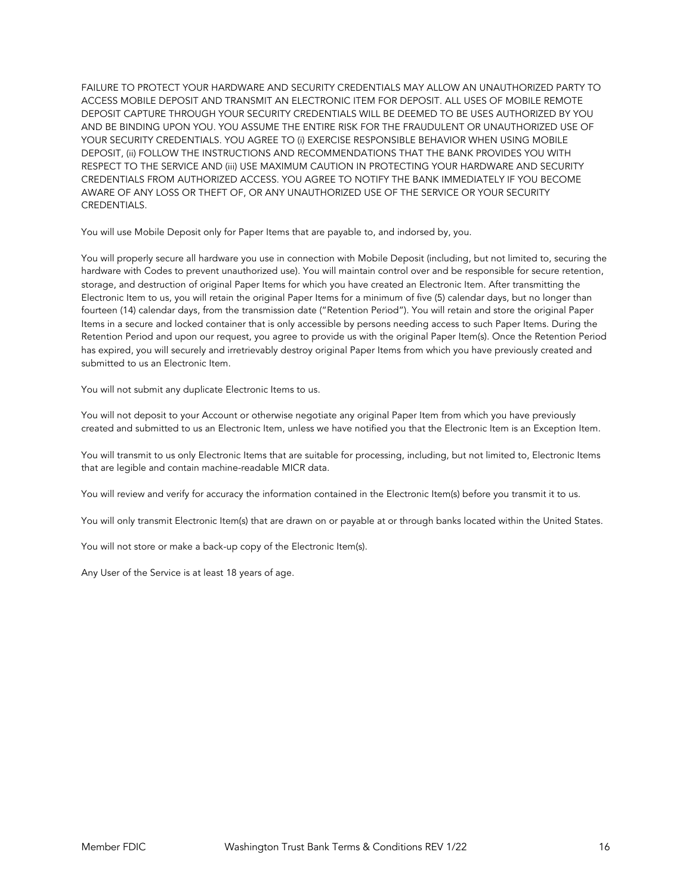FAILURE TO PROTECT YOUR HARDWARE AND SECURITY CREDENTIALS MAY ALLOW AN UNAUTHORIZED PARTY TO ACCESS MOBILE DEPOSIT AND TRANSMIT AN ELECTRONIC ITEM FOR DEPOSIT. ALL USES OF MOBILE REMOTE DEPOSIT CAPTURE THROUGH YOUR SECURITY CREDENTIALS WILL BE DEEMED TO BE USES AUTHORIZED BY YOU AND BE BINDING UPON YOU. YOU ASSUME THE ENTIRE RISK FOR THE FRAUDULENT OR UNAUTHORIZED USE OF YOUR SECURITY CREDENTIALS. YOU AGREE TO (i) EXERCISE RESPONSIBLE BEHAVIOR WHEN USING MOBILE DEPOSIT, (ii) FOLLOW THE INSTRUCTIONS AND RECOMMENDATIONS THAT THE BANK PROVIDES YOU WITH RESPECT TO THE SERVICE AND (iii) USE MAXIMUM CAUTION IN PROTECTING YOUR HARDWARE AND SECURITY CREDENTIALS FROM AUTHORIZED ACCESS. YOU AGREE TO NOTIFY THE BANK IMMEDIATELY IF YOU BECOME AWARE OF ANY LOSS OR THEFT OF, OR ANY UNAUTHORIZED USE OF THE SERVICE OR YOUR SECURITY CREDENTIALS.

You will use Mobile Deposit only for Paper Items that are payable to, and indorsed by, you.

You will properly secure all hardware you use in connection with Mobile Deposit (including, but not limited to, securing the hardware with Codes to prevent unauthorized use). You will maintain control over and be responsible for secure retention, storage, and destruction of original Paper Items for which you have created an Electronic Item. After transmitting the Electronic Item to us, you will retain the original Paper Items for a minimum of five (5) calendar days, but no longer than fourteen (14) calendar days, from the transmission date ("Retention Period"). You will retain and store the original Paper Items in a secure and locked container that is only accessible by persons needing access to such Paper Items. During the Retention Period and upon our request, you agree to provide us with the original Paper Item(s). Once the Retention Period has expired, you will securely and irretrievably destroy original Paper Items from which you have previously created and submitted to us an Electronic Item.

You will not submit any duplicate Electronic Items to us.

You will not deposit to your Account or otherwise negotiate any original Paper Item from which you have previously created and submitted to us an Electronic Item, unless we have notified you that the Electronic Item is an Exception Item.

You will transmit to us only Electronic Items that are suitable for processing, including, but not limited to, Electronic Items that are legible and contain machine-readable MICR data.

You will review and verify for accuracy the information contained in the Electronic Item(s) before you transmit it to us.

You will only transmit Electronic Item(s) that are drawn on or payable at or through banks located within the United States.

You will not store or make a back-up copy of the Electronic Item(s).

Any User of the Service is at least 18 years of age.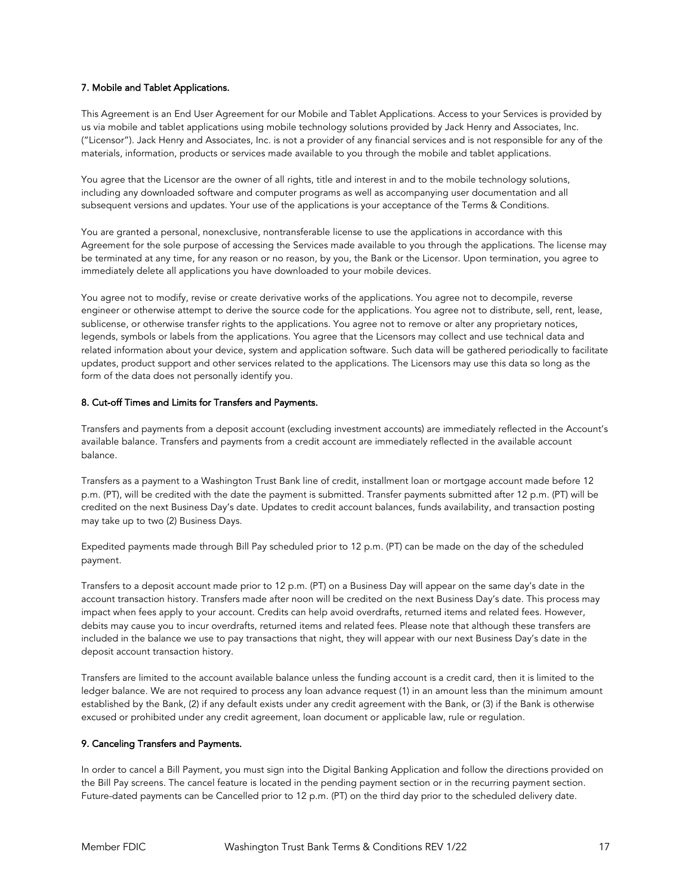## 7. Mobile and Tablet Applications.

This Agreement is an End User Agreement for our Mobile and Tablet Applications. Access to your Services is provided by us via mobile and tablet applications using mobile technology solutions provided by Jack Henry and Associates, Inc. ("Licensor"). Jack Henry and Associates, Inc. is not a provider of any financial services and is not responsible for any of the materials, information, products or services made available to you through the mobile and tablet applications.

You agree that the Licensor are the owner of all rights, title and interest in and to the mobile technology solutions, including any downloaded software and computer programs as well as accompanying user documentation and all subsequent versions and updates. Your use of the applications is your acceptance of the Terms & Conditions.

You are granted a personal, nonexclusive, nontransferable license to use the applications in accordance with this Agreement for the sole purpose of accessing the Services made available to you through the applications. The license may be terminated at any time, for any reason or no reason, by you, the Bank or the Licensor. Upon termination, you agree to immediately delete all applications you have downloaded to your mobile devices.

You agree not to modify, revise or create derivative works of the applications. You agree not to decompile, reverse engineer or otherwise attempt to derive the source code for the applications. You agree not to distribute, sell, rent, lease, sublicense, or otherwise transfer rights to the applications. You agree not to remove or alter any proprietary notices, legends, symbols or labels from the applications. You agree that the Licensors may collect and use technical data and related information about your device, system and application software. Such data will be gathered periodically to facilitate updates, product support and other services related to the applications. The Licensors may use this data so long as the form of the data does not personally identify you.

## 8. Cut-off Times and Limits for Transfers and Payments.

Transfers and payments from a deposit account (excluding investment accounts) are immediately reflected in the Account's available balance. Transfers and payments from a credit account are immediately reflected in the available account balance.

Transfers as a payment to a Washington Trust Bank line of credit, installment loan or mortgage account made before 12 p.m. (PT), will be credited with the date the payment is submitted. Transfer payments submitted after 12 p.m. (PT) will be credited on the next Business Day's date. Updates to credit account balances, funds availability, and transaction posting may take up to two (2) Business Days.

Expedited payments made through Bill Pay scheduled prior to 12 p.m. (PT) can be made on the day of the scheduled payment.

Transfers to a deposit account made prior to 12 p.m. (PT) on a Business Day will appear on the same day's date in the account transaction history. Transfers made after noon will be credited on the next Business Day's date. This process may impact when fees apply to your account. Credits can help avoid overdrafts, returned items and related fees. However, debits may cause you to incur overdrafts, returned items and related fees. Please note that although these transfers are included in the balance we use to pay transactions that night, they will appear with our next Business Day's date in the deposit account transaction history.

Transfers are limited to the account available balance unless the funding account is a credit card, then it is limited to the ledger balance. We are not required to process any loan advance request (1) in an amount less than the minimum amount established by the Bank, (2) if any default exists under any credit agreement with the Bank, or (3) if the Bank is otherwise excused or prohibited under any credit agreement, loan document or applicable law, rule or regulation.

# 9. Canceling Transfers and Payments.

In order to cancel a Bill Payment, you must sign into the Digital Banking Application and follow the directions provided on the Bill Pay screens. The cancel feature is located in the pending payment section or in the recurring payment section. Future-dated payments can be Cancelled prior to 12 p.m. (PT) on the third day prior to the scheduled delivery date.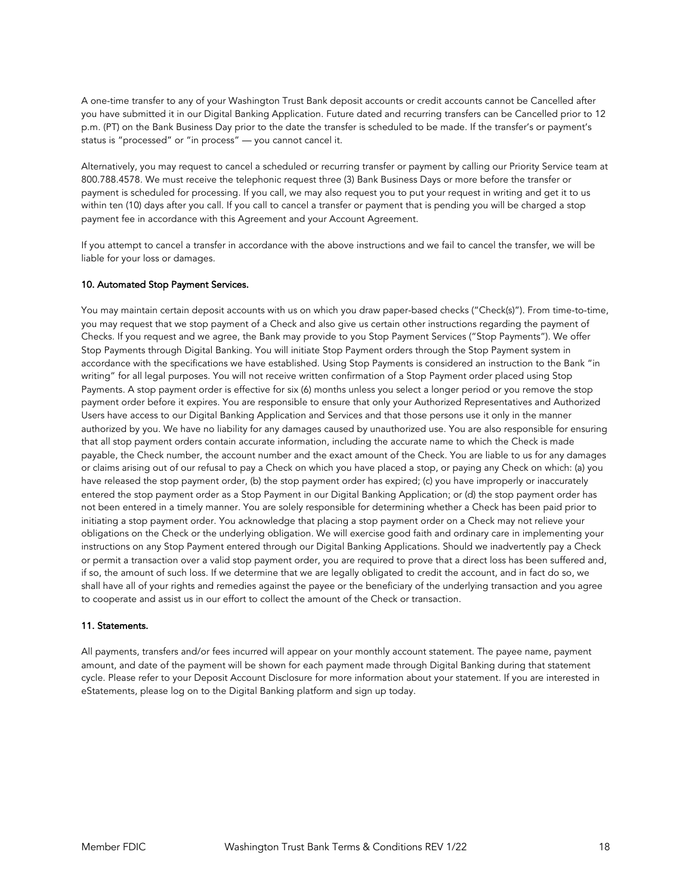A one-time transfer to any of your Washington Trust Bank deposit accounts or credit accounts cannot be Cancelled after you have submitted it in our Digital Banking Application. Future dated and recurring transfers can be Cancelled prior to 12 p.m. (PT) on the Bank Business Day prior to the date the transfer is scheduled to be made. If the transfer's or payment's status is "processed" or "in process" — you cannot cancel it.

Alternatively, you may request to cancel a scheduled or recurring transfer or payment by calling our Priority Service team at 800.788.4578. We must receive the telephonic request three (3) Bank Business Days or more before the transfer or payment is scheduled for processing. If you call, we may also request you to put your request in writing and get it to us within ten (10) days after you call. If you call to cancel a transfer or payment that is pending you will be charged a stop payment fee in accordance with this Agreement and your Account Agreement.

If you attempt to cancel a transfer in accordance with the above instructions and we fail to cancel the transfer, we will be liable for your loss or damages.

#### 10. Automated Stop Payment Services.

You may maintain certain deposit accounts with us on which you draw paper-based checks ("Check(s)"). From time-to-time, you may request that we stop payment of a Check and also give us certain other instructions regarding the payment of Checks. If you request and we agree, the Bank may provide to you Stop Payment Services ("Stop Payments"). We offer Stop Payments through Digital Banking. You will initiate Stop Payment orders through the Stop Payment system in accordance with the specifications we have established. Using Stop Payments is considered an instruction to the Bank "in writing" for all legal purposes. You will not receive written confirmation of a Stop Payment order placed using Stop Payments. A stop payment order is effective for six (6) months unless you select a longer period or you remove the stop payment order before it expires. You are responsible to ensure that only your Authorized Representatives and Authorized Users have access to our Digital Banking Application and Services and that those persons use it only in the manner authorized by you. We have no liability for any damages caused by unauthorized use. You are also responsible for ensuring that all stop payment orders contain accurate information, including the accurate name to which the Check is made payable, the Check number, the account number and the exact amount of the Check. You are liable to us for any damages or claims arising out of our refusal to pay a Check on which you have placed a stop, or paying any Check on which: (a) you have released the stop payment order, (b) the stop payment order has expired; (c) you have improperly or inaccurately entered the stop payment order as a Stop Payment in our Digital Banking Application; or (d) the stop payment order has not been entered in a timely manner. You are solely responsible for determining whether a Check has been paid prior to initiating a stop payment order. You acknowledge that placing a stop payment order on a Check may not relieve your obligations on the Check or the underlying obligation. We will exercise good faith and ordinary care in implementing your instructions on any Stop Payment entered through our Digital Banking Applications. Should we inadvertently pay a Check or permit a transaction over a valid stop payment order, you are required to prove that a direct loss has been suffered and, if so, the amount of such loss. If we determine that we are legally obligated to credit the account, and in fact do so, we shall have all of your rights and remedies against the payee or the beneficiary of the underlying transaction and you agree to cooperate and assist us in our effort to collect the amount of the Check or transaction.

#### 11. Statements.

All payments, transfers and/or fees incurred will appear on your monthly account statement. The payee name, payment amount, and date of the payment will be shown for each payment made through Digital Banking during that statement cycle. Please refer to your Deposit Account Disclosure for more information about your statement. If you are interested in eStatements, please log on to the Digital Banking platform and sign up today.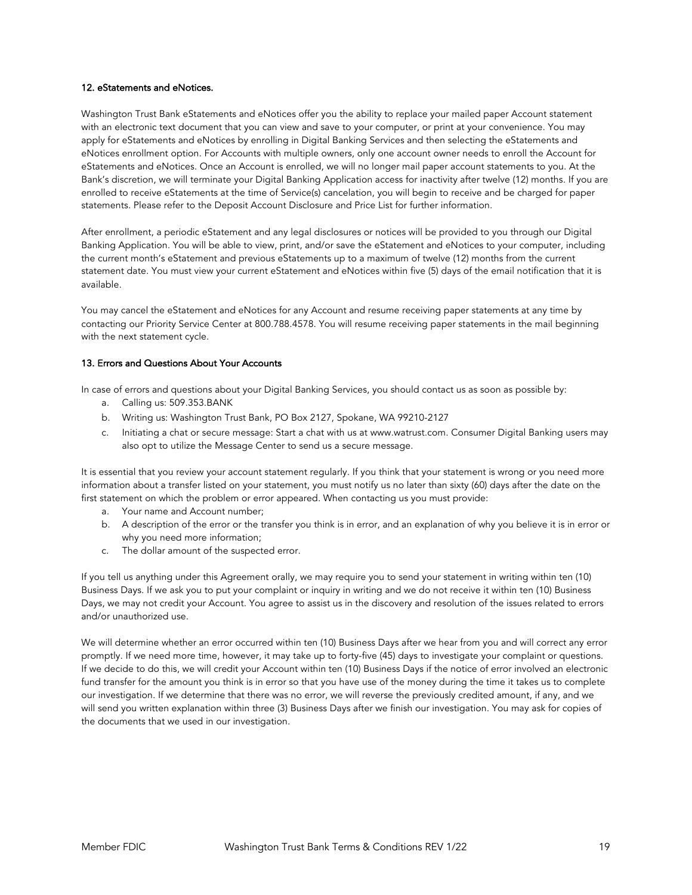#### 12. eStatements and eNotices.

Washington Trust Bank eStatements and eNotices offer you the ability to replace your mailed paper Account statement with an electronic text document that you can view and save to your computer, or print at your convenience. You may apply for eStatements and eNotices by enrolling in Digital Banking Services and then selecting the eStatements and eNotices enrollment option. For Accounts with multiple owners, only one account owner needs to enroll the Account for eStatements and eNotices. Once an Account is enrolled, we will no longer mail paper account statements to you. At the Bank's discretion, we will terminate your Digital Banking Application access for inactivity after twelve (12) months. If you are enrolled to receive eStatements at the time of Service(s) cancelation, you will begin to receive and be charged for paper statements. Please refer to the Deposit Account Disclosure and Price List for further information.

After enrollment, a periodic eStatement and any legal disclosures or notices will be provided to you through our Digital Banking Application. You will be able to view, print, and/or save the eStatement and eNotices to your computer, including the current month's eStatement and previous eStatements up to a maximum of twelve (12) months from the current statement date. You must view your current eStatement and eNotices within five (5) days of the email notification that it is available.

You may cancel the eStatement and eNotices for any Account and resume receiving paper statements at any time by contacting our Priority Service Center at 800.788.4578. You will resume receiving paper statements in the mail beginning with the next statement cycle.

# 13. Errors and Questions About Your Accounts

In case of errors and questions about your Digital Banking Services, you should contact us as soon as possible by:

- a. Calling us: 509.353.BANK
- b. Writing us: Washington Trust Bank, PO Box 2127, Spokane, WA 99210-2127
- c. Initiating a chat or secure message: Start a chat with us at www.watrust.com. Consumer Digital Banking users may also opt to utilize the Message Center to send us a secure message.

It is essential that you review your account statement regularly. If you think that your statement is wrong or you need more information about a transfer listed on your statement, you must notify us no later than sixty (60) days after the date on the first statement on which the problem or error appeared. When contacting us you must provide:

- a. Your name and Account number;
- b. A description of the error or the transfer you think is in error, and an explanation of why you believe it is in error or why you need more information;
- c. The dollar amount of the suspected error.

If you tell us anything under this Agreement orally, we may require you to send your statement in writing within ten (10) Business Days. If we ask you to put your complaint or inquiry in writing and we do not receive it within ten (10) Business Days, we may not credit your Account. You agree to assist us in the discovery and resolution of the issues related to errors and/or unauthorized use.

We will determine whether an error occurred within ten (10) Business Days after we hear from you and will correct any error promptly. If we need more time, however, it may take up to forty-five (45) days to investigate your complaint or questions. If we decide to do this, we will credit your Account within ten (10) Business Days if the notice of error involved an electronic fund transfer for the amount you think is in error so that you have use of the money during the time it takes us to complete our investigation. If we determine that there was no error, we will reverse the previously credited amount, if any, and we will send you written explanation within three (3) Business Days after we finish our investigation. You may ask for copies of the documents that we used in our investigation.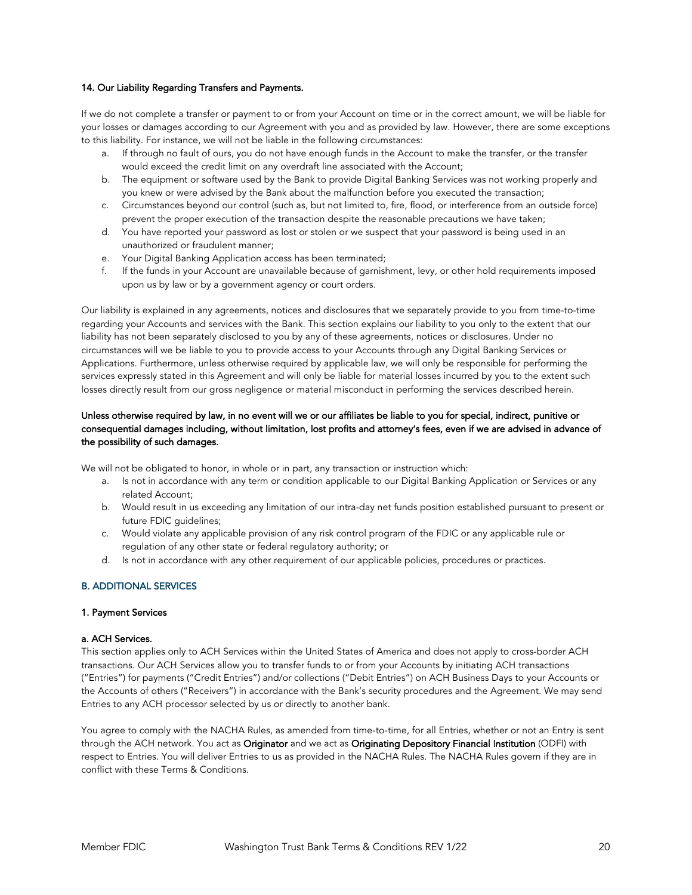#### 14. Our Liability Regarding Transfers and Payments.

If we do not complete a transfer or payment to or from your Account on time or in the correct amount, we will be liable for your losses or damages according to our Agreement with you and as provided by law. However, there are some exceptions to this liability. For instance, we will not be liable in the following circumstances:

- a. If through no fault of ours, you do not have enough funds in the Account to make the transfer, or the transfer would exceed the credit limit on any overdraft line associated with the Account;
- b. The equipment or software used by the Bank to provide Digital Banking Services was not working properly and you knew or were advised by the Bank about the malfunction before you executed the transaction;
- c. Circumstances beyond our control (such as, but not limited to, fire, flood, or interference from an outside force) prevent the proper execution of the transaction despite the reasonable precautions we have taken;
- d. You have reported your password as lost or stolen or we suspect that your password is being used in an unauthorized or fraudulent manner;
- e. Your Digital Banking Application access has been terminated;
- f. If the funds in your Account are unavailable because of garnishment, levy, or other hold requirements imposed upon us by law or by a government agency or court orders.

Our liability is explained in any agreements, notices and disclosures that we separately provide to you from time-to-time regarding your Accounts and services with the Bank. This section explains our liability to you only to the extent that our liability has not been separately disclosed to you by any of these agreements, notices or disclosures. Under no circumstances will we be liable to you to provide access to your Accounts through any Digital Banking Services or Applications. Furthermore, unless otherwise required by applicable law, we will only be responsible for performing the services expressly stated in this Agreement and will only be liable for material losses incurred by you to the extent such losses directly result from our gross negligence or material misconduct in performing the services described herein.

# Unless otherwise required by law, in no event will we or our affiliates be liable to you for special, indirect, punitive or consequential damages including, without limitation, lost profits and attorney's fees, even if we are advised in advance of the possibility of such damages.

We will not be obligated to honor, in whole or in part, any transaction or instruction which:

- a. Is not in accordance with any term or condition applicable to our Digital Banking Application or Services or any related Account;
- b. Would result in us exceeding any limitation of our intra-day net funds position established pursuant to present or future FDIC guidelines;
- c. Would violate any applicable provision of any risk control program of the FDIC or any applicable rule or regulation of any other state or federal regulatory authority; or
- d. Is not in accordance with any other requirement of our applicable policies, procedures or practices.

# B. ADDITIONAL SERVICES

## 1. Payment Services

#### a. ACH Services.

This section applies only to ACH Services within the United States of America and does not apply to cross-border ACH transactions. Our ACH Services allow you to transfer funds to or from your Accounts by initiating ACH transactions ("Entries") for payments ("Credit Entries") and/or collections ("Debit Entries") on ACH Business Days to your Accounts or the Accounts of others ("Receivers") in accordance with the Bank's security procedures and the Agreement. We may send Entries to any ACH processor selected by us or directly to another bank.

You agree to comply with the NACHA Rules, as amended from time-to-time, for all Entries, whether or not an Entry is sent through the ACH network. You act as Originator and we act as Originating Depository Financial Institution (ODFI) with respect to Entries. You will deliver Entries to us as provided in the NACHA Rules. The NACHA Rules govern if they are in conflict with these Terms & Conditions.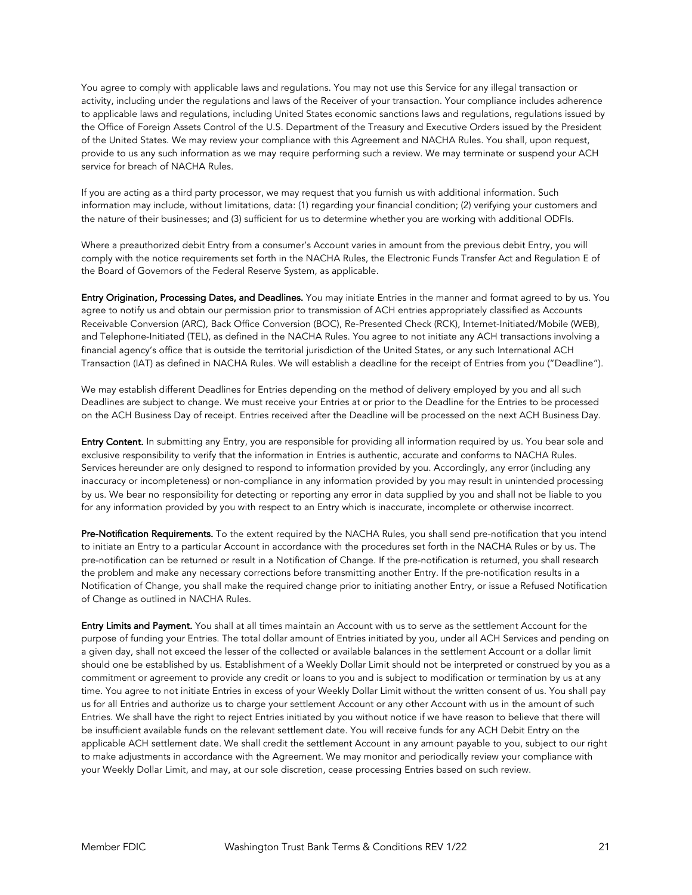You agree to comply with applicable laws and regulations. You may not use this Service for any illegal transaction or activity, including under the regulations and laws of the Receiver of your transaction. Your compliance includes adherence to applicable laws and regulations, including United States economic sanctions laws and regulations, regulations issued by the Office of Foreign Assets Control of the U.S. Department of the Treasury and Executive Orders issued by the President of the United States. We may review your compliance with this Agreement and NACHA Rules. You shall, upon request, provide to us any such information as we may require performing such a review. We may terminate or suspend your ACH service for breach of NACHA Rules.

If you are acting as a third party processor, we may request that you furnish us with additional information. Such information may include, without limitations, data: (1) regarding your financial condition; (2) verifying your customers and the nature of their businesses; and (3) sufficient for us to determine whether you are working with additional ODFIs.

Where a preauthorized debit Entry from a consumer's Account varies in amount from the previous debit Entry, you will comply with the notice requirements set forth in the NACHA Rules, the Electronic Funds Transfer Act and Regulation E of the Board of Governors of the Federal Reserve System, as applicable.

Entry Origination, Processing Dates, and Deadlines. You may initiate Entries in the manner and format agreed to by us. You agree to notify us and obtain our permission prior to transmission of ACH entries appropriately classified as Accounts Receivable Conversion (ARC), Back Office Conversion (BOC), Re-Presented Check (RCK), Internet-Initiated/Mobile (WEB), and Telephone-Initiated (TEL), as defined in the NACHA Rules. You agree to not initiate any ACH transactions involving a financial agency's office that is outside the territorial jurisdiction of the United States, or any such International ACH Transaction (IAT) as defined in NACHA Rules. We will establish a deadline for the receipt of Entries from you ("Deadline").

We may establish different Deadlines for Entries depending on the method of delivery employed by you and all such Deadlines are subject to change. We must receive your Entries at or prior to the Deadline for the Entries to be processed on the ACH Business Day of receipt. Entries received after the Deadline will be processed on the next ACH Business Day.

Entry Content. In submitting any Entry, you are responsible for providing all information required by us. You bear sole and exclusive responsibility to verify that the information in Entries is authentic, accurate and conforms to NACHA Rules. Services hereunder are only designed to respond to information provided by you. Accordingly, any error (including any inaccuracy or incompleteness) or non-compliance in any information provided by you may result in unintended processing by us. We bear no responsibility for detecting or reporting any error in data supplied by you and shall not be liable to you for any information provided by you with respect to an Entry which is inaccurate, incomplete or otherwise incorrect.

Pre-Notification Requirements. To the extent required by the NACHA Rules, you shall send pre-notification that you intend to initiate an Entry to a particular Account in accordance with the procedures set forth in the NACHA Rules or by us. The pre-notification can be returned or result in a Notification of Change. If the pre-notification is returned, you shall research the problem and make any necessary corrections before transmitting another Entry. If the pre-notification results in a Notification of Change, you shall make the required change prior to initiating another Entry, or issue a Refused Notification of Change as outlined in NACHA Rules.

Entry Limits and Payment. You shall at all times maintain an Account with us to serve as the settlement Account for the purpose of funding your Entries. The total dollar amount of Entries initiated by you, under all ACH Services and pending on a given day, shall not exceed the lesser of the collected or available balances in the settlement Account or a dollar limit should one be established by us. Establishment of a Weekly Dollar Limit should not be interpreted or construed by you as a commitment or agreement to provide any credit or loans to you and is subject to modification or termination by us at any time. You agree to not initiate Entries in excess of your Weekly Dollar Limit without the written consent of us. You shall pay us for all Entries and authorize us to charge your settlement Account or any other Account with us in the amount of such Entries. We shall have the right to reject Entries initiated by you without notice if we have reason to believe that there will be insufficient available funds on the relevant settlement date. You will receive funds for any ACH Debit Entry on the applicable ACH settlement date. We shall credit the settlement Account in any amount payable to you, subject to our right to make adjustments in accordance with the Agreement. We may monitor and periodically review your compliance with your Weekly Dollar Limit, and may, at our sole discretion, cease processing Entries based on such review.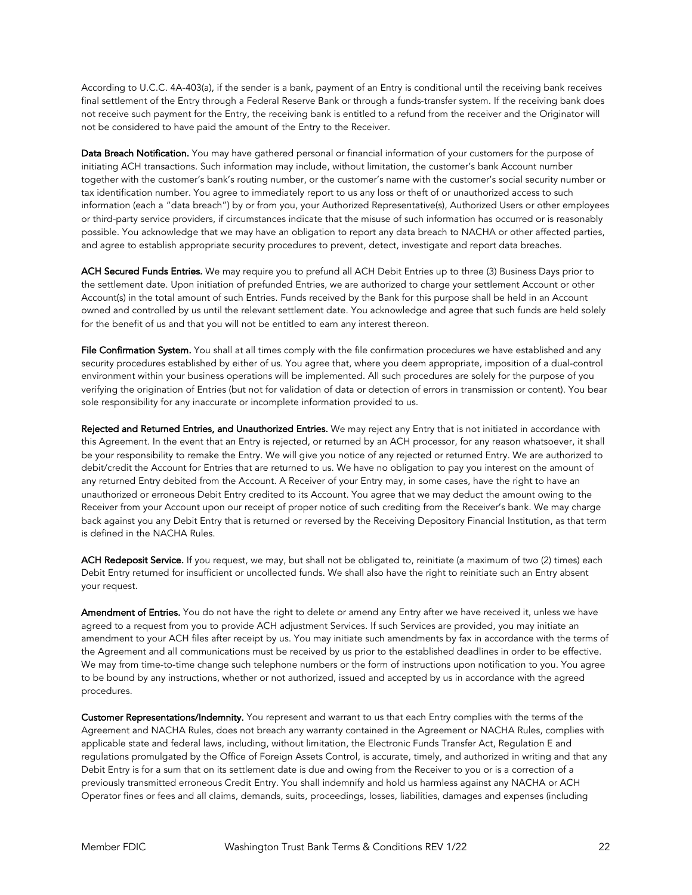According to U.C.C. 4A-403(a), if the sender is a bank, payment of an Entry is conditional until the receiving bank receives final settlement of the Entry through a Federal Reserve Bank or through a funds-transfer system. If the receiving bank does not receive such payment for the Entry, the receiving bank is entitled to a refund from the receiver and the Originator will not be considered to have paid the amount of the Entry to the Receiver.

Data Breach Notification. You may have gathered personal or financial information of your customers for the purpose of initiating ACH transactions. Such information may include, without limitation, the customer's bank Account number together with the customer's bank's routing number, or the customer's name with the customer's social security number or tax identification number. You agree to immediately report to us any loss or theft of or unauthorized access to such information (each a "data breach") by or from you, your Authorized Representative(s), Authorized Users or other employees or third-party service providers, if circumstances indicate that the misuse of such information has occurred or is reasonably possible. You acknowledge that we may have an obligation to report any data breach to NACHA or other affected parties, and agree to establish appropriate security procedures to prevent, detect, investigate and report data breaches.

ACH Secured Funds Entries. We may require you to prefund all ACH Debit Entries up to three (3) Business Days prior to the settlement date. Upon initiation of prefunded Entries, we are authorized to charge your settlement Account or other Account(s) in the total amount of such Entries. Funds received by the Bank for this purpose shall be held in an Account owned and controlled by us until the relevant settlement date. You acknowledge and agree that such funds are held solely for the benefit of us and that you will not be entitled to earn any interest thereon.

File Confirmation System. You shall at all times comply with the file confirmation procedures we have established and any security procedures established by either of us. You agree that, where you deem appropriate, imposition of a dual-control environment within your business operations will be implemented. All such procedures are solely for the purpose of you verifying the origination of Entries (but not for validation of data or detection of errors in transmission or content). You bear sole responsibility for any inaccurate or incomplete information provided to us.

Rejected and Returned Entries, and Unauthorized Entries. We may reject any Entry that is not initiated in accordance with this Agreement. In the event that an Entry is rejected, or returned by an ACH processor, for any reason whatsoever, it shall be your responsibility to remake the Entry. We will give you notice of any rejected or returned Entry. We are authorized to debit/credit the Account for Entries that are returned to us. We have no obligation to pay you interest on the amount of any returned Entry debited from the Account. A Receiver of your Entry may, in some cases, have the right to have an unauthorized or erroneous Debit Entry credited to its Account. You agree that we may deduct the amount owing to the Receiver from your Account upon our receipt of proper notice of such crediting from the Receiver's bank. We may charge back against you any Debit Entry that is returned or reversed by the Receiving Depository Financial Institution, as that term is defined in the NACHA Rules.

ACH Redeposit Service. If you request, we may, but shall not be obligated to, reinitiate (a maximum of two (2) times) each Debit Entry returned for insufficient or uncollected funds. We shall also have the right to reinitiate such an Entry absent your request.

Amendment of Entries. You do not have the right to delete or amend any Entry after we have received it, unless we have agreed to a request from you to provide ACH adjustment Services. If such Services are provided, you may initiate an amendment to your ACH files after receipt by us. You may initiate such amendments by fax in accordance with the terms of the Agreement and all communications must be received by us prior to the established deadlines in order to be effective. We may from time-to-time change such telephone numbers or the form of instructions upon notification to you. You agree to be bound by any instructions, whether or not authorized, issued and accepted by us in accordance with the agreed procedures.

Customer Representations/Indemnity. You represent and warrant to us that each Entry complies with the terms of the Agreement and NACHA Rules, does not breach any warranty contained in the Agreement or NACHA Rules, complies with applicable state and federal laws, including, without limitation, the Electronic Funds Transfer Act, Regulation E and regulations promulgated by the Office of Foreign Assets Control, is accurate, timely, and authorized in writing and that any Debit Entry is for a sum that on its settlement date is due and owing from the Receiver to you or is a correction of a previously transmitted erroneous Credit Entry. You shall indemnify and hold us harmless against any NACHA or ACH Operator fines or fees and all claims, demands, suits, proceedings, losses, liabilities, damages and expenses (including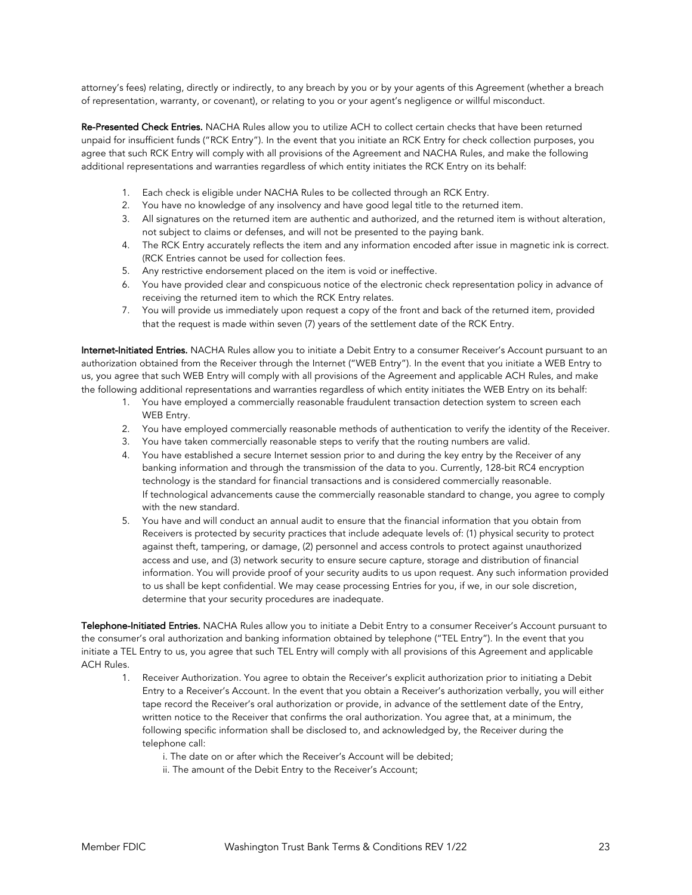attorney's fees) relating, directly or indirectly, to any breach by you or by your agents of this Agreement (whether a breach of representation, warranty, or covenant), or relating to you or your agent's negligence or willful misconduct.

Re-Presented Check Entries. NACHA Rules allow you to utilize ACH to collect certain checks that have been returned unpaid for insufficient funds ("RCK Entry"). In the event that you initiate an RCK Entry for check collection purposes, you agree that such RCK Entry will comply with all provisions of the Agreement and NACHA Rules, and make the following additional representations and warranties regardless of which entity initiates the RCK Entry on its behalf:

- 1. Each check is eligible under NACHA Rules to be collected through an RCK Entry.
- 2. You have no knowledge of any insolvency and have good legal title to the returned item.
- 3. All signatures on the returned item are authentic and authorized, and the returned item is without alteration, not subject to claims or defenses, and will not be presented to the paying bank.
- 4. The RCK Entry accurately reflects the item and any information encoded after issue in magnetic ink is correct. (RCK Entries cannot be used for collection fees.
- 5. Any restrictive endorsement placed on the item is void or ineffective.
- 6. You have provided clear and conspicuous notice of the electronic check representation policy in advance of receiving the returned item to which the RCK Entry relates.
- 7. You will provide us immediately upon request a copy of the front and back of the returned item, provided that the request is made within seven (7) years of the settlement date of the RCK Entry.

Internet-Initiated Entries. NACHA Rules allow you to initiate a Debit Entry to a consumer Receiver's Account pursuant to an authorization obtained from the Receiver through the Internet ("WEB Entry"). In the event that you initiate a WEB Entry to us, you agree that such WEB Entry will comply with all provisions of the Agreement and applicable ACH Rules, and make the following additional representations and warranties regardless of which entity initiates the WEB Entry on its behalf:

- 1. You have employed a commercially reasonable fraudulent transaction detection system to screen each WEB Entry.
- 2. You have employed commercially reasonable methods of authentication to verify the identity of the Receiver.
- 3. You have taken commercially reasonable steps to verify that the routing numbers are valid.
- 4. You have established a secure Internet session prior to and during the key entry by the Receiver of any banking information and through the transmission of the data to you. Currently, 128-bit RC4 encryption technology is the standard for financial transactions and is considered commercially reasonable. If technological advancements cause the commercially reasonable standard to change, you agree to comply with the new standard.
- 5. You have and will conduct an annual audit to ensure that the financial information that you obtain from Receivers is protected by security practices that include adequate levels of: (1) physical security to protect against theft, tampering, or damage, (2) personnel and access controls to protect against unauthorized access and use, and (3) network security to ensure secure capture, storage and distribution of financial information. You will provide proof of your security audits to us upon request. Any such information provided to us shall be kept confidential. We may cease processing Entries for you, if we, in our sole discretion, determine that your security procedures are inadequate.

Telephone-Initiated Entries. NACHA Rules allow you to initiate a Debit Entry to a consumer Receiver's Account pursuant to the consumer's oral authorization and banking information obtained by telephone ("TEL Entry"). In the event that you initiate a TEL Entry to us, you agree that such TEL Entry will comply with all provisions of this Agreement and applicable ACH Rules.

- 1. Receiver Authorization. You agree to obtain the Receiver's explicit authorization prior to initiating a Debit Entry to a Receiver's Account. In the event that you obtain a Receiver's authorization verbally, you will either tape record the Receiver's oral authorization or provide, in advance of the settlement date of the Entry, written notice to the Receiver that confirms the oral authorization. You agree that, at a minimum, the following specific information shall be disclosed to, and acknowledged by, the Receiver during the telephone call:
	- i. The date on or after which the Receiver's Account will be debited;
	- ii. The amount of the Debit Entry to the Receiver's Account;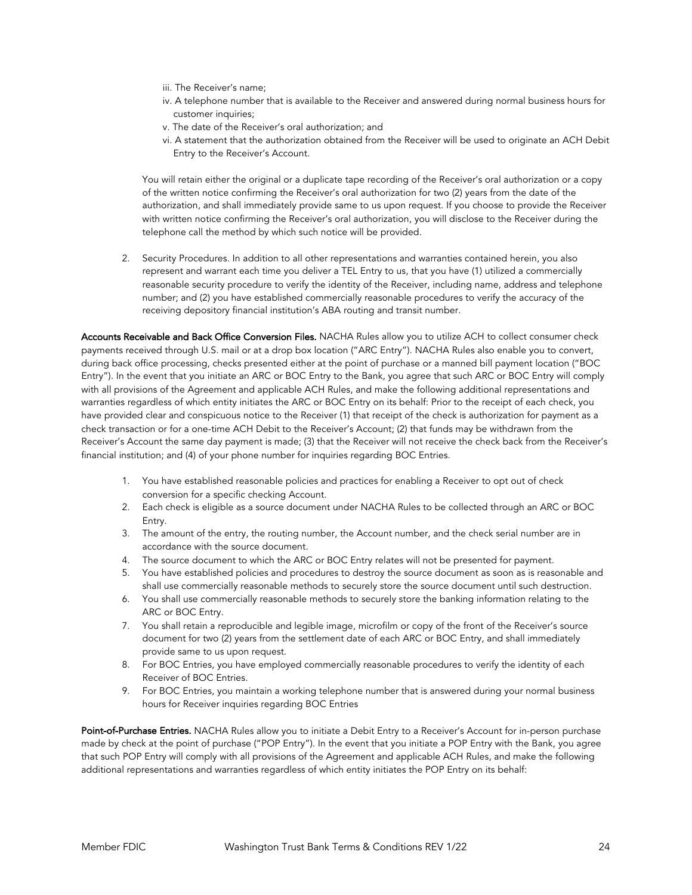- iii. The Receiver's name;
- iv. A telephone number that is available to the Receiver and answered during normal business hours for customer inquiries;
- v. The date of the Receiver's oral authorization; and
- vi. A statement that the authorization obtained from the Receiver will be used to originate an ACH Debit Entry to the Receiver's Account.

You will retain either the original or a duplicate tape recording of the Receiver's oral authorization or a copy of the written notice confirming the Receiver's oral authorization for two (2) years from the date of the authorization, and shall immediately provide same to us upon request. If you choose to provide the Receiver with written notice confirming the Receiver's oral authorization, you will disclose to the Receiver during the telephone call the method by which such notice will be provided.

2. Security Procedures. In addition to all other representations and warranties contained herein, you also represent and warrant each time you deliver a TEL Entry to us, that you have (1) utilized a commercially reasonable security procedure to verify the identity of the Receiver, including name, address and telephone number; and (2) you have established commercially reasonable procedures to verify the accuracy of the receiving depository financial institution's ABA routing and transit number.

Accounts Receivable and Back Office Conversion Files. NACHA Rules allow you to utilize ACH to collect consumer check payments received through U.S. mail or at a drop box location ("ARC Entry"). NACHA Rules also enable you to convert, during back office processing, checks presented either at the point of purchase or a manned bill payment location ("BOC Entry"). In the event that you initiate an ARC or BOC Entry to the Bank, you agree that such ARC or BOC Entry will comply with all provisions of the Agreement and applicable ACH Rules, and make the following additional representations and warranties regardless of which entity initiates the ARC or BOC Entry on its behalf: Prior to the receipt of each check, you have provided clear and conspicuous notice to the Receiver (1) that receipt of the check is authorization for payment as a check transaction or for a one-time ACH Debit to the Receiver's Account; (2) that funds may be withdrawn from the Receiver's Account the same day payment is made; (3) that the Receiver will not receive the check back from the Receiver's financial institution; and (4) of your phone number for inquiries regarding BOC Entries.

- 1. You have established reasonable policies and practices for enabling a Receiver to opt out of check conversion for a specific checking Account.
- 2. Each check is eligible as a source document under NACHA Rules to be collected through an ARC or BOC Entry.
- 3. The amount of the entry, the routing number, the Account number, and the check serial number are in accordance with the source document.
- 4. The source document to which the ARC or BOC Entry relates will not be presented for payment.
- 5. You have established policies and procedures to destroy the source document as soon as is reasonable and shall use commercially reasonable methods to securely store the source document until such destruction.
- 6. You shall use commercially reasonable methods to securely store the banking information relating to the ARC or BOC Entry.
- 7. You shall retain a reproducible and legible image, microfilm or copy of the front of the Receiver's source document for two (2) years from the settlement date of each ARC or BOC Entry, and shall immediately provide same to us upon request.
- 8. For BOC Entries, you have employed commercially reasonable procedures to verify the identity of each Receiver of BOC Entries.
- 9. For BOC Entries, you maintain a working telephone number that is answered during your normal business hours for Receiver inquiries regarding BOC Entries

Point-of-Purchase Entries. NACHA Rules allow you to initiate a Debit Entry to a Receiver's Account for in-person purchase made by check at the point of purchase ("POP Entry"). In the event that you initiate a POP Entry with the Bank, you agree that such POP Entry will comply with all provisions of the Agreement and applicable ACH Rules, and make the following additional representations and warranties regardless of which entity initiates the POP Entry on its behalf: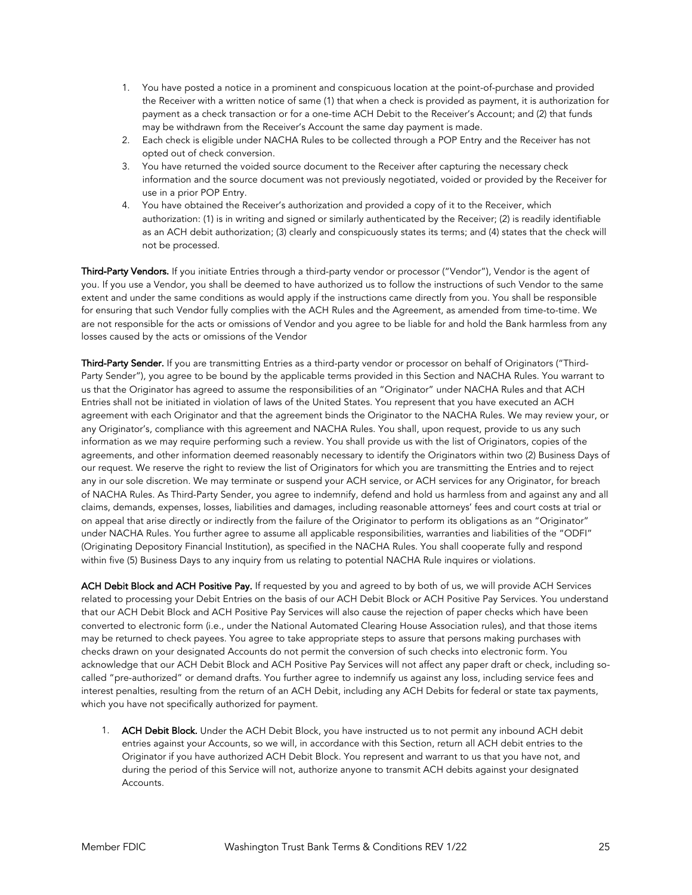- 1. You have posted a notice in a prominent and conspicuous location at the point-of-purchase and provided the Receiver with a written notice of same (1) that when a check is provided as payment, it is authorization for payment as a check transaction or for a one-time ACH Debit to the Receiver's Account; and (2) that funds may be withdrawn from the Receiver's Account the same day payment is made.
- 2. Each check is eligible under NACHA Rules to be collected through a POP Entry and the Receiver has not opted out of check conversion.
- 3. You have returned the voided source document to the Receiver after capturing the necessary check information and the source document was not previously negotiated, voided or provided by the Receiver for use in a prior POP Entry.
- 4. You have obtained the Receiver's authorization and provided a copy of it to the Receiver, which authorization: (1) is in writing and signed or similarly authenticated by the Receiver; (2) is readily identifiable as an ACH debit authorization; (3) clearly and conspicuously states its terms; and (4) states that the check will not be processed.

Third-Party Vendors. If you initiate Entries through a third-party vendor or processor ("Vendor"), Vendor is the agent of you. If you use a Vendor, you shall be deemed to have authorized us to follow the instructions of such Vendor to the same extent and under the same conditions as would apply if the instructions came directly from you. You shall be responsible for ensuring that such Vendor fully complies with the ACH Rules and the Agreement, as amended from time-to-time. We are not responsible for the acts or omissions of Vendor and you agree to be liable for and hold the Bank harmless from any losses caused by the acts or omissions of the Vendor

Third-Party Sender. If you are transmitting Entries as a third-party vendor or processor on behalf of Originators ("Third-Party Sender"), you agree to be bound by the applicable terms provided in this Section and NACHA Rules. You warrant to us that the Originator has agreed to assume the responsibilities of an "Originator" under NACHA Rules and that ACH Entries shall not be initiated in violation of laws of the United States. You represent that you have executed an ACH agreement with each Originator and that the agreement binds the Originator to the NACHA Rules. We may review your, or any Originator's, compliance with this agreement and NACHA Rules. You shall, upon request, provide to us any such information as we may require performing such a review. You shall provide us with the list of Originators, copies of the agreements, and other information deemed reasonably necessary to identify the Originators within two (2) Business Days of our request. We reserve the right to review the list of Originators for which you are transmitting the Entries and to reject any in our sole discretion. We may terminate or suspend your ACH service, or ACH services for any Originator, for breach of NACHA Rules. As Third-Party Sender, you agree to indemnify, defend and hold us harmless from and against any and all claims, demands, expenses, losses, liabilities and damages, including reasonable attorneys' fees and court costs at trial or on appeal that arise directly or indirectly from the failure of the Originator to perform its obligations as an "Originator" under NACHA Rules. You further agree to assume all applicable responsibilities, warranties and liabilities of the "ODFI" (Originating Depository Financial Institution), as specified in the NACHA Rules. You shall cooperate fully and respond within five (5) Business Days to any inquiry from us relating to potential NACHA Rule inquires or violations.

ACH Debit Block and ACH Positive Pay. If requested by you and agreed to by both of us, we will provide ACH Services related to processing your Debit Entries on the basis of our ACH Debit Block or ACH Positive Pay Services. You understand that our ACH Debit Block and ACH Positive Pay Services will also cause the rejection of paper checks which have been converted to electronic form (i.e., under the National Automated Clearing House Association rules), and that those items may be returned to check payees. You agree to take appropriate steps to assure that persons making purchases with checks drawn on your designated Accounts do not permit the conversion of such checks into electronic form. You acknowledge that our ACH Debit Block and ACH Positive Pay Services will not affect any paper draft or check, including socalled "pre-authorized" or demand drafts. You further agree to indemnify us against any loss, including service fees and interest penalties, resulting from the return of an ACH Debit, including any ACH Debits for federal or state tax payments, which you have not specifically authorized for payment.

1. ACH Debit Block. Under the ACH Debit Block, you have instructed us to not permit any inbound ACH debit entries against your Accounts, so we will, in accordance with this Section, return all ACH debit entries to the Originator if you have authorized ACH Debit Block. You represent and warrant to us that you have not, and during the period of this Service will not, authorize anyone to transmit ACH debits against your designated **Accounts**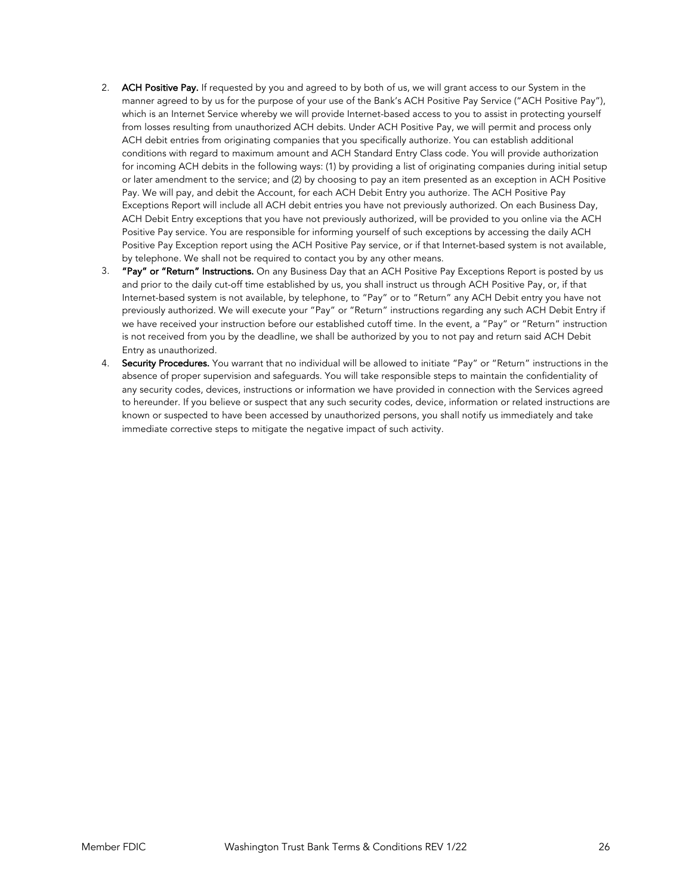- 2. ACH Positive Pay. If requested by you and agreed to by both of us, we will grant access to our System in the manner agreed to by us for the purpose of your use of the Bank's ACH Positive Pay Service ("ACH Positive Pay"), which is an Internet Service whereby we will provide Internet-based access to you to assist in protecting yourself from losses resulting from unauthorized ACH debits. Under ACH Positive Pay, we will permit and process only ACH debit entries from originating companies that you specifically authorize. You can establish additional conditions with regard to maximum amount and ACH Standard Entry Class code. You will provide authorization for incoming ACH debits in the following ways: (1) by providing a list of originating companies during initial setup or later amendment to the service; and (2) by choosing to pay an item presented as an exception in ACH Positive Pay. We will pay, and debit the Account, for each ACH Debit Entry you authorize. The ACH Positive Pay Exceptions Report will include all ACH debit entries you have not previously authorized. On each Business Day, ACH Debit Entry exceptions that you have not previously authorized, will be provided to you online via the ACH Positive Pay service. You are responsible for informing yourself of such exceptions by accessing the daily ACH Positive Pay Exception report using the ACH Positive Pay service, or if that Internet-based system is not available, by telephone. We shall not be required to contact you by any other means.
- 3. "Pay" or "Return" Instructions. On any Business Day that an ACH Positive Pay Exceptions Report is posted by us and prior to the daily cut-off time established by us, you shall instruct us through ACH Positive Pay, or, if that Internet-based system is not available, by telephone, to "Pay" or to "Return" any ACH Debit entry you have not previously authorized. We will execute your "Pay" or "Return" instructions regarding any such ACH Debit Entry if we have received your instruction before our established cutoff time. In the event, a "Pay" or "Return" instruction is not received from you by the deadline, we shall be authorized by you to not pay and return said ACH Debit Entry as unauthorized.
- 4. Security Procedures. You warrant that no individual will be allowed to initiate "Pay" or "Return" instructions in the absence of proper supervision and safeguards. You will take responsible steps to maintain the confidentiality of any security codes, devices, instructions or information we have provided in connection with the Services agreed to hereunder. If you believe or suspect that any such security codes, device, information or related instructions are known or suspected to have been accessed by unauthorized persons, you shall notify us immediately and take immediate corrective steps to mitigate the negative impact of such activity.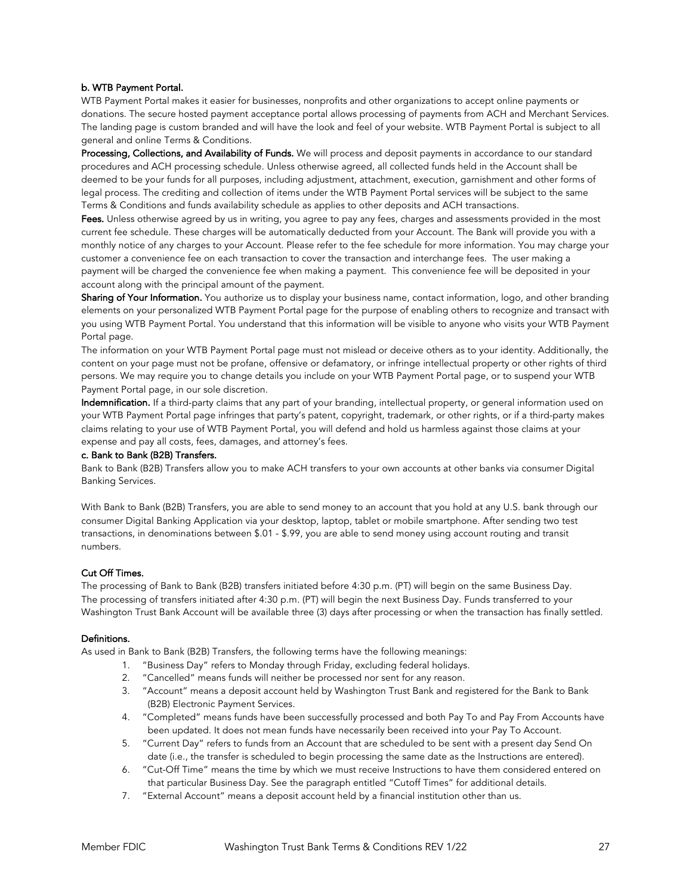## b. WTB Payment Portal.

WTB Payment Portal makes it easier for businesses, nonprofits and other organizations to accept online payments or donations. The secure hosted payment acceptance portal allows processing of payments from ACH and Merchant Services. The landing page is custom branded and will have the look and feel of your website. WTB Payment Portal is subject to all general and online Terms & Conditions.

Processing, Collections, and Availability of Funds. We will process and deposit payments in accordance to our standard procedures and ACH processing schedule. Unless otherwise agreed, all collected funds held in the Account shall be deemed to be your funds for all purposes, including adjustment, attachment, execution, garnishment and other forms of legal process. The crediting and collection of items under the WTB Payment Portal services will be subject to the same Terms & Conditions and funds availability schedule as applies to other deposits and ACH transactions.

Fees. Unless otherwise agreed by us in writing, you agree to pay any fees, charges and assessments provided in the most current fee schedule. These charges will be automatically deducted from your Account. The Bank will provide you with a monthly notice of any charges to your Account. Please refer to the fee schedule for more information. You may charge your customer a convenience fee on each transaction to cover the transaction and interchange fees. The user making a payment will be charged the convenience fee when making a payment. This convenience fee will be deposited in your account along with the principal amount of the payment.

Sharing of Your Information. You authorize us to display your business name, contact information, logo, and other branding elements on your personalized WTB Payment Portal page for the purpose of enabling others to recognize and transact with you using WTB Payment Portal. You understand that this information will be visible to anyone who visits your WTB Payment Portal page.

The information on your WTB Payment Portal page must not mislead or deceive others as to your identity. Additionally, the content on your page must not be profane, offensive or defamatory, or infringe intellectual property or other rights of third persons. We may require you to change details you include on your WTB Payment Portal page, or to suspend your WTB Payment Portal page, in our sole discretion.

Indemnification. If a third-party claims that any part of your branding, intellectual property, or general information used on your WTB Payment Portal page infringes that party's patent, copyright, trademark, or other rights, or if a third-party makes claims relating to your use of WTB Payment Portal, you will defend and hold us harmless against those claims at your expense and pay all costs, fees, damages, and attorney's fees.

# c. Bank to Bank (B2B) Transfers.

Bank to Bank (B2B) Transfers allow you to make ACH transfers to your own accounts at other banks via consumer Digital Banking Services.

With Bank to Bank (B2B) Transfers, you are able to send money to an account that you hold at any U.S. bank through our consumer Digital Banking Application via your desktop, laptop, tablet or mobile smartphone. After sending two test transactions, in denominations between \$.01 - \$.99, you are able to send money using account routing and transit numbers.

## Cut Off Times.

The processing of Bank to Bank (B2B) transfers initiated before 4:30 p.m. (PT) will begin on the same Business Day. The processing of transfers initiated after 4:30 p.m. (PT) will begin the next Business Day. Funds transferred to your Washington Trust Bank Account will be available three (3) days after processing or when the transaction has finally settled.

#### Definitions.

As used in Bank to Bank (B2B) Transfers, the following terms have the following meanings:

- 1. "Business Day" refers to Monday through Friday, excluding federal holidays.
- 2. "Cancelled" means funds will neither be processed nor sent for any reason.
- 3. "Account" means a deposit account held by Washington Trust Bank and registered for the Bank to Bank (B2B) Electronic Payment Services.
- 4. "Completed" means funds have been successfully processed and both Pay To and Pay From Accounts have been updated. It does not mean funds have necessarily been received into your Pay To Account.
- 5. "Current Day" refers to funds from an Account that are scheduled to be sent with a present day Send On date (i.e., the transfer is scheduled to begin processing the same date as the Instructions are entered).
- 6. "Cut-Off Time" means the time by which we must receive Instructions to have them considered entered on that particular Business Day. See the paragraph entitled "Cutoff Times" for additional details.
- 7. "External Account" means a deposit account held by a financial institution other than us.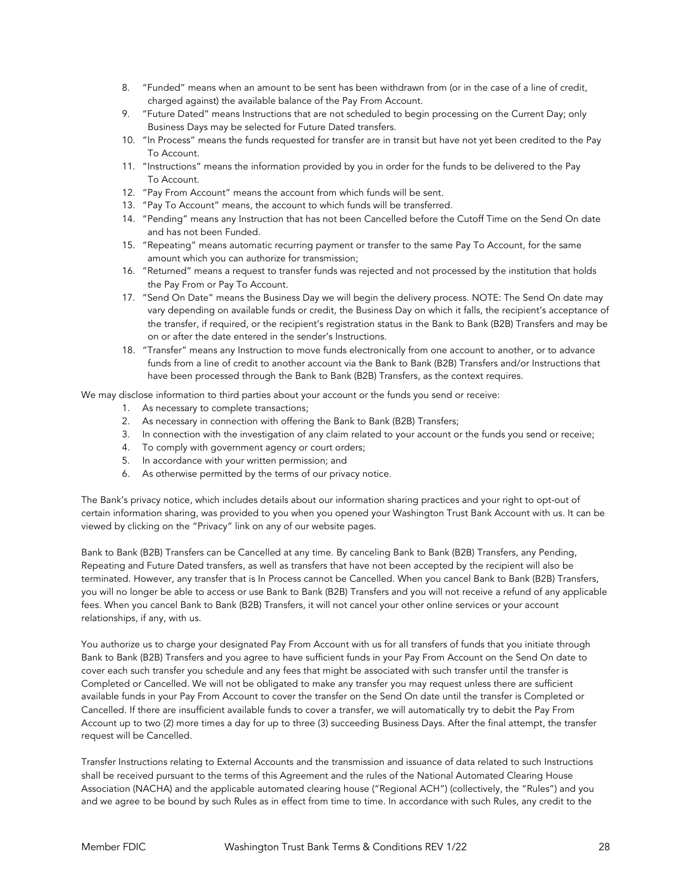- 8. "Funded" means when an amount to be sent has been withdrawn from (or in the case of a line of credit, charged against) the available balance of the Pay From Account.
- 9. "Future Dated" means Instructions that are not scheduled to begin processing on the Current Day; only Business Days may be selected for Future Dated transfers.
- 10. "In Process" means the funds requested for transfer are in transit but have not yet been credited to the Pay To Account.
- 11. "Instructions" means the information provided by you in order for the funds to be delivered to the Pay To Account.
- 12. "Pay From Account" means the account from which funds will be sent.
- 13. "Pay To Account" means, the account to which funds will be transferred.
- 14. "Pending" means any Instruction that has not been Cancelled before the Cutoff Time on the Send On date and has not been Funded.
- 15. "Repeating" means automatic recurring payment or transfer to the same Pay To Account, for the same amount which you can authorize for transmission;
- 16. "Returned" means a request to transfer funds was rejected and not processed by the institution that holds the Pay From or Pay To Account.
- 17. "Send On Date" means the Business Day we will begin the delivery process. NOTE: The Send On date may vary depending on available funds or credit, the Business Day on which it falls, the recipient's acceptance of the transfer, if required, or the recipient's registration status in the Bank to Bank (B2B) Transfers and may be on or after the date entered in the sender's Instructions.
- 18. "Transfer" means any Instruction to move funds electronically from one account to another, or to advance funds from a line of credit to another account via the Bank to Bank (B2B) Transfers and/or Instructions that have been processed through the Bank to Bank (B2B) Transfers, as the context requires.

We may disclose information to third parties about your account or the funds you send or receive:

- 1. As necessary to complete transactions;
- 2. As necessary in connection with offering the Bank to Bank (B2B) Transfers;
- 3. In connection with the investigation of any claim related to your account or the funds you send or receive;
- 4. To comply with government agency or court orders;
- 5. In accordance with your written permission; and
- 6. As otherwise permitted by the terms of our privacy notice.

The Bank's privacy notice, which includes details about our information sharing practices and your right to opt-out of certain information sharing, was provided to you when you opened your Washington Trust Bank Account with us. It can be viewed by clicking on the "Privacy" link on any of our website pages.

Bank to Bank (B2B) Transfers can be Cancelled at any time. By canceling Bank to Bank (B2B) Transfers, any Pending, Repeating and Future Dated transfers, as well as transfers that have not been accepted by the recipient will also be terminated. However, any transfer that is In Process cannot be Cancelled. When you cancel Bank to Bank (B2B) Transfers, you will no longer be able to access or use Bank to Bank (B2B) Transfers and you will not receive a refund of any applicable fees. When you cancel Bank to Bank (B2B) Transfers, it will not cancel your other online services or your account relationships, if any, with us.

You authorize us to charge your designated Pay From Account with us for all transfers of funds that you initiate through Bank to Bank (B2B) Transfers and you agree to have sufficient funds in your Pay From Account on the Send On date to cover each such transfer you schedule and any fees that might be associated with such transfer until the transfer is Completed or Cancelled. We will not be obligated to make any transfer you may request unless there are sufficient available funds in your Pay From Account to cover the transfer on the Send On date until the transfer is Completed or Cancelled. If there are insufficient available funds to cover a transfer, we will automatically try to debit the Pay From Account up to two (2) more times a day for up to three (3) succeeding Business Days. After the final attempt, the transfer request will be Cancelled.

Transfer Instructions relating to External Accounts and the transmission and issuance of data related to such Instructions shall be received pursuant to the terms of this Agreement and the rules of the National Automated Clearing House Association (NACHA) and the applicable automated clearing house ("Regional ACH") (collectively, the "Rules") and you and we agree to be bound by such Rules as in effect from time to time. In accordance with such Rules, any credit to the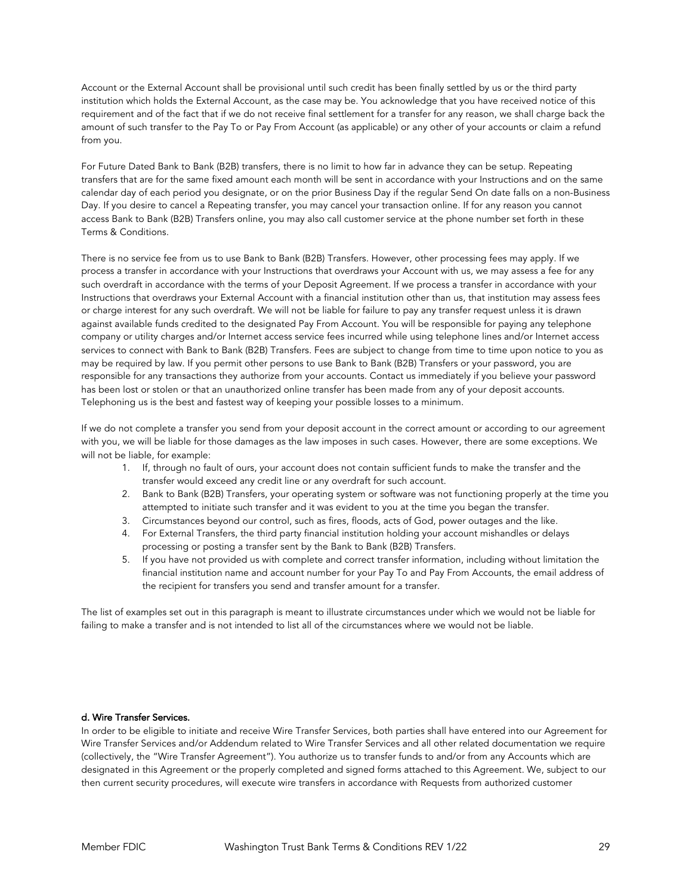Account or the External Account shall be provisional until such credit has been finally settled by us or the third party institution which holds the External Account, as the case may be. You acknowledge that you have received notice of this requirement and of the fact that if we do not receive final settlement for a transfer for any reason, we shall charge back the amount of such transfer to the Pay To or Pay From Account (as applicable) or any other of your accounts or claim a refund from you.

For Future Dated Bank to Bank (B2B) transfers, there is no limit to how far in advance they can be setup. Repeating transfers that are for the same fixed amount each month will be sent in accordance with your Instructions and on the same calendar day of each period you designate, or on the prior Business Day if the regular Send On date falls on a non-Business Day. If you desire to cancel a Repeating transfer, you may cancel your transaction online. If for any reason you cannot access Bank to Bank (B2B) Transfers online, you may also call customer service at the phone number set forth in these Terms & Conditions.

There is no service fee from us to use Bank to Bank (B2B) Transfers. However, other processing fees may apply. If we process a transfer in accordance with your Instructions that overdraws your Account with us, we may assess a fee for any such overdraft in accordance with the terms of your Deposit Agreement. If we process a transfer in accordance with your Instructions that overdraws your External Account with a financial institution other than us, that institution may assess fees or charge interest for any such overdraft. We will not be liable for failure to pay any transfer request unless it is drawn against available funds credited to the designated Pay From Account. You will be responsible for paying any telephone company or utility charges and/or Internet access service fees incurred while using telephone lines and/or Internet access services to connect with Bank to Bank (B2B) Transfers. Fees are subject to change from time to time upon notice to you as may be required by law. If you permit other persons to use Bank to Bank (B2B) Transfers or your password, you are responsible for any transactions they authorize from your accounts. Contact us immediately if you believe your password has been lost or stolen or that an unauthorized online transfer has been made from any of your deposit accounts. Telephoning us is the best and fastest way of keeping your possible losses to a minimum.

If we do not complete a transfer you send from your deposit account in the correct amount or according to our agreement with you, we will be liable for those damages as the law imposes in such cases. However, there are some exceptions. We will not be liable, for example:

- 1. If, through no fault of ours, your account does not contain sufficient funds to make the transfer and the transfer would exceed any credit line or any overdraft for such account.
- 2. Bank to Bank (B2B) Transfers, your operating system or software was not functioning properly at the time you attempted to initiate such transfer and it was evident to you at the time you began the transfer.
- 3. Circumstances beyond our control, such as fires, floods, acts of God, power outages and the like.
- 4. For External Transfers, the third party financial institution holding your account mishandles or delays processing or posting a transfer sent by the Bank to Bank (B2B) Transfers.
- 5. If you have not provided us with complete and correct transfer information, including without limitation the financial institution name and account number for your Pay To and Pay From Accounts, the email address of the recipient for transfers you send and transfer amount for a transfer.

The list of examples set out in this paragraph is meant to illustrate circumstances under which we would not be liable for failing to make a transfer and is not intended to list all of the circumstances where we would not be liable.

# d. Wire Transfer Services.

In order to be eligible to initiate and receive Wire Transfer Services, both parties shall have entered into our Agreement for Wire Transfer Services and/or Addendum related to Wire Transfer Services and all other related documentation we require (collectively, the "Wire Transfer Agreement"). You authorize us to transfer funds to and/or from any Accounts which are designated in this Agreement or the properly completed and signed forms attached to this Agreement. We, subject to our then current security procedures, will execute wire transfers in accordance with Requests from authorized customer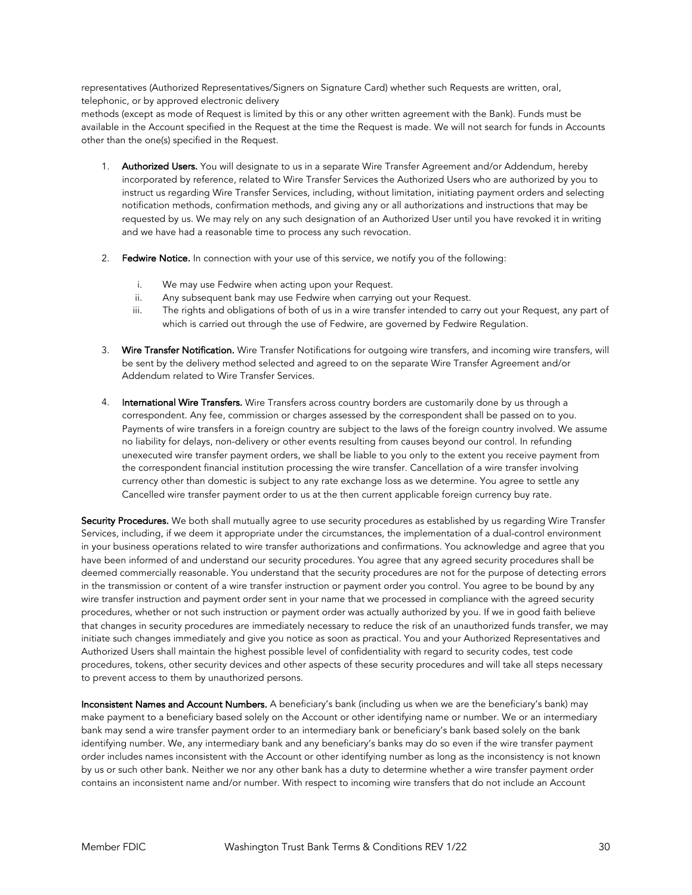representatives (Authorized Representatives/Signers on Signature Card) whether such Requests are written, oral, telephonic, or by approved electronic delivery

methods (except as mode of Request is limited by this or any other written agreement with the Bank). Funds must be available in the Account specified in the Request at the time the Request is made. We will not search for funds in Accounts other than the one(s) specified in the Request.

- 1. Authorized Users. You will designate to us in a separate Wire Transfer Agreement and/or Addendum, hereby incorporated by reference, related to Wire Transfer Services the Authorized Users who are authorized by you to instruct us regarding Wire Transfer Services, including, without limitation, initiating payment orders and selecting notification methods, confirmation methods, and giving any or all authorizations and instructions that may be requested by us. We may rely on any such designation of an Authorized User until you have revoked it in writing and we have had a reasonable time to process any such revocation.
- 2. Fedwire Notice. In connection with your use of this service, we notify you of the following:
	- i. We may use Fedwire when acting upon your Request.
	- ii. Any subsequent bank may use Fedwire when carrying out your Request.
	- iii. The rights and obligations of both of us in a wire transfer intended to carry out your Request, any part of which is carried out through the use of Fedwire, are governed by Fedwire Regulation.
- 3. Wire Transfer Notification. Wire Transfer Notifications for outgoing wire transfers, and incoming wire transfers, will be sent by the delivery method selected and agreed to on the separate Wire Transfer Agreement and/or Addendum related to Wire Transfer Services.
- 4. International Wire Transfers. Wire Transfers across country borders are customarily done by us through a correspondent. Any fee, commission or charges assessed by the correspondent shall be passed on to you. Payments of wire transfers in a foreign country are subject to the laws of the foreign country involved. We assume no liability for delays, non-delivery or other events resulting from causes beyond our control. In refunding unexecuted wire transfer payment orders, we shall be liable to you only to the extent you receive payment from the correspondent financial institution processing the wire transfer. Cancellation of a wire transfer involving currency other than domestic is subject to any rate exchange loss as we determine. You agree to settle any Cancelled wire transfer payment order to us at the then current applicable foreign currency buy rate.

Security Procedures. We both shall mutually agree to use security procedures as established by us regarding Wire Transfer Services, including, if we deem it appropriate under the circumstances, the implementation of a dual-control environment in your business operations related to wire transfer authorizations and confirmations. You acknowledge and agree that you have been informed of and understand our security procedures. You agree that any agreed security procedures shall be deemed commercially reasonable. You understand that the security procedures are not for the purpose of detecting errors in the transmission or content of a wire transfer instruction or payment order you control. You agree to be bound by any wire transfer instruction and payment order sent in your name that we processed in compliance with the agreed security procedures, whether or not such instruction or payment order was actually authorized by you. If we in good faith believe that changes in security procedures are immediately necessary to reduce the risk of an unauthorized funds transfer, we may initiate such changes immediately and give you notice as soon as practical. You and your Authorized Representatives and Authorized Users shall maintain the highest possible level of confidentiality with regard to security codes, test code procedures, tokens, other security devices and other aspects of these security procedures and will take all steps necessary to prevent access to them by unauthorized persons.

Inconsistent Names and Account Numbers. A beneficiary's bank (including us when we are the beneficiary's bank) may make payment to a beneficiary based solely on the Account or other identifying name or number. We or an intermediary bank may send a wire transfer payment order to an intermediary bank or beneficiary's bank based solely on the bank identifying number. We, any intermediary bank and any beneficiary's banks may do so even if the wire transfer payment order includes names inconsistent with the Account or other identifying number as long as the inconsistency is not known by us or such other bank. Neither we nor any other bank has a duty to determine whether a wire transfer payment order contains an inconsistent name and/or number. With respect to incoming wire transfers that do not include an Account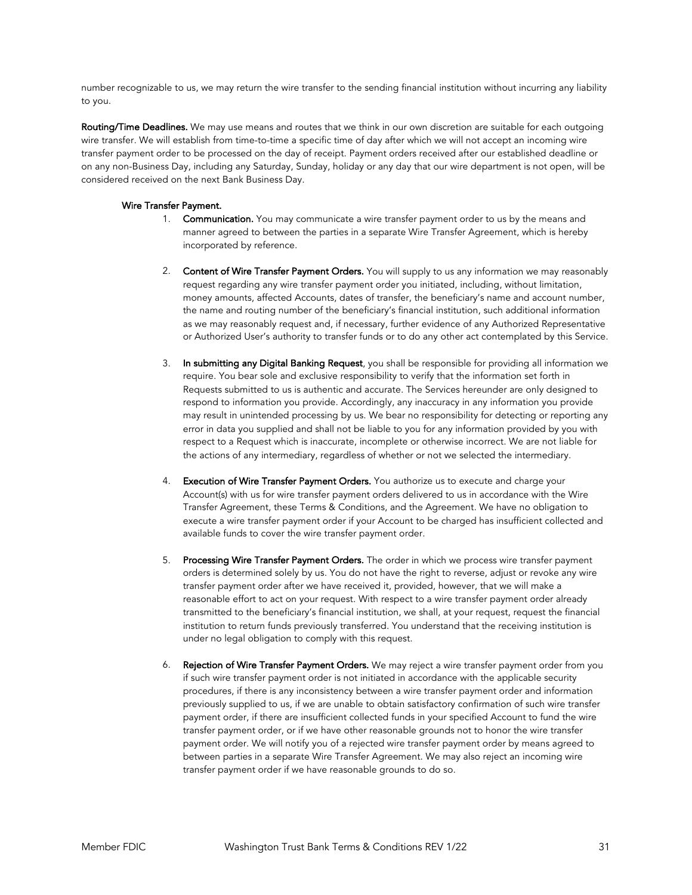number recognizable to us, we may return the wire transfer to the sending financial institution without incurring any liability to you.

Routing/Time Deadlines. We may use means and routes that we think in our own discretion are suitable for each outgoing wire transfer. We will establish from time-to-time a specific time of day after which we will not accept an incoming wire transfer payment order to be processed on the day of receipt. Payment orders received after our established deadline or on any non-Business Day, including any Saturday, Sunday, holiday or any day that our wire department is not open, will be considered received on the next Bank Business Day.

## Wire Transfer Payment.

- 1. Communication. You may communicate a wire transfer payment order to us by the means and manner agreed to between the parties in a separate Wire Transfer Agreement, which is hereby incorporated by reference.
- 2. Content of Wire Transfer Payment Orders. You will supply to us any information we may reasonably request regarding any wire transfer payment order you initiated, including, without limitation, money amounts, affected Accounts, dates of transfer, the beneficiary's name and account number, the name and routing number of the beneficiary's financial institution, such additional information as we may reasonably request and, if necessary, further evidence of any Authorized Representative or Authorized User's authority to transfer funds or to do any other act contemplated by this Service.
- 3. In submitting any Digital Banking Request, you shall be responsible for providing all information we require. You bear sole and exclusive responsibility to verify that the information set forth in Requests submitted to us is authentic and accurate. The Services hereunder are only designed to respond to information you provide. Accordingly, any inaccuracy in any information you provide may result in unintended processing by us. We bear no responsibility for detecting or reporting any error in data you supplied and shall not be liable to you for any information provided by you with respect to a Request which is inaccurate, incomplete or otherwise incorrect. We are not liable for the actions of any intermediary, regardless of whether or not we selected the intermediary.
- 4. Execution of Wire Transfer Payment Orders. You authorize us to execute and charge your Account(s) with us for wire transfer payment orders delivered to us in accordance with the Wire Transfer Agreement, these Terms & Conditions, and the Agreement. We have no obligation to execute a wire transfer payment order if your Account to be charged has insufficient collected and available funds to cover the wire transfer payment order.
- 5. Processing Wire Transfer Payment Orders. The order in which we process wire transfer payment orders is determined solely by us. You do not have the right to reverse, adjust or revoke any wire transfer payment order after we have received it, provided, however, that we will make a reasonable effort to act on your request. With respect to a wire transfer payment order already transmitted to the beneficiary's financial institution, we shall, at your request, request the financial institution to return funds previously transferred. You understand that the receiving institution is under no legal obligation to comply with this request.
- 6. Rejection of Wire Transfer Payment Orders. We may reject a wire transfer payment order from you if such wire transfer payment order is not initiated in accordance with the applicable security procedures, if there is any inconsistency between a wire transfer payment order and information previously supplied to us, if we are unable to obtain satisfactory confirmation of such wire transfer payment order, if there are insufficient collected funds in your specified Account to fund the wire transfer payment order, or if we have other reasonable grounds not to honor the wire transfer payment order. We will notify you of a rejected wire transfer payment order by means agreed to between parties in a separate Wire Transfer Agreement. We may also reject an incoming wire transfer payment order if we have reasonable grounds to do so.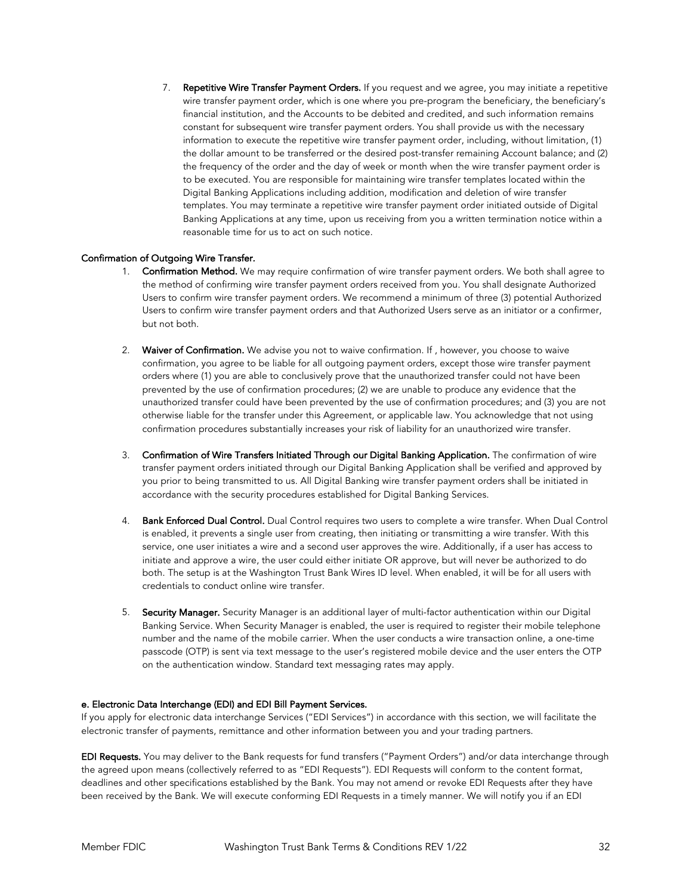7. Repetitive Wire Transfer Payment Orders. If you request and we agree, you may initiate a repetitive wire transfer payment order, which is one where you pre-program the beneficiary, the beneficiary's financial institution, and the Accounts to be debited and credited, and such information remains constant for subsequent wire transfer payment orders. You shall provide us with the necessary information to execute the repetitive wire transfer payment order, including, without limitation, (1) the dollar amount to be transferred or the desired post-transfer remaining Account balance; and (2) the frequency of the order and the day of week or month when the wire transfer payment order is to be executed. You are responsible for maintaining wire transfer templates located within the Digital Banking Applications including addition, modification and deletion of wire transfer templates. You may terminate a repetitive wire transfer payment order initiated outside of Digital Banking Applications at any time, upon us receiving from you a written termination notice within a reasonable time for us to act on such notice.

## Confirmation of Outgoing Wire Transfer.

- 1. Confirmation Method. We may require confirmation of wire transfer payment orders. We both shall agree to the method of confirming wire transfer payment orders received from you. You shall designate Authorized Users to confirm wire transfer payment orders. We recommend a minimum of three (3) potential Authorized Users to confirm wire transfer payment orders and that Authorized Users serve as an initiator or a confirmer, but not both.
- 2. Waiver of Confirmation. We advise you not to waive confirmation. If, however, you choose to waive confirmation, you agree to be liable for all outgoing payment orders, except those wire transfer payment orders where (1) you are able to conclusively prove that the unauthorized transfer could not have been prevented by the use of confirmation procedures; (2) we are unable to produce any evidence that the unauthorized transfer could have been prevented by the use of confirmation procedures; and (3) you are not otherwise liable for the transfer under this Agreement, or applicable law. You acknowledge that not using confirmation procedures substantially increases your risk of liability for an unauthorized wire transfer.
- 3. Confirmation of Wire Transfers Initiated Through our Digital Banking Application. The confirmation of wire transfer payment orders initiated through our Digital Banking Application shall be verified and approved by you prior to being transmitted to us. All Digital Banking wire transfer payment orders shall be initiated in accordance with the security procedures established for Digital Banking Services.
- 4. Bank Enforced Dual Control. Dual Control requires two users to complete a wire transfer. When Dual Control is enabled, it prevents a single user from creating, then initiating or transmitting a wire transfer. With this service, one user initiates a wire and a second user approves the wire. Additionally, if a user has access to initiate and approve a wire, the user could either initiate OR approve, but will never be authorized to do both. The setup is at the Washington Trust Bank Wires ID level. When enabled, it will be for all users with credentials to conduct online wire transfer.
- 5. Security Manager. Security Manager is an additional layer of multi-factor authentication within our Digital Banking Service. When Security Manager is enabled, the user is required to register their mobile telephone number and the name of the mobile carrier. When the user conducts a wire transaction online, a one-time passcode (OTP) is sent via text message to the user's registered mobile device and the user enters the OTP on the authentication window. Standard text messaging rates may apply.

## e. Electronic Data Interchange (EDI) and EDI Bill Payment Services.

If you apply for electronic data interchange Services ("EDI Services") in accordance with this section, we will facilitate the electronic transfer of payments, remittance and other information between you and your trading partners.

EDI Requests. You may deliver to the Bank requests for fund transfers ("Payment Orders") and/or data interchange through the agreed upon means (collectively referred to as "EDI Requests"). EDI Requests will conform to the content format, deadlines and other specifications established by the Bank. You may not amend or revoke EDI Requests after they have been received by the Bank. We will execute conforming EDI Requests in a timely manner. We will notify you if an EDI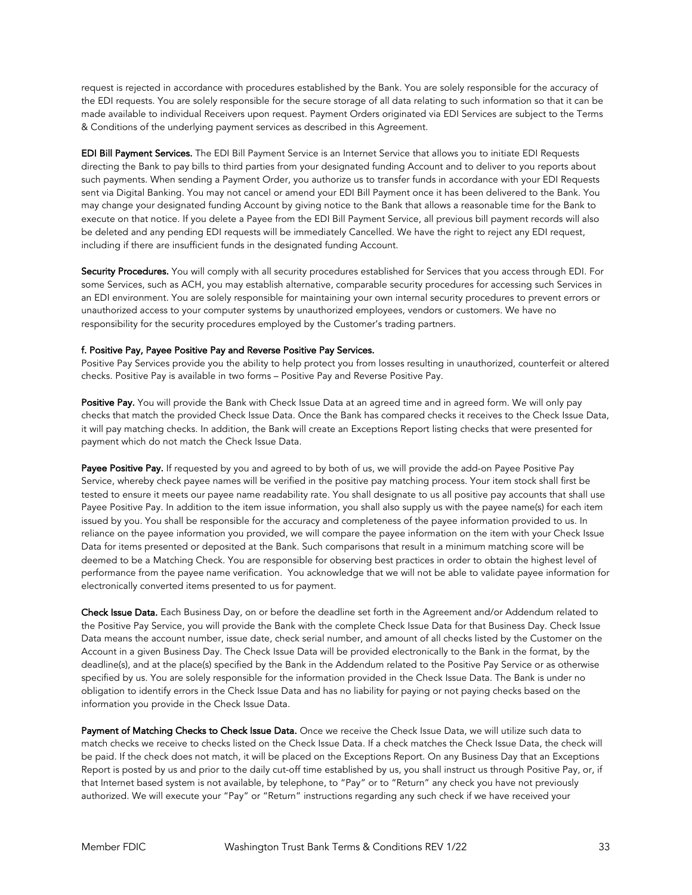request is rejected in accordance with procedures established by the Bank. You are solely responsible for the accuracy of the EDI requests. You are solely responsible for the secure storage of all data relating to such information so that it can be made available to individual Receivers upon request. Payment Orders originated via EDI Services are subject to the Terms & Conditions of the underlying payment services as described in this Agreement.

EDI Bill Payment Services. The EDI Bill Payment Service is an Internet Service that allows you to initiate EDI Requests directing the Bank to pay bills to third parties from your designated funding Account and to deliver to you reports about such payments. When sending a Payment Order, you authorize us to transfer funds in accordance with your EDI Requests sent via Digital Banking. You may not cancel or amend your EDI Bill Payment once it has been delivered to the Bank. You may change your designated funding Account by giving notice to the Bank that allows a reasonable time for the Bank to execute on that notice. If you delete a Payee from the EDI Bill Payment Service, all previous bill payment records will also be deleted and any pending EDI requests will be immediately Cancelled. We have the right to reject any EDI request, including if there are insufficient funds in the designated funding Account.

Security Procedures. You will comply with all security procedures established for Services that you access through EDI. For some Services, such as ACH, you may establish alternative, comparable security procedures for accessing such Services in an EDI environment. You are solely responsible for maintaining your own internal security procedures to prevent errors or unauthorized access to your computer systems by unauthorized employees, vendors or customers. We have no responsibility for the security procedures employed by the Customer's trading partners.

## f. Positive Pay, Payee Positive Pay and Reverse Positive Pay Services.

Positive Pay Services provide you the ability to help protect you from losses resulting in unauthorized, counterfeit or altered checks. Positive Pay is available in two forms – Positive Pay and Reverse Positive Pay.

Positive Pay. You will provide the Bank with Check Issue Data at an agreed time and in agreed form. We will only pay checks that match the provided Check Issue Data. Once the Bank has compared checks it receives to the Check Issue Data, it will pay matching checks. In addition, the Bank will create an Exceptions Report listing checks that were presented for payment which do not match the Check Issue Data.

Payee Positive Pay. If requested by you and agreed to by both of us, we will provide the add-on Payee Positive Pay Service, whereby check payee names will be verified in the positive pay matching process. Your item stock shall first be tested to ensure it meets our payee name readability rate. You shall designate to us all positive pay accounts that shall use Payee Positive Pay. In addition to the item issue information, you shall also supply us with the payee name(s) for each item issued by you. You shall be responsible for the accuracy and completeness of the payee information provided to us. In reliance on the payee information you provided, we will compare the payee information on the item with your Check Issue Data for items presented or deposited at the Bank. Such comparisons that result in a minimum matching score will be deemed to be a Matching Check. You are responsible for observing best practices in order to obtain the highest level of performance from the payee name verification. You acknowledge that we will not be able to validate payee information for electronically converted items presented to us for payment.

Check Issue Data. Each Business Day, on or before the deadline set forth in the Agreement and/or Addendum related to the Positive Pay Service, you will provide the Bank with the complete Check Issue Data for that Business Day. Check Issue Data means the account number, issue date, check serial number, and amount of all checks listed by the Customer on the Account in a given Business Day. The Check Issue Data will be provided electronically to the Bank in the format, by the deadline(s), and at the place(s) specified by the Bank in the Addendum related to the Positive Pay Service or as otherwise specified by us. You are solely responsible for the information provided in the Check Issue Data. The Bank is under no obligation to identify errors in the Check Issue Data and has no liability for paying or not paying checks based on the information you provide in the Check Issue Data.

Payment of Matching Checks to Check Issue Data. Once we receive the Check Issue Data, we will utilize such data to match checks we receive to checks listed on the Check Issue Data. If a check matches the Check Issue Data, the check will be paid. If the check does not match, it will be placed on the Exceptions Report. On any Business Day that an Exceptions Report is posted by us and prior to the daily cut-off time established by us, you shall instruct us through Positive Pay, or, if that Internet based system is not available, by telephone, to "Pay" or to "Return" any check you have not previously authorized. We will execute your "Pay" or "Return" instructions regarding any such check if we have received your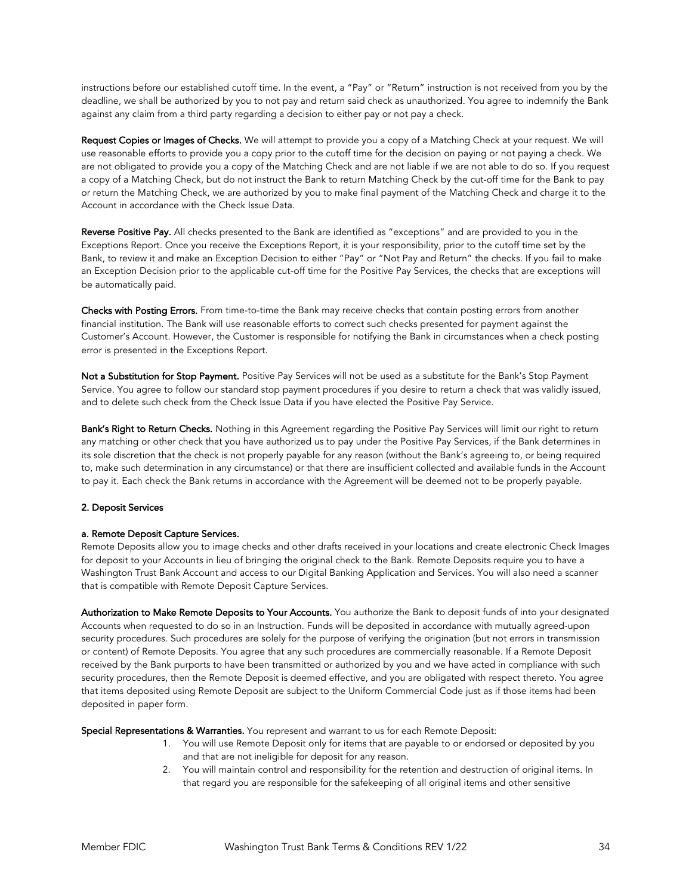instructions before our established cutoff time. In the event, a "Pay" or "Return" instruction is not received from you by the deadline, we shall be authorized by you to not pay and return said check as unauthorized. You agree to indemnify the Bank against any claim from a third party regarding a decision to either pay or not pay a check.

Request Copies or Images of Checks. We will attempt to provide you a copy of a Matching Check at your request. We will use reasonable efforts to provide you a copy prior to the cutoff time for the decision on paying or not paying a check. We are not obligated to provide you a copy of the Matching Check and are not liable if we are not able to do so. If you request a copy of a Matching Check, but do not instruct the Bank to return Matching Check by the cut-off time for the Bank to pay or return the Matching Check, we are authorized by you to make final payment of the Matching Check and charge it to the Account in accordance with the Check Issue Data.

Reverse Positive Pay. All checks presented to the Bank are identified as "exceptions" and are provided to you in the Exceptions Report. Once you receive the Exceptions Report, it is your responsibility, prior to the cutoff time set by the Bank, to review it and make an Exception Decision to either "Pay" or "Not Pay and Return" the checks. If you fail to make an Exception Decision prior to the applicable cut-off time for the Positive Pay Services, the checks that are exceptions will be automatically paid.

Checks with Posting Errors. From time-to-time the Bank may receive checks that contain posting errors from another financial institution. The Bank will use reasonable efforts to correct such checks presented for payment against the Customer's Account. However, the Customer is responsible for notifying the Bank in circumstances when a check posting error is presented in the Exceptions Report.

Not a Substitution for Stop Payment. Positive Pay Services will not be used as a substitute for the Bank's Stop Payment Service. You agree to follow our standard stop payment procedures if you desire to return a check that was validly issued, and to delete such check from the Check Issue Data if you have elected the Positive Pay Service.

Bank's Right to Return Checks. Nothing in this Agreement regarding the Positive Pay Services will limit our right to return any matching or other check that you have authorized us to pay under the Positive Pay Services, if the Bank determines in its sole discretion that the check is not properly payable for any reason (without the Bank's agreeing to, or being required to, make such determination in any circumstance) or that there are insufficient collected and available funds in the Account to pay it. Each check the Bank returns in accordance with the Agreement will be deemed not to be properly payable.

## 2. Deposit Services

## a. Remote Deposit Capture Services.

Remote Deposits allow you to image checks and other drafts received in your locations and create electronic Check Images for deposit to your Accounts in lieu of bringing the original check to the Bank. Remote Deposits require you to have a Washington Trust Bank Account and access to our Digital Banking Application and Services. You will also need a scanner that is compatible with Remote Deposit Capture Services.

Authorization to Make Remote Deposits to Your Accounts. You authorize the Bank to deposit funds of into your designated Accounts when requested to do so in an Instruction. Funds will be deposited in accordance with mutually agreed-upon security procedures. Such procedures are solely for the purpose of verifying the origination (but not errors in transmission or content) of Remote Deposits. You agree that any such procedures are commercially reasonable. If a Remote Deposit received by the Bank purports to have been transmitted or authorized by you and we have acted in compliance with such security procedures, then the Remote Deposit is deemed effective, and you are obligated with respect thereto. You agree that items deposited using Remote Deposit are subject to the Uniform Commercial Code just as if those items had been deposited in paper form.

Special Representations & Warranties. You represent and warrant to us for each Remote Deposit:

- 1. You will use Remote Deposit only for items that are payable to or endorsed or deposited by you and that are not ineligible for deposit for any reason.
- 2. You will maintain control and responsibility for the retention and destruction of original items. In that regard you are responsible for the safekeeping of all original items and other sensitive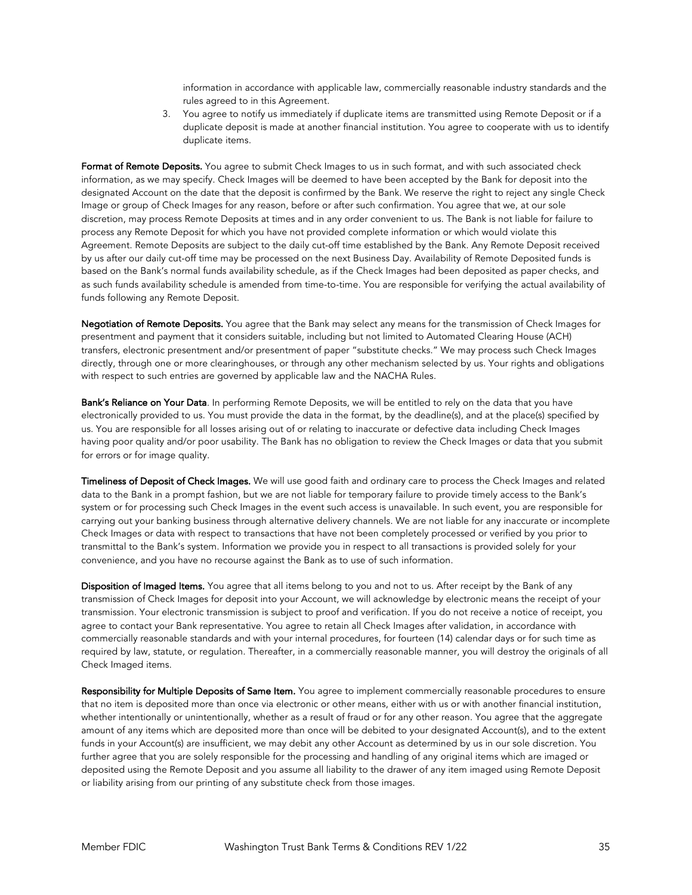information in accordance with applicable law, commercially reasonable industry standards and the rules agreed to in this Agreement.

3. You agree to notify us immediately if duplicate items are transmitted using Remote Deposit or if a duplicate deposit is made at another financial institution. You agree to cooperate with us to identify duplicate items.

Format of Remote Deposits. You agree to submit Check Images to us in such format, and with such associated check information, as we may specify. Check Images will be deemed to have been accepted by the Bank for deposit into the designated Account on the date that the deposit is confirmed by the Bank. We reserve the right to reject any single Check Image or group of Check Images for any reason, before or after such confirmation. You agree that we, at our sole discretion, may process Remote Deposits at times and in any order convenient to us. The Bank is not liable for failure to process any Remote Deposit for which you have not provided complete information or which would violate this Agreement. Remote Deposits are subject to the daily cut-off time established by the Bank. Any Remote Deposit received by us after our daily cut-off time may be processed on the next Business Day. Availability of Remote Deposited funds is based on the Bank's normal funds availability schedule, as if the Check Images had been deposited as paper checks, and as such funds availability schedule is amended from time-to-time. You are responsible for verifying the actual availability of funds following any Remote Deposit.

Negotiation of Remote Deposits. You agree that the Bank may select any means for the transmission of Check Images for presentment and payment that it considers suitable, including but not limited to Automated Clearing House (ACH) transfers, electronic presentment and/or presentment of paper "substitute checks." We may process such Check Images directly, through one or more clearinghouses, or through any other mechanism selected by us. Your rights and obligations with respect to such entries are governed by applicable law and the NACHA Rules.

Bank's Reliance on Your Data. In performing Remote Deposits, we will be entitled to rely on the data that you have electronically provided to us. You must provide the data in the format, by the deadline(s), and at the place(s) specified by us. You are responsible for all losses arising out of or relating to inaccurate or defective data including Check Images having poor quality and/or poor usability. The Bank has no obligation to review the Check Images or data that you submit for errors or for image quality.

Timeliness of Deposit of Check Images. We will use good faith and ordinary care to process the Check Images and related data to the Bank in a prompt fashion, but we are not liable for temporary failure to provide timely access to the Bank's system or for processing such Check Images in the event such access is unavailable. In such event, you are responsible for carrying out your banking business through alternative delivery channels. We are not liable for any inaccurate or incomplete Check Images or data with respect to transactions that have not been completely processed or verified by you prior to transmittal to the Bank's system. Information we provide you in respect to all transactions is provided solely for your convenience, and you have no recourse against the Bank as to use of such information.

Disposition of Imaged Items. You agree that all items belong to you and not to us. After receipt by the Bank of any transmission of Check Images for deposit into your Account, we will acknowledge by electronic means the receipt of your transmission. Your electronic transmission is subject to proof and verification. If you do not receive a notice of receipt, you agree to contact your Bank representative. You agree to retain all Check Images after validation, in accordance with commercially reasonable standards and with your internal procedures, for fourteen (14) calendar days or for such time as required by law, statute, or regulation. Thereafter, in a commercially reasonable manner, you will destroy the originals of all Check Imaged items.

Responsibility for Multiple Deposits of Same Item. You agree to implement commercially reasonable procedures to ensure that no item is deposited more than once via electronic or other means, either with us or with another financial institution, whether intentionally or unintentionally, whether as a result of fraud or for any other reason. You agree that the aggregate amount of any items which are deposited more than once will be debited to your designated Account(s), and to the extent funds in your Account(s) are insufficient, we may debit any other Account as determined by us in our sole discretion. You further agree that you are solely responsible for the processing and handling of any original items which are imaged or deposited using the Remote Deposit and you assume all liability to the drawer of any item imaged using Remote Deposit or liability arising from our printing of any substitute check from those images.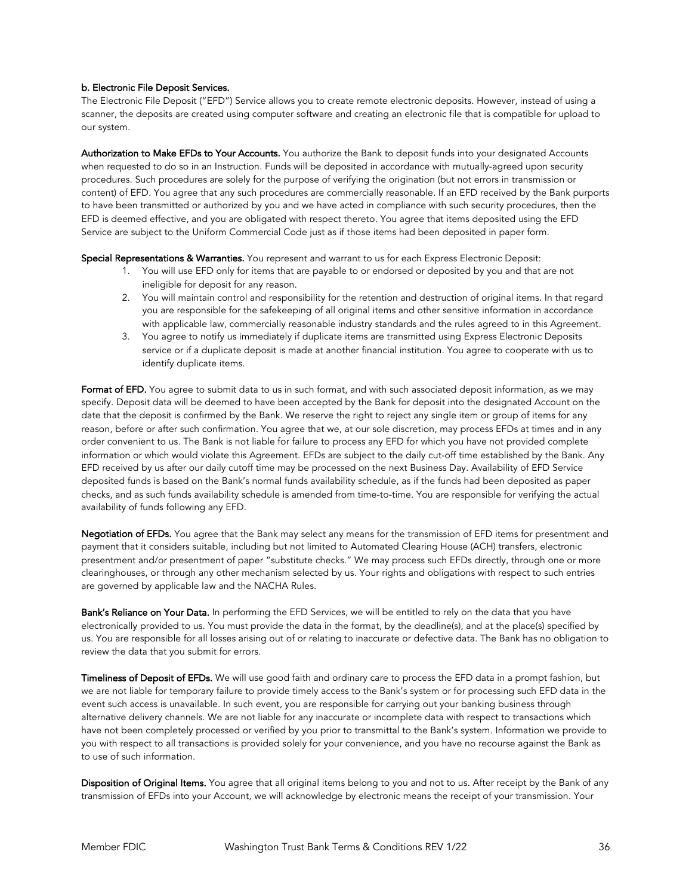## b. Electronic File Deposit Services.

The Electronic File Deposit ("EFD") Service allows you to create remote electronic deposits. However, instead of using a scanner, the deposits are created using computer software and creating an electronic file that is compatible for upload to our system.

Authorization to Make EFDs to Your Accounts. You authorize the Bank to deposit funds into your designated Accounts when requested to do so in an Instruction. Funds will be deposited in accordance with mutually-agreed upon security procedures. Such procedures are solely for the purpose of verifying the origination (but not errors in transmission or content) of EFD. You agree that any such procedures are commercially reasonable. If an EFD received by the Bank purports to have been transmitted or authorized by you and we have acted in compliance with such security procedures, then the EFD is deemed effective, and you are obligated with respect thereto. You agree that items deposited using the EFD Service are subject to the Uniform Commercial Code just as if those items had been deposited in paper form.

Special Representations & Warranties. You represent and warrant to us for each Express Electronic Deposit:

- 1. You will use EFD only for items that are payable to or endorsed or deposited by you and that are not ineligible for deposit for any reason.
- 2. You will maintain control and responsibility for the retention and destruction of original items. In that regard you are responsible for the safekeeping of all original items and other sensitive information in accordance with applicable law, commercially reasonable industry standards and the rules agreed to in this Agreement.
- 3. You agree to notify us immediately if duplicate items are transmitted using Express Electronic Deposits service or if a duplicate deposit is made at another financial institution. You agree to cooperate with us to identify duplicate items.

Format of EFD. You agree to submit data to us in such format, and with such associated deposit information, as we may specify. Deposit data will be deemed to have been accepted by the Bank for deposit into the designated Account on the date that the deposit is confirmed by the Bank. We reserve the right to reject any single item or group of items for any reason, before or after such confirmation. You agree that we, at our sole discretion, may process EFDs at times and in any order convenient to us. The Bank is not liable for failure to process any EFD for which you have not provided complete information or which would violate this Agreement. EFDs are subject to the daily cut-off time established by the Bank. Any EFD received by us after our daily cutoff time may be processed on the next Business Day. Availability of EFD Service deposited funds is based on the Bank's normal funds availability schedule, as if the funds had been deposited as paper checks, and as such funds availability schedule is amended from time-to-time. You are responsible for verifying the actual availability of funds following any EFD.

Negotiation of EFDs. You agree that the Bank may select any means for the transmission of EFD items for presentment and payment that it considers suitable, including but not limited to Automated Clearing House (ACH) transfers, electronic presentment and/or presentment of paper "substitute checks." We may process such EFDs directly, through one or more clearinghouses, or through any other mechanism selected by us. Your rights and obligations with respect to such entries are governed by applicable law and the NACHA Rules.

Bank's Reliance on Your Data. In performing the EFD Services, we will be entitled to rely on the data that you have electronically provided to us. You must provide the data in the format, by the deadline(s), and at the place(s) specified by us. You are responsible for all losses arising out of or relating to inaccurate or defective data. The Bank has no obligation to review the data that you submit for errors.

Timeliness of Deposit of EFDs. We will use good faith and ordinary care to process the EFD data in a prompt fashion, but we are not liable for temporary failure to provide timely access to the Bank's system or for processing such EFD data in the event such access is unavailable. In such event, you are responsible for carrying out your banking business through alternative delivery channels. We are not liable for any inaccurate or incomplete data with respect to transactions which have not been completely processed or verified by you prior to transmittal to the Bank's system. Information we provide to you with respect to all transactions is provided solely for your convenience, and you have no recourse against the Bank as to use of such information.

Disposition of Original Items. You agree that all original items belong to you and not to us. After receipt by the Bank of any transmission of EFDs into your Account, we will acknowledge by electronic means the receipt of your transmission. Your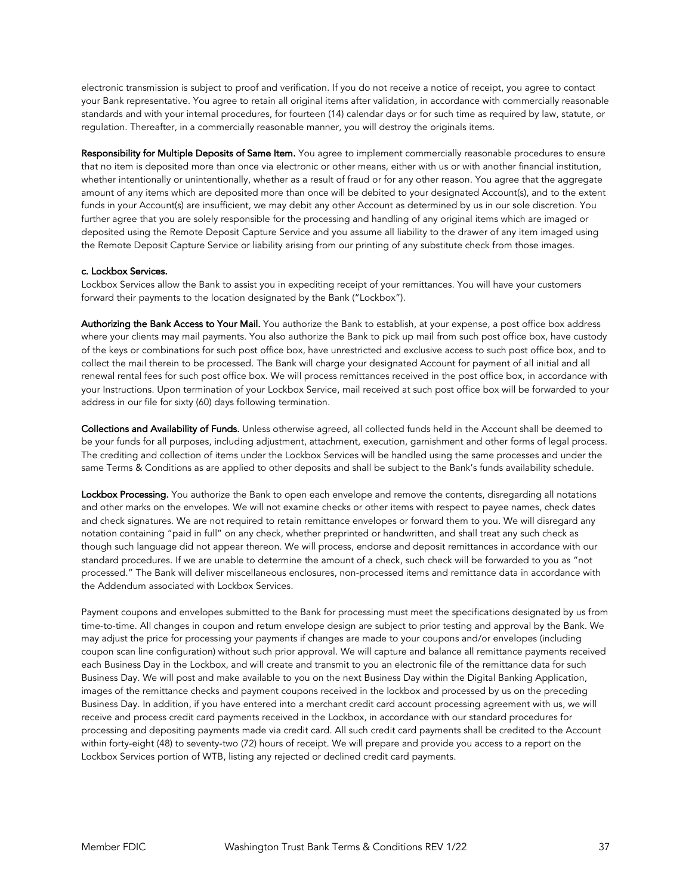electronic transmission is subject to proof and verification. If you do not receive a notice of receipt, you agree to contact your Bank representative. You agree to retain all original items after validation, in accordance with commercially reasonable standards and with your internal procedures, for fourteen (14) calendar days or for such time as required by law, statute, or regulation. Thereafter, in a commercially reasonable manner, you will destroy the originals items.

Responsibility for Multiple Deposits of Same Item. You agree to implement commercially reasonable procedures to ensure that no item is deposited more than once via electronic or other means, either with us or with another financial institution, whether intentionally or unintentionally, whether as a result of fraud or for any other reason. You agree that the aggregate amount of any items which are deposited more than once will be debited to your designated Account(s), and to the extent funds in your Account(s) are insufficient, we may debit any other Account as determined by us in our sole discretion. You further agree that you are solely responsible for the processing and handling of any original items which are imaged or deposited using the Remote Deposit Capture Service and you assume all liability to the drawer of any item imaged using the Remote Deposit Capture Service or liability arising from our printing of any substitute check from those images.

#### c. Lockbox Services.

Lockbox Services allow the Bank to assist you in expediting receipt of your remittances. You will have your customers forward their payments to the location designated by the Bank ("Lockbox").

Authorizing the Bank Access to Your Mail. You authorize the Bank to establish, at your expense, a post office box address where your clients may mail payments. You also authorize the Bank to pick up mail from such post office box, have custody of the keys or combinations for such post office box, have unrestricted and exclusive access to such post office box, and to collect the mail therein to be processed. The Bank will charge your designated Account for payment of all initial and all renewal rental fees for such post office box. We will process remittances received in the post office box, in accordance with your Instructions. Upon termination of your Lockbox Service, mail received at such post office box will be forwarded to your address in our file for sixty (60) days following termination.

Collections and Availability of Funds. Unless otherwise agreed, all collected funds held in the Account shall be deemed to be your funds for all purposes, including adjustment, attachment, execution, garnishment and other forms of legal process. The crediting and collection of items under the Lockbox Services will be handled using the same processes and under the same Terms & Conditions as are applied to other deposits and shall be subject to the Bank's funds availability schedule.

Lockbox Processing. You authorize the Bank to open each envelope and remove the contents, disregarding all notations and other marks on the envelopes. We will not examine checks or other items with respect to payee names, check dates and check signatures. We are not required to retain remittance envelopes or forward them to you. We will disregard any notation containing "paid in full" on any check, whether preprinted or handwritten, and shall treat any such check as though such language did not appear thereon. We will process, endorse and deposit remittances in accordance with our standard procedures. If we are unable to determine the amount of a check, such check will be forwarded to you as "not processed." The Bank will deliver miscellaneous enclosures, non-processed items and remittance data in accordance with the Addendum associated with Lockbox Services.

Payment coupons and envelopes submitted to the Bank for processing must meet the specifications designated by us from time-to-time. All changes in coupon and return envelope design are subject to prior testing and approval by the Bank. We may adjust the price for processing your payments if changes are made to your coupons and/or envelopes (including coupon scan line configuration) without such prior approval. We will capture and balance all remittance payments received each Business Day in the Lockbox, and will create and transmit to you an electronic file of the remittance data for such Business Day. We will post and make available to you on the next Business Day within the Digital Banking Application, images of the remittance checks and payment coupons received in the lockbox and processed by us on the preceding Business Day. In addition, if you have entered into a merchant credit card account processing agreement with us, we will receive and process credit card payments received in the Lockbox, in accordance with our standard procedures for processing and depositing payments made via credit card. All such credit card payments shall be credited to the Account within forty-eight (48) to seventy-two (72) hours of receipt. We will prepare and provide you access to a report on the Lockbox Services portion of WTB, listing any rejected or declined credit card payments.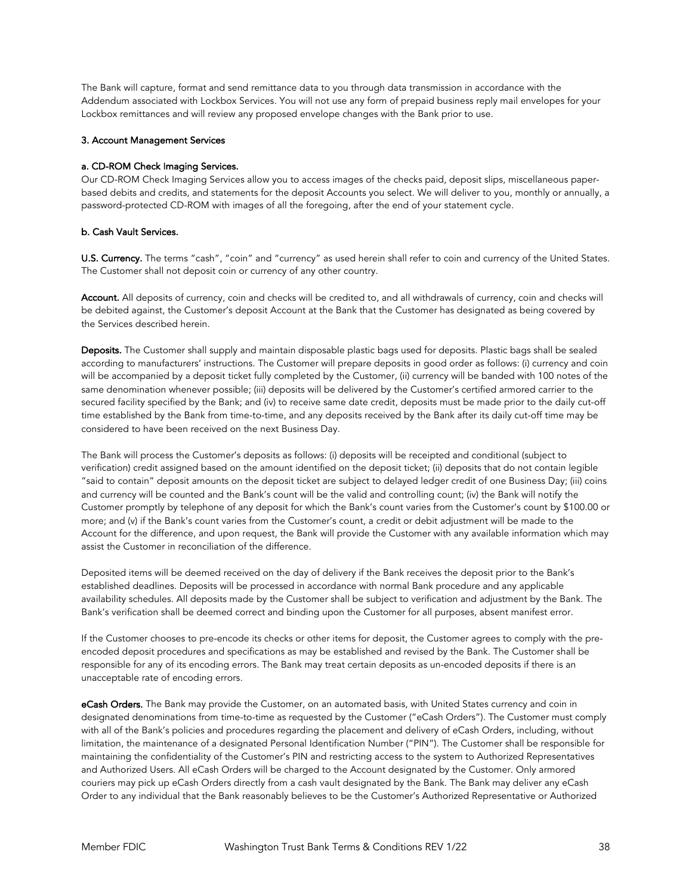The Bank will capture, format and send remittance data to you through data transmission in accordance with the Addendum associated with Lockbox Services. You will not use any form of prepaid business reply mail envelopes for your Lockbox remittances and will review any proposed envelope changes with the Bank prior to use.

#### 3. Account Management Services

#### a. CD-ROM Check Imaging Services.

Our CD-ROM Check Imaging Services allow you to access images of the checks paid, deposit slips, miscellaneous paperbased debits and credits, and statements for the deposit Accounts you select. We will deliver to you, monthly or annually, a password-protected CD-ROM with images of all the foregoing, after the end of your statement cycle.

#### b. Cash Vault Services.

U.S. Currency. The terms "cash", "coin" and "currency" as used herein shall refer to coin and currency of the United States. The Customer shall not deposit coin or currency of any other country.

Account. All deposits of currency, coin and checks will be credited to, and all withdrawals of currency, coin and checks will be debited against, the Customer's deposit Account at the Bank that the Customer has designated as being covered by the Services described herein.

Deposits. The Customer shall supply and maintain disposable plastic bags used for deposits. Plastic bags shall be sealed according to manufacturers' instructions. The Customer will prepare deposits in good order as follows: (i) currency and coin will be accompanied by a deposit ticket fully completed by the Customer, (ii) currency will be banded with 100 notes of the same denomination whenever possible; (iii) deposits will be delivered by the Customer's certified armored carrier to the secured facility specified by the Bank; and (iv) to receive same date credit, deposits must be made prior to the daily cut-off time established by the Bank from time-to-time, and any deposits received by the Bank after its daily cut-off time may be considered to have been received on the next Business Day.

The Bank will process the Customer's deposits as follows: (i) deposits will be receipted and conditional (subject to verification) credit assigned based on the amount identified on the deposit ticket; (ii) deposits that do not contain legible "said to contain" deposit amounts on the deposit ticket are subject to delayed ledger credit of one Business Day; (iii) coins and currency will be counted and the Bank's count will be the valid and controlling count; (iv) the Bank will notify the Customer promptly by telephone of any deposit for which the Bank's count varies from the Customer's count by \$100.00 or more; and (v) if the Bank's count varies from the Customer's count, a credit or debit adjustment will be made to the Account for the difference, and upon request, the Bank will provide the Customer with any available information which may assist the Customer in reconciliation of the difference.

Deposited items will be deemed received on the day of delivery if the Bank receives the deposit prior to the Bank's established deadlines. Deposits will be processed in accordance with normal Bank procedure and any applicable availability schedules. All deposits made by the Customer shall be subject to verification and adjustment by the Bank. The Bank's verification shall be deemed correct and binding upon the Customer for all purposes, absent manifest error.

If the Customer chooses to pre-encode its checks or other items for deposit, the Customer agrees to comply with the preencoded deposit procedures and specifications as may be established and revised by the Bank. The Customer shall be responsible for any of its encoding errors. The Bank may treat certain deposits as un-encoded deposits if there is an unacceptable rate of encoding errors.

eCash Orders. The Bank may provide the Customer, on an automated basis, with United States currency and coin in designated denominations from time-to-time as requested by the Customer ("eCash Orders"). The Customer must comply with all of the Bank's policies and procedures regarding the placement and delivery of eCash Orders, including, without limitation, the maintenance of a designated Personal Identification Number ("PIN"). The Customer shall be responsible for maintaining the confidentiality of the Customer's PIN and restricting access to the system to Authorized Representatives and Authorized Users. All eCash Orders will be charged to the Account designated by the Customer. Only armored couriers may pick up eCash Orders directly from a cash vault designated by the Bank. The Bank may deliver any eCash Order to any individual that the Bank reasonably believes to be the Customer's Authorized Representative or Authorized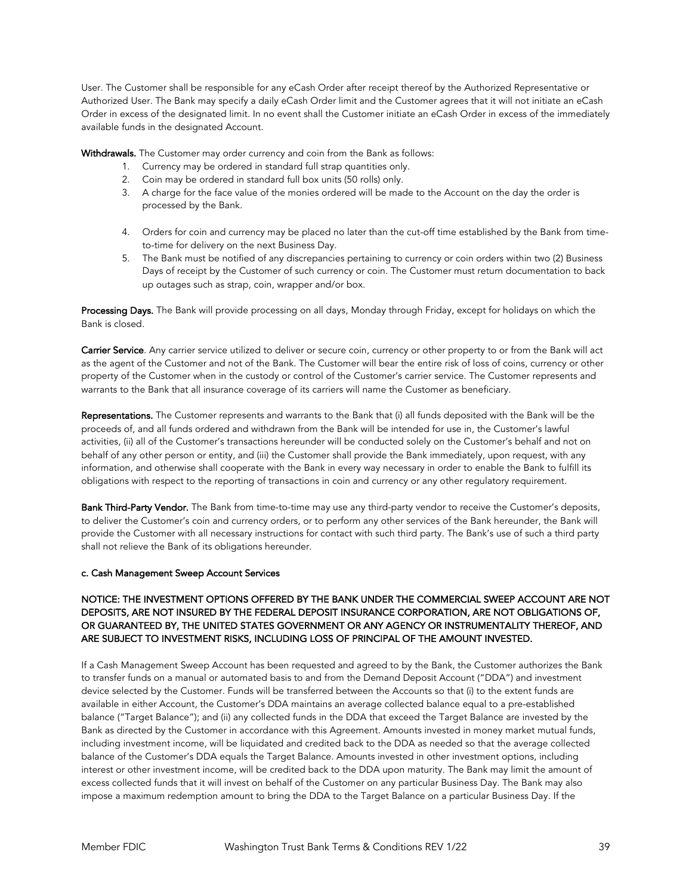User. The Customer shall be responsible for any eCash Order after receipt thereof by the Authorized Representative or Authorized User. The Bank may specify a daily eCash Order limit and the Customer agrees that it will not initiate an eCash Order in excess of the designated limit. In no event shall the Customer initiate an eCash Order in excess of the immediately available funds in the designated Account.

Withdrawals. The Customer may order currency and coin from the Bank as follows:

- 1. Currency may be ordered in standard full strap quantities only.
- 2. Coin may be ordered in standard full box units (50 rolls) only.
- 3. A charge for the face value of the monies ordered will be made to the Account on the day the order is processed by the Bank.
- 4. Orders for coin and currency may be placed no later than the cut-off time established by the Bank from timeto-time for delivery on the next Business Day.
- 5. The Bank must be notified of any discrepancies pertaining to currency or coin orders within two (2) Business Days of receipt by the Customer of such currency or coin. The Customer must return documentation to back up outages such as strap, coin, wrapper and/or box.

Processing Days. The Bank will provide processing on all days, Monday through Friday, except for holidays on which the Bank is closed.

Carrier Service. Any carrier service utilized to deliver or secure coin, currency or other property to or from the Bank will act as the agent of the Customer and not of the Bank. The Customer will bear the entire risk of loss of coins, currency or other property of the Customer when in the custody or control of the Customer's carrier service. The Customer represents and warrants to the Bank that all insurance coverage of its carriers will name the Customer as beneficiary.

Representations. The Customer represents and warrants to the Bank that (i) all funds deposited with the Bank will be the proceeds of, and all funds ordered and withdrawn from the Bank will be intended for use in, the Customer's lawful activities, (ii) all of the Customer's transactions hereunder will be conducted solely on the Customer's behalf and not on behalf of any other person or entity, and (iii) the Customer shall provide the Bank immediately, upon request, with any information, and otherwise shall cooperate with the Bank in every way necessary in order to enable the Bank to fulfill its obligations with respect to the reporting of transactions in coin and currency or any other regulatory requirement.

Bank Third-Party Vendor. The Bank from time-to-time may use any third-party vendor to receive the Customer's deposits, to deliver the Customer's coin and currency orders, or to perform any other services of the Bank hereunder, the Bank will provide the Customer with all necessary instructions for contact with such third party. The Bank's use of such a third party shall not relieve the Bank of its obligations hereunder.

## c. Cash Management Sweep Account Services

# NOTICE: THE INVESTMENT OPTIONS OFFERED BY THE BANK UNDER THE COMMERCIAL SWEEP ACCOUNT ARE NOT DEPOSITS, ARE NOT INSURED BY THE FEDERAL DEPOSIT INSURANCE CORPORATION, ARE NOT OBLIGATIONS OF, OR GUARANTEED BY, THE UNITED STATES GOVERNMENT OR ANY AGENCY OR INSTRUMENTALITY THEREOF, AND ARE SUBJECT TO INVESTMENT RISKS, INCLUDING LOSS OF PRINCIPAL OF THE AMOUNT INVESTED.

If a Cash Management Sweep Account has been requested and agreed to by the Bank, the Customer authorizes the Bank to transfer funds on a manual or automated basis to and from the Demand Deposit Account ("DDA") and investment device selected by the Customer. Funds will be transferred between the Accounts so that (i) to the extent funds are available in either Account, the Customer's DDA maintains an average collected balance equal to a pre-established balance ("Target Balance"); and (ii) any collected funds in the DDA that exceed the Target Balance are invested by the Bank as directed by the Customer in accordance with this Agreement. Amounts invested in money market mutual funds, including investment income, will be liquidated and credited back to the DDA as needed so that the average collected balance of the Customer's DDA equals the Target Balance. Amounts invested in other investment options, including interest or other investment income, will be credited back to the DDA upon maturity. The Bank may limit the amount of excess collected funds that it will invest on behalf of the Customer on any particular Business Day. The Bank may also impose a maximum redemption amount to bring the DDA to the Target Balance on a particular Business Day. If the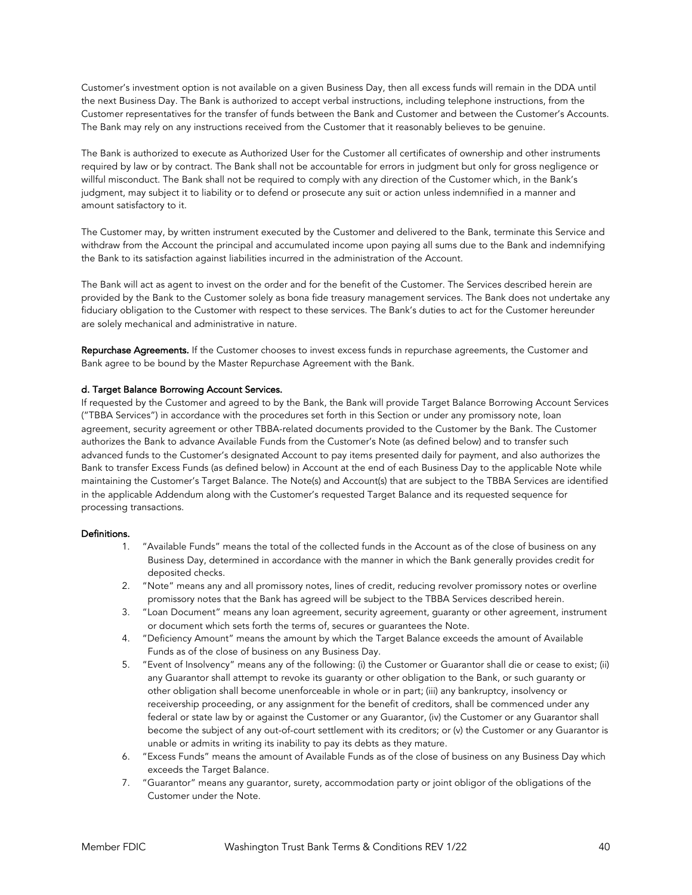Customer's investment option is not available on a given Business Day, then all excess funds will remain in the DDA until the next Business Day. The Bank is authorized to accept verbal instructions, including telephone instructions, from the Customer representatives for the transfer of funds between the Bank and Customer and between the Customer's Accounts. The Bank may rely on any instructions received from the Customer that it reasonably believes to be genuine.

The Bank is authorized to execute as Authorized User for the Customer all certificates of ownership and other instruments required by law or by contract. The Bank shall not be accountable for errors in judgment but only for gross negligence or willful misconduct. The Bank shall not be required to comply with any direction of the Customer which, in the Bank's judgment, may subject it to liability or to defend or prosecute any suit or action unless indemnified in a manner and amount satisfactory to it.

The Customer may, by written instrument executed by the Customer and delivered to the Bank, terminate this Service and withdraw from the Account the principal and accumulated income upon paying all sums due to the Bank and indemnifying the Bank to its satisfaction against liabilities incurred in the administration of the Account.

The Bank will act as agent to invest on the order and for the benefit of the Customer. The Services described herein are provided by the Bank to the Customer solely as bona fide treasury management services. The Bank does not undertake any fiduciary obligation to the Customer with respect to these services. The Bank's duties to act for the Customer hereunder are solely mechanical and administrative in nature.

Repurchase Agreements. If the Customer chooses to invest excess funds in repurchase agreements, the Customer and Bank agree to be bound by the Master Repurchase Agreement with the Bank.

## d. Target Balance Borrowing Account Services.

If requested by the Customer and agreed to by the Bank, the Bank will provide Target Balance Borrowing Account Services ("TBBA Services") in accordance with the procedures set forth in this Section or under any promissory note, loan agreement, security agreement or other TBBA-related documents provided to the Customer by the Bank. The Customer authorizes the Bank to advance Available Funds from the Customer's Note (as defined below) and to transfer such advanced funds to the Customer's designated Account to pay items presented daily for payment, and also authorizes the Bank to transfer Excess Funds (as defined below) in Account at the end of each Business Day to the applicable Note while maintaining the Customer's Target Balance. The Note(s) and Account(s) that are subject to the TBBA Services are identified in the applicable Addendum along with the Customer's requested Target Balance and its requested sequence for processing transactions.

#### Definitions.

- 1. "Available Funds" means the total of the collected funds in the Account as of the close of business on any Business Day, determined in accordance with the manner in which the Bank generally provides credit for deposited checks.
- 2. "Note" means any and all promissory notes, lines of credit, reducing revolver promissory notes or overline promissory notes that the Bank has agreed will be subject to the TBBA Services described herein.
- 3. "Loan Document" means any loan agreement, security agreement, guaranty or other agreement, instrument or document which sets forth the terms of, secures or guarantees the Note.
- 4. "Deficiency Amount" means the amount by which the Target Balance exceeds the amount of Available Funds as of the close of business on any Business Day.
- 5. "Event of Insolvency" means any of the following: (i) the Customer or Guarantor shall die or cease to exist; (ii) any Guarantor shall attempt to revoke its guaranty or other obligation to the Bank, or such guaranty or other obligation shall become unenforceable in whole or in part; (iii) any bankruptcy, insolvency or receivership proceeding, or any assignment for the benefit of creditors, shall be commenced under any federal or state law by or against the Customer or any Guarantor, (iv) the Customer or any Guarantor shall become the subject of any out-of-court settlement with its creditors; or (v) the Customer or any Guarantor is unable or admits in writing its inability to pay its debts as they mature.
- 6. "Excess Funds" means the amount of Available Funds as of the close of business on any Business Day which exceeds the Target Balance.
- 7. "Guarantor" means any guarantor, surety, accommodation party or joint obligor of the obligations of the Customer under the Note.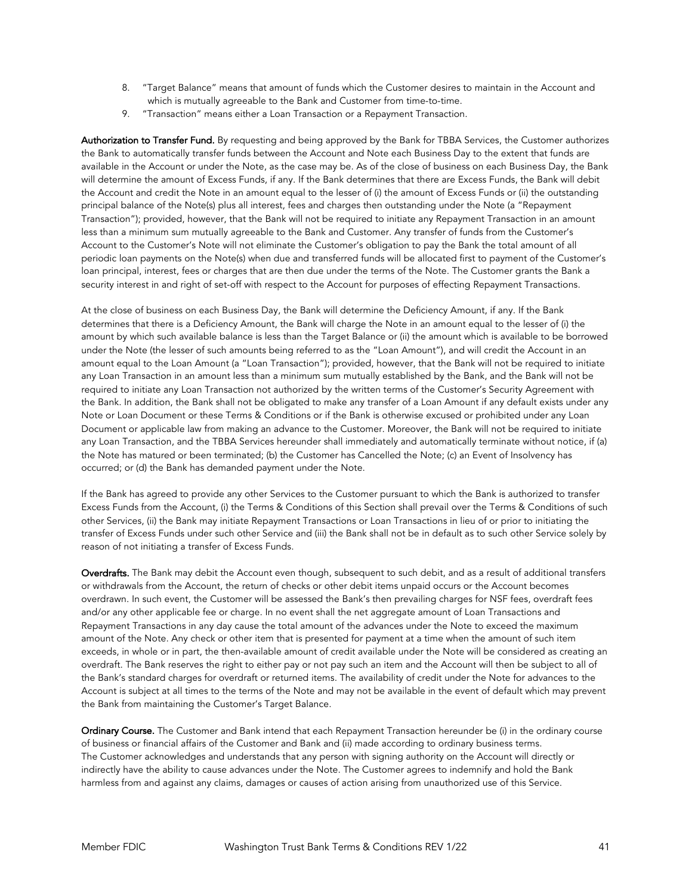- 8. "Target Balance" means that amount of funds which the Customer desires to maintain in the Account and which is mutually agreeable to the Bank and Customer from time-to-time.
- 9. "Transaction" means either a Loan Transaction or a Repayment Transaction.

Authorization to Transfer Fund. By requesting and being approved by the Bank for TBBA Services, the Customer authorizes the Bank to automatically transfer funds between the Account and Note each Business Day to the extent that funds are available in the Account or under the Note, as the case may be. As of the close of business on each Business Day, the Bank will determine the amount of Excess Funds, if any. If the Bank determines that there are Excess Funds, the Bank will debit the Account and credit the Note in an amount equal to the lesser of (i) the amount of Excess Funds or (ii) the outstanding principal balance of the Note(s) plus all interest, fees and charges then outstanding under the Note (a "Repayment Transaction"); provided, however, that the Bank will not be required to initiate any Repayment Transaction in an amount less than a minimum sum mutually agreeable to the Bank and Customer. Any transfer of funds from the Customer's Account to the Customer's Note will not eliminate the Customer's obligation to pay the Bank the total amount of all periodic loan payments on the Note(s) when due and transferred funds will be allocated first to payment of the Customer's loan principal, interest, fees or charges that are then due under the terms of the Note. The Customer grants the Bank a security interest in and right of set-off with respect to the Account for purposes of effecting Repayment Transactions.

At the close of business on each Business Day, the Bank will determine the Deficiency Amount, if any. If the Bank determines that there is a Deficiency Amount, the Bank will charge the Note in an amount equal to the lesser of (i) the amount by which such available balance is less than the Target Balance or (ii) the amount which is available to be borrowed under the Note (the lesser of such amounts being referred to as the "Loan Amount"), and will credit the Account in an amount equal to the Loan Amount (a "Loan Transaction"); provided, however, that the Bank will not be required to initiate any Loan Transaction in an amount less than a minimum sum mutually established by the Bank, and the Bank will not be required to initiate any Loan Transaction not authorized by the written terms of the Customer's Security Agreement with the Bank. In addition, the Bank shall not be obligated to make any transfer of a Loan Amount if any default exists under any Note or Loan Document or these Terms & Conditions or if the Bank is otherwise excused or prohibited under any Loan Document or applicable law from making an advance to the Customer. Moreover, the Bank will not be required to initiate any Loan Transaction, and the TBBA Services hereunder shall immediately and automatically terminate without notice, if (a) the Note has matured or been terminated; (b) the Customer has Cancelled the Note; (c) an Event of Insolvency has occurred; or (d) the Bank has demanded payment under the Note.

If the Bank has agreed to provide any other Services to the Customer pursuant to which the Bank is authorized to transfer Excess Funds from the Account, (i) the Terms & Conditions of this Section shall prevail over the Terms & Conditions of such other Services, (ii) the Bank may initiate Repayment Transactions or Loan Transactions in lieu of or prior to initiating the transfer of Excess Funds under such other Service and (iii) the Bank shall not be in default as to such other Service solely by reason of not initiating a transfer of Excess Funds.

Overdrafts. The Bank may debit the Account even though, subsequent to such debit, and as a result of additional transfers or withdrawals from the Account, the return of checks or other debit items unpaid occurs or the Account becomes overdrawn. In such event, the Customer will be assessed the Bank's then prevailing charges for NSF fees, overdraft fees and/or any other applicable fee or charge. In no event shall the net aggregate amount of Loan Transactions and Repayment Transactions in any day cause the total amount of the advances under the Note to exceed the maximum amount of the Note. Any check or other item that is presented for payment at a time when the amount of such item exceeds, in whole or in part, the then-available amount of credit available under the Note will be considered as creating an overdraft. The Bank reserves the right to either pay or not pay such an item and the Account will then be subject to all of the Bank's standard charges for overdraft or returned items. The availability of credit under the Note for advances to the Account is subject at all times to the terms of the Note and may not be available in the event of default which may prevent the Bank from maintaining the Customer's Target Balance.

Ordinary Course. The Customer and Bank intend that each Repayment Transaction hereunder be (i) in the ordinary course of business or financial affairs of the Customer and Bank and (ii) made according to ordinary business terms. The Customer acknowledges and understands that any person with signing authority on the Account will directly or indirectly have the ability to cause advances under the Note. The Customer agrees to indemnify and hold the Bank harmless from and against any claims, damages or causes of action arising from unauthorized use of this Service.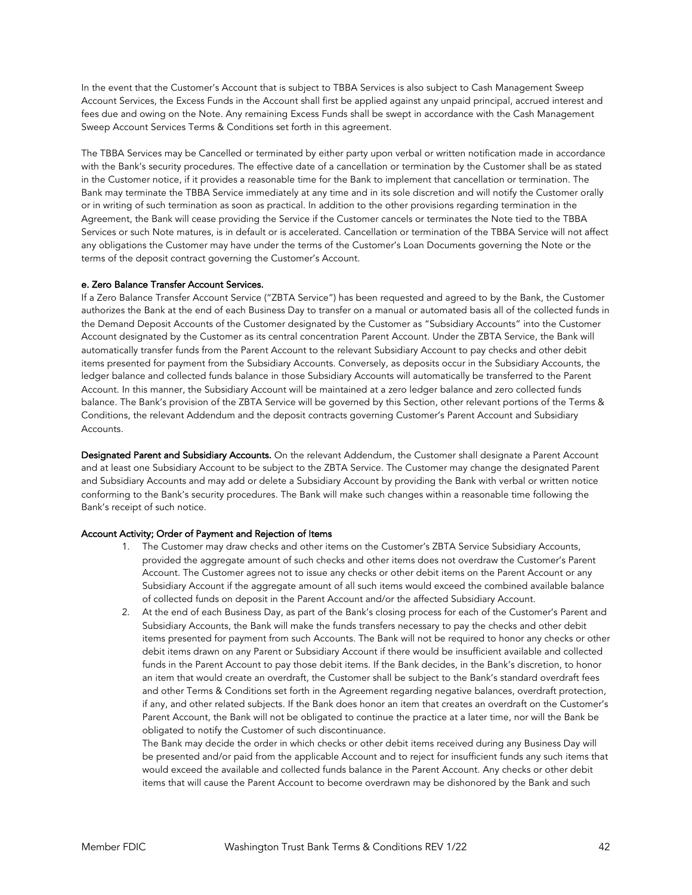In the event that the Customer's Account that is subject to TBBA Services is also subject to Cash Management Sweep Account Services, the Excess Funds in the Account shall first be applied against any unpaid principal, accrued interest and fees due and owing on the Note. Any remaining Excess Funds shall be swept in accordance with the Cash Management Sweep Account Services Terms & Conditions set forth in this agreement.

The TBBA Services may be Cancelled or terminated by either party upon verbal or written notification made in accordance with the Bank's security procedures. The effective date of a cancellation or termination by the Customer shall be as stated in the Customer notice, if it provides a reasonable time for the Bank to implement that cancellation or termination. The Bank may terminate the TBBA Service immediately at any time and in its sole discretion and will notify the Customer orally or in writing of such termination as soon as practical. In addition to the other provisions regarding termination in the Agreement, the Bank will cease providing the Service if the Customer cancels or terminates the Note tied to the TBBA Services or such Note matures, is in default or is accelerated. Cancellation or termination of the TBBA Service will not affect any obligations the Customer may have under the terms of the Customer's Loan Documents governing the Note or the terms of the deposit contract governing the Customer's Account.

#### e. Zero Balance Transfer Account Services.

If a Zero Balance Transfer Account Service ("ZBTA Service") has been requested and agreed to by the Bank, the Customer authorizes the Bank at the end of each Business Day to transfer on a manual or automated basis all of the collected funds in the Demand Deposit Accounts of the Customer designated by the Customer as "Subsidiary Accounts" into the Customer Account designated by the Customer as its central concentration Parent Account. Under the ZBTA Service, the Bank will automatically transfer funds from the Parent Account to the relevant Subsidiary Account to pay checks and other debit items presented for payment from the Subsidiary Accounts. Conversely, as deposits occur in the Subsidiary Accounts, the ledger balance and collected funds balance in those Subsidiary Accounts will automatically be transferred to the Parent Account. In this manner, the Subsidiary Account will be maintained at a zero ledger balance and zero collected funds balance. The Bank's provision of the ZBTA Service will be governed by this Section, other relevant portions of the Terms & Conditions, the relevant Addendum and the deposit contracts governing Customer's Parent Account and Subsidiary Accounts.

Designated Parent and Subsidiary Accounts. On the relevant Addendum, the Customer shall designate a Parent Account and at least one Subsidiary Account to be subject to the ZBTA Service. The Customer may change the designated Parent and Subsidiary Accounts and may add or delete a Subsidiary Account by providing the Bank with verbal or written notice conforming to the Bank's security procedures. The Bank will make such changes within a reasonable time following the Bank's receipt of such notice.

#### Account Activity; Order of Payment and Rejection of Items

- 1. The Customer may draw checks and other items on the Customer's ZBTA Service Subsidiary Accounts, provided the aggregate amount of such checks and other items does not overdraw the Customer's Parent Account. The Customer agrees not to issue any checks or other debit items on the Parent Account or any Subsidiary Account if the aggregate amount of all such items would exceed the combined available balance of collected funds on deposit in the Parent Account and/or the affected Subsidiary Account.
- 2. At the end of each Business Day, as part of the Bank's closing process for each of the Customer's Parent and Subsidiary Accounts, the Bank will make the funds transfers necessary to pay the checks and other debit items presented for payment from such Accounts. The Bank will not be required to honor any checks or other debit items drawn on any Parent or Subsidiary Account if there would be insufficient available and collected funds in the Parent Account to pay those debit items. If the Bank decides, in the Bank's discretion, to honor an item that would create an overdraft, the Customer shall be subject to the Bank's standard overdraft fees and other Terms & Conditions set forth in the Agreement regarding negative balances, overdraft protection, if any, and other related subjects. If the Bank does honor an item that creates an overdraft on the Customer's Parent Account, the Bank will not be obligated to continue the practice at a later time, nor will the Bank be obligated to notify the Customer of such discontinuance.

The Bank may decide the order in which checks or other debit items received during any Business Day will be presented and/or paid from the applicable Account and to reject for insufficient funds any such items that would exceed the available and collected funds balance in the Parent Account. Any checks or other debit items that will cause the Parent Account to become overdrawn may be dishonored by the Bank and such